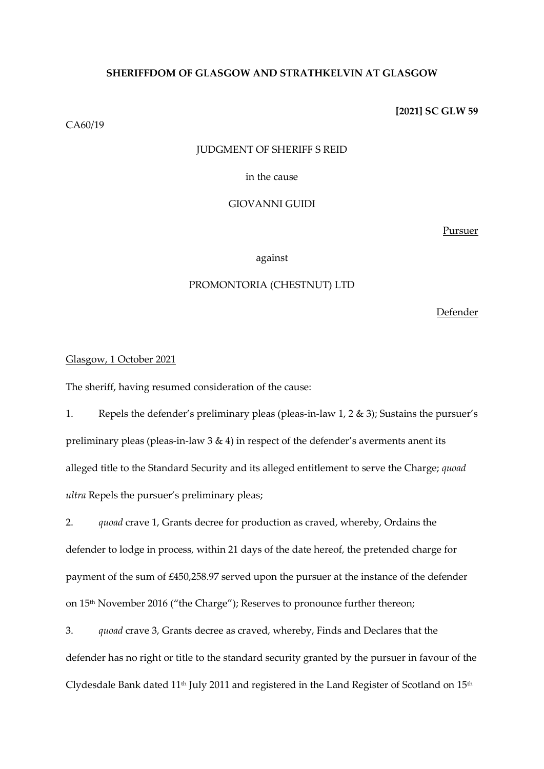## **SHERIFFDOM OF GLASGOW AND STRATHKELVIN AT GLASGOW**

CA60/19

## **[2021] SC GLW 59**

### JUDGMENT OF SHERIFF S REID

## in the cause

## GIOVANNI GUIDI

Pursuer

## against

## PROMONTORIA (CHESTNUT) LTD

Defender

## Glasgow, 1 October 2021

The sheriff, having resumed consideration of the cause:

1. Repels the defender's preliminary pleas (pleas-in-law 1, 2 & 3); Sustains the pursuer's preliminary pleas (pleas-in-law  $3 \& 4$ ) in respect of the defender's averments anent its alleged title to the Standard Security and its alleged entitlement to serve the Charge; *quoad ultra* Repels the pursuer's preliminary pleas;

2. *quoad* crave 1, Grants decree for production as craved, whereby, Ordains the defender to lodge in process, within 21 days of the date hereof, the pretended charge for payment of the sum of £450,258.97 served upon the pursuer at the instance of the defender on 15<sup>th</sup> November 2016 ("the Charge"); Reserves to pronounce further thereon;

3. *quoad* crave 3, Grants decree as craved, whereby, Finds and Declares that the defender has no right or title to the standard security granted by the pursuer in favour of the Clydesdale Bank dated  $11<sup>th</sup>$  July 2011 and registered in the Land Register of Scotland on  $15<sup>th</sup>$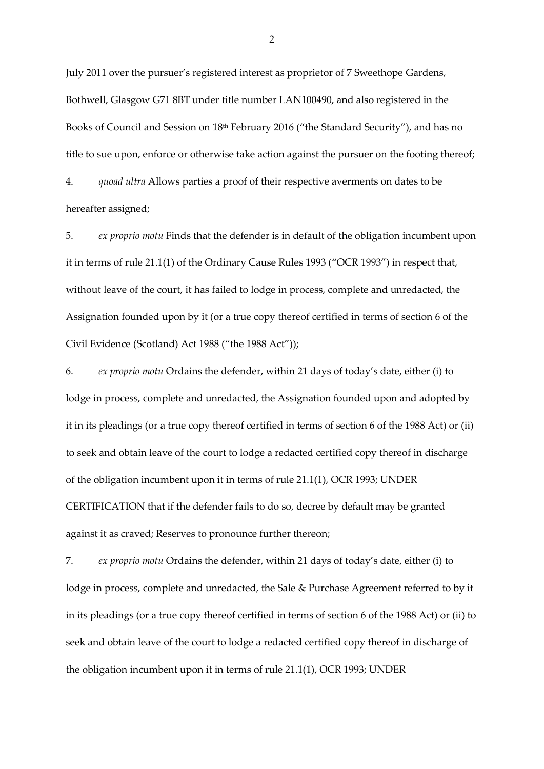July 2011 over the pursuer's registered interest as proprietor of 7 Sweethope Gardens, Bothwell, Glasgow G71 8BT under title number LAN100490, and also registered in the Books of Council and Session on 18th February 2016 ("the Standard Security"), and has no title to sue upon, enforce or otherwise take action against the pursuer on the footing thereof; 4. *quoad ultra* Allows parties a proof of their respective averments on dates to be

hereafter assigned;

5. *ex proprio motu* Finds that the defender is in default of the obligation incumbent upon it in terms of rule 21.1(1) of the Ordinary Cause Rules 1993 ("OCR 1993") in respect that, without leave of the court, it has failed to lodge in process, complete and unredacted, the Assignation founded upon by it (or a true copy thereof certified in terms of section 6 of the Civil Evidence (Scotland) Act 1988 ("the 1988 Act"));

6. *ex proprio motu* Ordains the defender, within 21 days of today's date, either (i) to lodge in process, complete and unredacted, the Assignation founded upon and adopted by it in its pleadings (or a true copy thereof certified in terms of section 6 of the 1988 Act) or (ii) to seek and obtain leave of the court to lodge a redacted certified copy thereof in discharge of the obligation incumbent upon it in terms of rule 21.1(1), OCR 1993; UNDER CERTIFICATION that if the defender fails to do so, decree by default may be granted against it as craved; Reserves to pronounce further thereon;

7. *ex proprio motu* Ordains the defender, within 21 days of today's date, either (i) to lodge in process, complete and unredacted, the Sale & Purchase Agreement referred to by it in its pleadings (or a true copy thereof certified in terms of section 6 of the 1988 Act) or (ii) to seek and obtain leave of the court to lodge a redacted certified copy thereof in discharge of the obligation incumbent upon it in terms of rule 21.1(1), OCR 1993; UNDER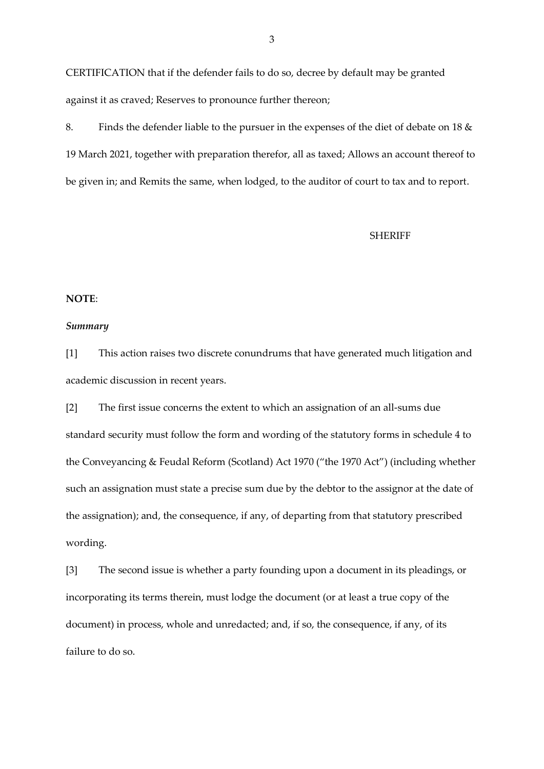CERTIFICATION that if the defender fails to do so, decree by default may be granted against it as craved; Reserves to pronounce further thereon;

8. Finds the defender liable to the pursuer in the expenses of the diet of debate on 18 & 19 March 2021, together with preparation therefor, all as taxed; Allows an account thereof to be given in; and Remits the same, when lodged, to the auditor of court to tax and to report.

#### **SHERIFF**

## **NOTE**:

## *Summary*

[1] This action raises two discrete conundrums that have generated much litigation and academic discussion in recent years.

[2] The first issue concerns the extent to which an assignation of an all-sums due standard security must follow the form and wording of the statutory forms in schedule 4 to the Conveyancing & Feudal Reform (Scotland) Act 1970 ("the 1970 Act") (including whether such an assignation must state a precise sum due by the debtor to the assignor at the date of the assignation); and, the consequence, if any, of departing from that statutory prescribed wording.

[3] The second issue is whether a party founding upon a document in its pleadings, or incorporating its terms therein, must lodge the document (or at least a true copy of the document) in process, whole and unredacted; and, if so, the consequence, if any, of its failure to do so.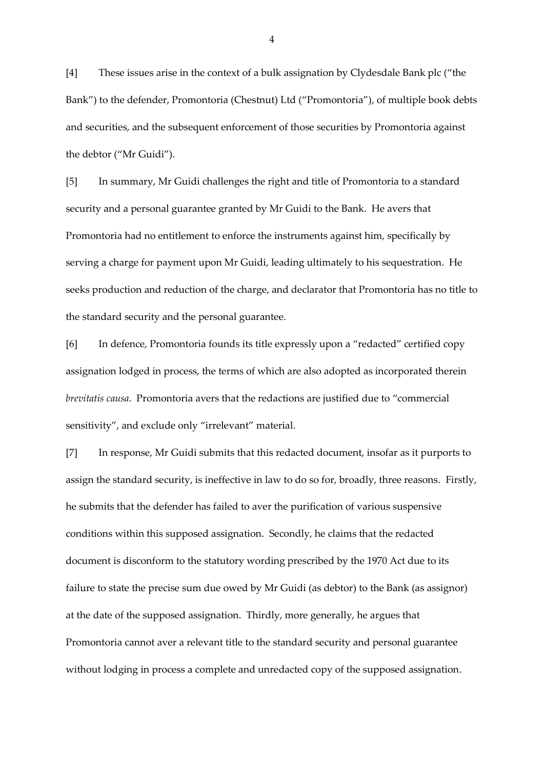[4] These issues arise in the context of a bulk assignation by Clydesdale Bank plc ("the Bank") to the defender, Promontoria (Chestnut) Ltd ("Promontoria"), of multiple book debts and securities, and the subsequent enforcement of those securities by Promontoria against the debtor ("Mr Guidi").

[5] In summary, Mr Guidi challenges the right and title of Promontoria to a standard security and a personal guarantee granted by Mr Guidi to the Bank. He avers that Promontoria had no entitlement to enforce the instruments against him, specifically by serving a charge for payment upon Mr Guidi, leading ultimately to his sequestration. He seeks production and reduction of the charge, and declarator that Promontoria has no title to the standard security and the personal guarantee.

[6] In defence, Promontoria founds its title expressly upon a "redacted" certified copy assignation lodged in process, the terms of which are also adopted as incorporated therein *brevitatis causa*. Promontoria avers that the redactions are justified due to "commercial sensitivity", and exclude only "irrelevant" material.

[7] In response, Mr Guidi submits that this redacted document, insofar as it purports to assign the standard security, is ineffective in law to do so for, broadly, three reasons. Firstly, he submits that the defender has failed to aver the purification of various suspensive conditions within this supposed assignation. Secondly, he claims that the redacted document is disconform to the statutory wording prescribed by the 1970 Act due to its failure to state the precise sum due owed by Mr Guidi (as debtor) to the Bank (as assignor) at the date of the supposed assignation. Thirdly, more generally, he argues that Promontoria cannot aver a relevant title to the standard security and personal guarantee without lodging in process a complete and unredacted copy of the supposed assignation.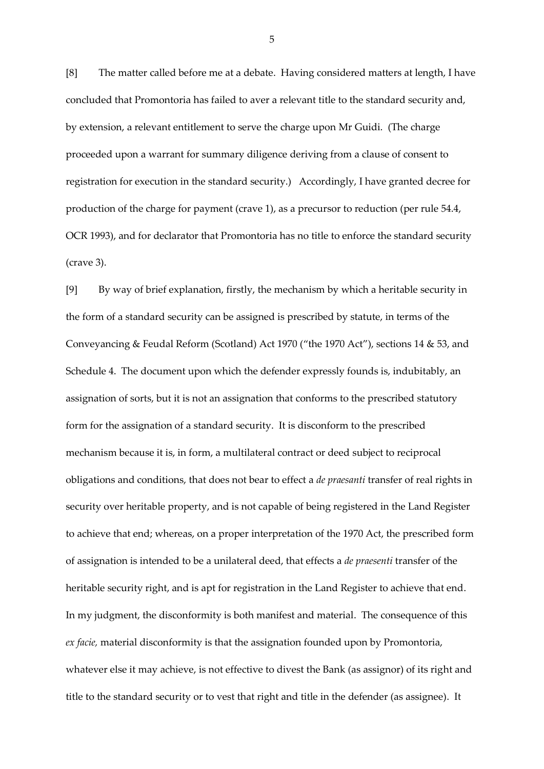[8] The matter called before me at a debate. Having considered matters at length, I have concluded that Promontoria has failed to aver a relevant title to the standard security and, by extension, a relevant entitlement to serve the charge upon Mr Guidi. (The charge proceeded upon a warrant for summary diligence deriving from a clause of consent to registration for execution in the standard security.) Accordingly, I have granted decree for production of the charge for payment (crave 1), as a precursor to reduction (per rule 54.4, OCR 1993), and for declarator that Promontoria has no title to enforce the standard security (crave 3).

[9] By way of brief explanation, firstly, the mechanism by which a heritable security in the form of a standard security can be assigned is prescribed by statute, in terms of the Conveyancing & Feudal Reform (Scotland) Act 1970 ("the 1970 Act"), sections 14 & 53, and Schedule 4. The document upon which the defender expressly founds is, indubitably, an assignation of sorts, but it is not an assignation that conforms to the prescribed statutory form for the assignation of a standard security. It is disconform to the prescribed mechanism because it is, in form, a multilateral contract or deed subject to reciprocal obligations and conditions, that does not bear to effect a *de praesanti* transfer of real rights in security over heritable property, and is not capable of being registered in the Land Register to achieve that end; whereas, on a proper interpretation of the 1970 Act, the prescribed form of assignation is intended to be a unilateral deed, that effects a *de praesenti* transfer of the heritable security right, and is apt for registration in the Land Register to achieve that end. In my judgment, the disconformity is both manifest and material. The consequence of this *ex facie,* material disconformity is that the assignation founded upon by Promontoria, whatever else it may achieve, is not effective to divest the Bank (as assignor) of its right and title to the standard security or to vest that right and title in the defender (as assignee). It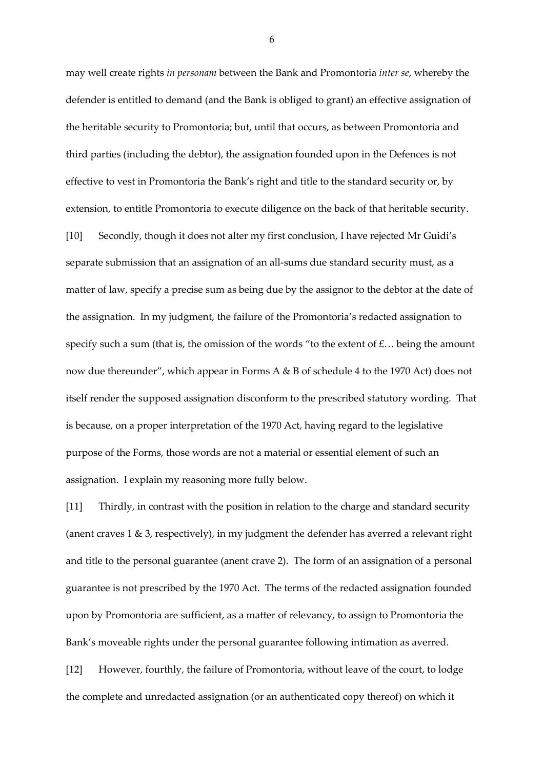may well create rights *in personam* between the Bank and Promontoria *inter se*, whereby the defender is entitled to demand (and the Bank is obliged to grant) an effective assignation of the heritable security to Promontoria; but, until that occurs, as between Promontoria and third parties (including the debtor), the assignation founded upon in the Defences is not effective to vest in Promontoria the Bank's right and title to the standard security or, by extension, to entitle Promontoria to execute diligence on the back of that heritable security. [10] Secondly, though it does not alter my first conclusion, I have rejected Mr Guidi's separate submission that an assignation of an all-sums due standard security must, as a matter of law, specify a precise sum as being due by the assignor to the debtor at the date of the assignation. In my judgment, the failure of the Promontoria's redacted assignation to specify such a sum (that is, the omission of the words "to the extent of  $f$ ... being the amount now due thereunder", which appear in Forms A & B of schedule 4 to the 1970 Act) does not itself render the supposed assignation disconform to the prescribed statutory wording. That is because, on a proper interpretation of the 1970 Act, having regard to the legislative purpose of the Forms, those words are not a material or essential element of such an assignation. I explain my reasoning more fully below.

[11] Thirdly, in contrast with the position in relation to the charge and standard security (anent craves 1 & 3, respectively), in my judgment the defender has averred a relevant right and title to the personal guarantee (anent crave 2). The form of an assignation of a personal guarantee is not prescribed by the 1970 Act. The terms of the redacted assignation founded upon by Promontoria are sufficient, as a matter of relevancy, to assign to Promontoria the Bank's moveable rights under the personal guarantee following intimation as averred.

[12] However, fourthly, the failure of Promontoria, without leave of the court, to lodge the complete and unredacted assignation (or an authenticated copy thereof) on which it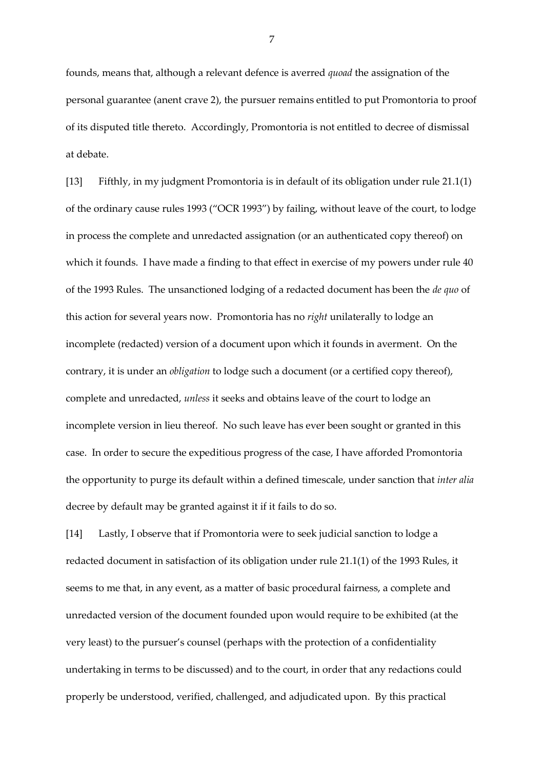founds, means that, although a relevant defence is averred *quoad* the assignation of the personal guarantee (anent crave 2), the pursuer remains entitled to put Promontoria to proof of its disputed title thereto. Accordingly, Promontoria is not entitled to decree of dismissal at debate.

[13] Fifthly, in my judgment Promontoria is in default of its obligation under rule 21.1(1) of the ordinary cause rules 1993 ("OCR 1993") by failing, without leave of the court, to lodge in process the complete and unredacted assignation (or an authenticated copy thereof) on which it founds. I have made a finding to that effect in exercise of my powers under rule 40 of the 1993 Rules. The unsanctioned lodging of a redacted document has been the *de quo* of this action for several years now. Promontoria has no *right* unilaterally to lodge an incomplete (redacted) version of a document upon which it founds in averment. On the contrary, it is under an *obligation* to lodge such a document (or a certified copy thereof), complete and unredacted, *unless* it seeks and obtains leave of the court to lodge an incomplete version in lieu thereof. No such leave has ever been sought or granted in this case. In order to secure the expeditious progress of the case, I have afforded Promontoria the opportunity to purge its default within a defined timescale, under sanction that *inter alia* decree by default may be granted against it if it fails to do so.

[14] Lastly, I observe that if Promontoria were to seek judicial sanction to lodge a redacted document in satisfaction of its obligation under rule 21.1(1) of the 1993 Rules, it seems to me that, in any event, as a matter of basic procedural fairness, a complete and unredacted version of the document founded upon would require to be exhibited (at the very least) to the pursuer's counsel (perhaps with the protection of a confidentiality undertaking in terms to be discussed) and to the court, in order that any redactions could properly be understood, verified, challenged, and adjudicated upon. By this practical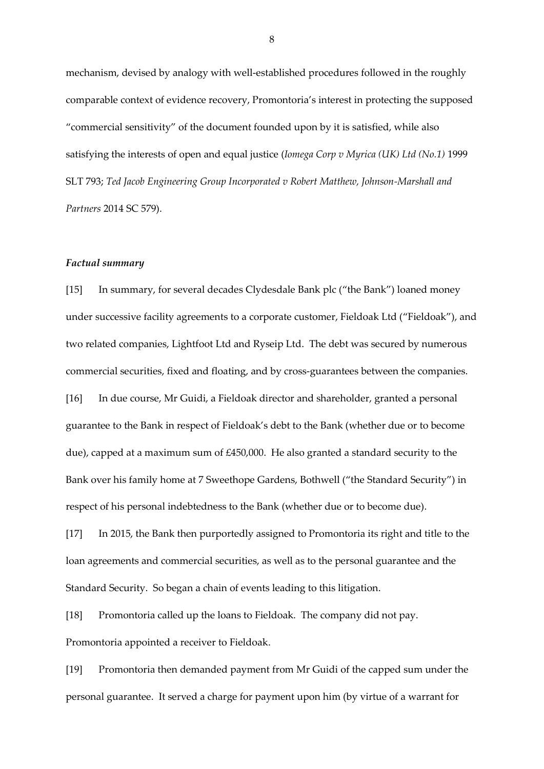mechanism, devised by analogy with well-established procedures followed in the roughly comparable context of evidence recovery, Promontoria's interest in protecting the supposed "commercial sensitivity" of the document founded upon by it is satisfied, while also satisfying the interests of open and equal justice (*Iomega Corp v Myrica (UK) Ltd (No.1)* 1999 SLT 793; *Ted Jacob Engineering Group Incorporated v Robert Matthew, Johnson-Marshall and Partners* 2014 SC 579).

#### *Factual summary*

[15] In summary, for several decades Clydesdale Bank plc ("the Bank") loaned money under successive facility agreements to a corporate customer, Fieldoak Ltd ("Fieldoak"), and two related companies, Lightfoot Ltd and Ryseip Ltd. The debt was secured by numerous commercial securities, fixed and floating, and by cross-guarantees between the companies. [16] In due course, Mr Guidi, a Fieldoak director and shareholder, granted a personal guarantee to the Bank in respect of Fieldoak's debt to the Bank (whether due or to become due), capped at a maximum sum of £450,000. He also granted a standard security to the Bank over his family home at 7 Sweethope Gardens, Bothwell ("the Standard Security") in respect of his personal indebtedness to the Bank (whether due or to become due).

[17] In 2015, the Bank then purportedly assigned to Promontoria its right and title to the loan agreements and commercial securities, as well as to the personal guarantee and the Standard Security. So began a chain of events leading to this litigation.

[18] Promontoria called up the loans to Fieldoak. The company did not pay. Promontoria appointed a receiver to Fieldoak.

[19] Promontoria then demanded payment from Mr Guidi of the capped sum under the personal guarantee. It served a charge for payment upon him (by virtue of a warrant for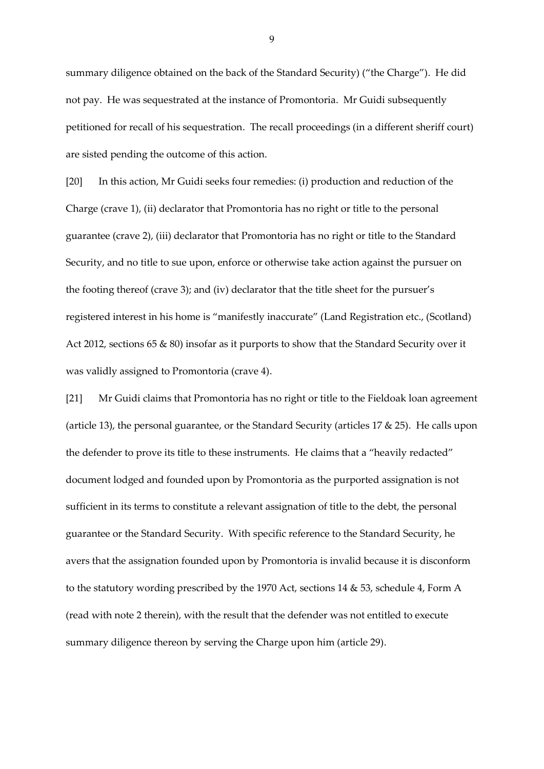summary diligence obtained on the back of the Standard Security) ("the Charge"). He did not pay. He was sequestrated at the instance of Promontoria. Mr Guidi subsequently petitioned for recall of his sequestration. The recall proceedings (in a different sheriff court) are sisted pending the outcome of this action.

[20] In this action, Mr Guidi seeks four remedies: (i) production and reduction of the Charge (crave 1), (ii) declarator that Promontoria has no right or title to the personal guarantee (crave 2), (iii) declarator that Promontoria has no right or title to the Standard Security, and no title to sue upon, enforce or otherwise take action against the pursuer on the footing thereof (crave 3); and (iv) declarator that the title sheet for the pursuer's registered interest in his home is "manifestly inaccurate" (Land Registration etc., (Scotland) Act 2012, sections 65 & 80) insofar as it purports to show that the Standard Security over it was validly assigned to Promontoria (crave 4).

[21] Mr Guidi claims that Promontoria has no right or title to the Fieldoak loan agreement (article 13), the personal guarantee, or the Standard Security (articles 17 & 25). He calls upon the defender to prove its title to these instruments. He claims that a "heavily redacted" document lodged and founded upon by Promontoria as the purported assignation is not sufficient in its terms to constitute a relevant assignation of title to the debt, the personal guarantee or the Standard Security. With specific reference to the Standard Security, he avers that the assignation founded upon by Promontoria is invalid because it is disconform to the statutory wording prescribed by the 1970 Act, sections 14 & 53, schedule 4, Form A (read with note 2 therein), with the result that the defender was not entitled to execute summary diligence thereon by serving the Charge upon him (article 29).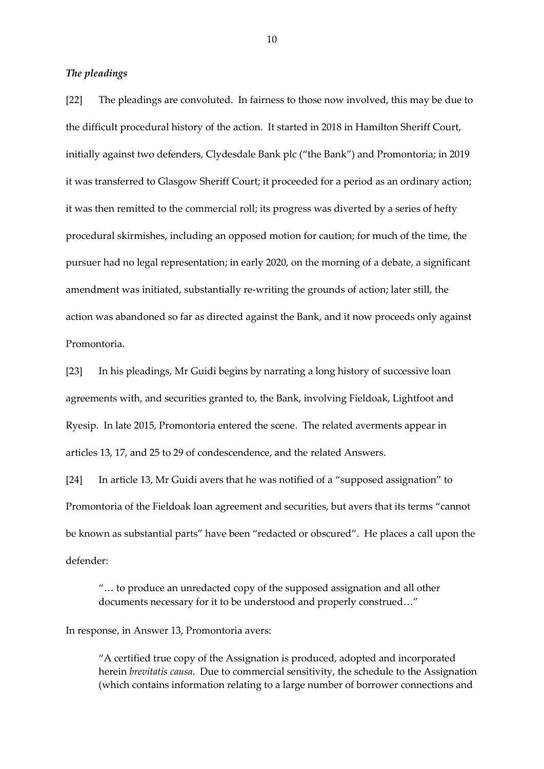## *The pleadings*

[22] The pleadings are convoluted. In fairness to those now involved, this may be due to the difficult procedural history of the action. It started in 2018 in Hamilton Sheriff Court, initially against two defenders, Clydesdale Bank plc ("the Bank") and Promontoria; in 2019 it was transferred to Glasgow Sheriff Court; it proceeded for a period as an ordinary action; it was then remitted to the commercial roll; its progress was diverted by a series of hefty procedural skirmishes, including an opposed motion for caution; for much of the time, the pursuer had no legal representation; in early 2020, on the morning of a debate, a significant amendment was initiated, substantially re-writing the grounds of action; later still, the action was abandoned so far as directed against the Bank, and it now proceeds only against Promontoria.

[23] In his pleadings, Mr Guidi begins by narrating a long history of successive loan agreements with, and securities granted to, the Bank, involving Fieldoak, Lightfoot and Ryesip. In late 2015, Promontoria entered the scene. The related averments appear in articles 13, 17, and 25 to 29 of condescendence, and the related Answers.

[24] In article 13, Mr Guidi avers that he was notified of a "supposed assignation" to Promontoria of the Fieldoak loan agreement and securities, but avers that its terms "cannot be known as substantial parts" have been "redacted or obscured". He places a call upon the defender:

"… to produce an unredacted copy of the supposed assignation and all other documents necessary for it to be understood and properly construed…"

In response, in Answer 13, Promontoria avers:

"A certified true copy of the Assignation is produced, adopted and incorporated herein *brevitatis causa*. Due to commercial sensitivity, the schedule to the Assignation (which contains information relating to a large number of borrower connections and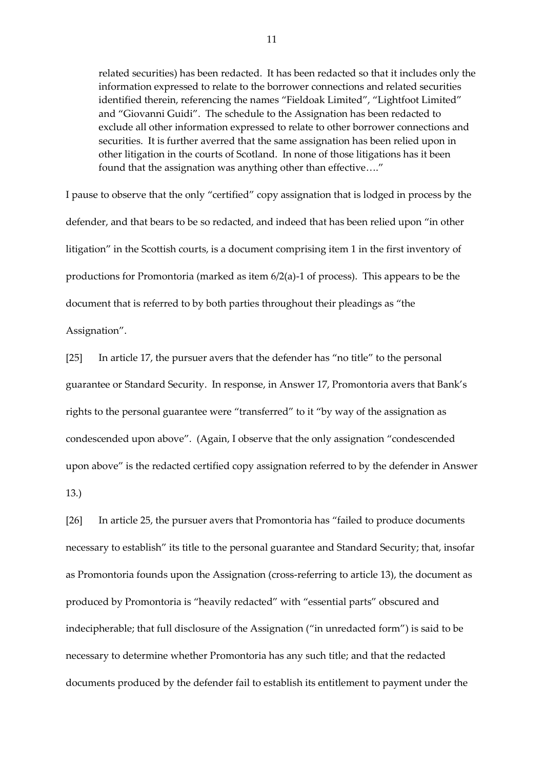related securities) has been redacted. It has been redacted so that it includes only the information expressed to relate to the borrower connections and related securities identified therein, referencing the names "Fieldoak Limited", "Lightfoot Limited" and "Giovanni Guidi". The schedule to the Assignation has been redacted to exclude all other information expressed to relate to other borrower connections and securities. It is further averred that the same assignation has been relied upon in other litigation in the courts of Scotland. In none of those litigations has it been found that the assignation was anything other than effective…."

I pause to observe that the only "certified" copy assignation that is lodged in process by the defender, and that bears to be so redacted, and indeed that has been relied upon "in other litigation" in the Scottish courts, is a document comprising item 1 in the first inventory of productions for Promontoria (marked as item 6/2(a)-1 of process). This appears to be the document that is referred to by both parties throughout their pleadings as "the Assignation".

[25] In article 17, the pursuer avers that the defender has "no title" to the personal guarantee or Standard Security. In response, in Answer 17, Promontoria avers that Bank's rights to the personal guarantee were "transferred" to it "by way of the assignation as condescended upon above". (Again, I observe that the only assignation "condescended upon above" is the redacted certified copy assignation referred to by the defender in Answer

13.)

[26] In article 25, the pursuer avers that Promontoria has "failed to produce documents necessary to establish" its title to the personal guarantee and Standard Security; that, insofar as Promontoria founds upon the Assignation (cross-referring to article 13), the document as produced by Promontoria is "heavily redacted" with "essential parts" obscured and indecipherable; that full disclosure of the Assignation ("in unredacted form") is said to be necessary to determine whether Promontoria has any such title; and that the redacted documents produced by the defender fail to establish its entitlement to payment under the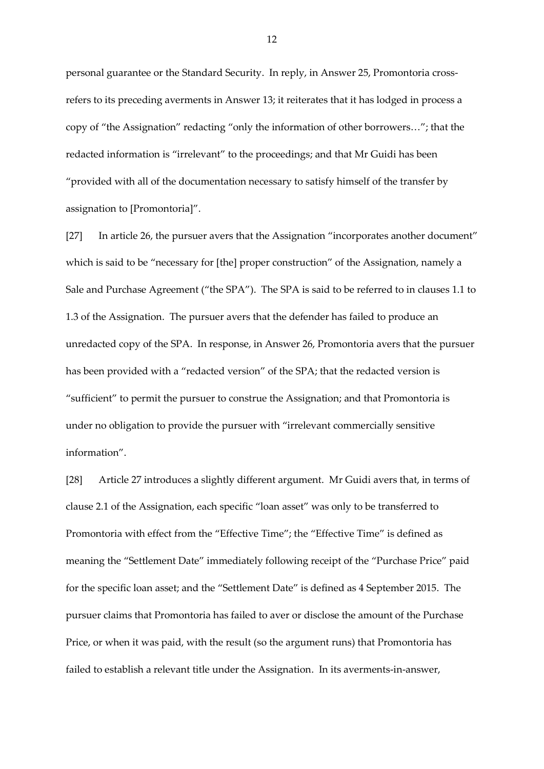personal guarantee or the Standard Security. In reply, in Answer 25, Promontoria crossrefers to its preceding averments in Answer 13; it reiterates that it has lodged in process a copy of "the Assignation" redacting "only the information of other borrowers…"; that the redacted information is "irrelevant" to the proceedings; and that Mr Guidi has been "provided with all of the documentation necessary to satisfy himself of the transfer by assignation to [Promontoria]".

[27] In article 26, the pursuer avers that the Assignation "incorporates another document" which is said to be "necessary for [the] proper construction" of the Assignation, namely a Sale and Purchase Agreement ("the SPA"). The SPA is said to be referred to in clauses 1.1 to 1.3 of the Assignation. The pursuer avers that the defender has failed to produce an unredacted copy of the SPA. In response, in Answer 26, Promontoria avers that the pursuer has been provided with a "redacted version" of the SPA; that the redacted version is "sufficient" to permit the pursuer to construe the Assignation; and that Promontoria is under no obligation to provide the pursuer with "irrelevant commercially sensitive information".

[28] Article 27 introduces a slightly different argument. Mr Guidi avers that, in terms of clause 2.1 of the Assignation, each specific "loan asset" was only to be transferred to Promontoria with effect from the "Effective Time"; the "Effective Time" is defined as meaning the "Settlement Date" immediately following receipt of the "Purchase Price" paid for the specific loan asset; and the "Settlement Date" is defined as 4 September 2015. The pursuer claims that Promontoria has failed to aver or disclose the amount of the Purchase Price, or when it was paid, with the result (so the argument runs) that Promontoria has failed to establish a relevant title under the Assignation. In its averments-in-answer,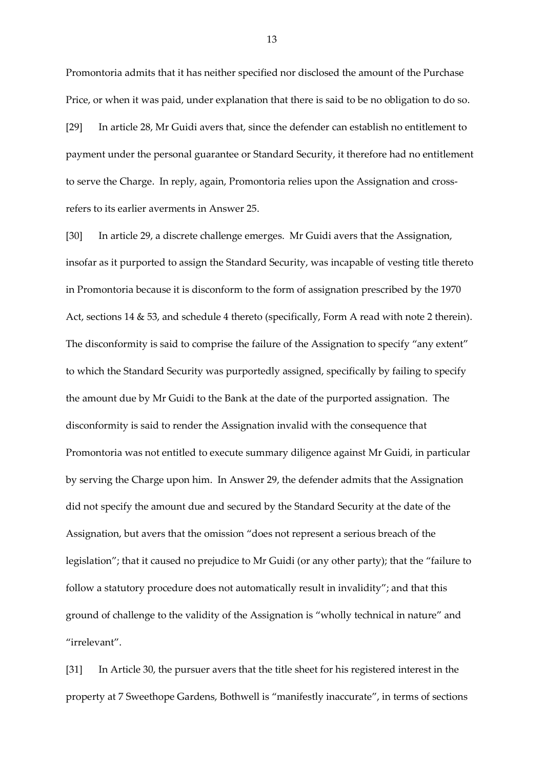Promontoria admits that it has neither specified nor disclosed the amount of the Purchase Price, or when it was paid, under explanation that there is said to be no obligation to do so. [29] In article 28, Mr Guidi avers that, since the defender can establish no entitlement to payment under the personal guarantee or Standard Security, it therefore had no entitlement to serve the Charge. In reply, again, Promontoria relies upon the Assignation and crossrefers to its earlier averments in Answer 25.

[30] In article 29, a discrete challenge emerges. Mr Guidi avers that the Assignation, insofar as it purported to assign the Standard Security, was incapable of vesting title thereto in Promontoria because it is disconform to the form of assignation prescribed by the 1970 Act, sections 14 & 53, and schedule 4 thereto (specifically, Form A read with note 2 therein). The disconformity is said to comprise the failure of the Assignation to specify "any extent" to which the Standard Security was purportedly assigned, specifically by failing to specify the amount due by Mr Guidi to the Bank at the date of the purported assignation. The disconformity is said to render the Assignation invalid with the consequence that Promontoria was not entitled to execute summary diligence against Mr Guidi, in particular by serving the Charge upon him. In Answer 29, the defender admits that the Assignation did not specify the amount due and secured by the Standard Security at the date of the Assignation, but avers that the omission "does not represent a serious breach of the legislation"; that it caused no prejudice to Mr Guidi (or any other party); that the "failure to follow a statutory procedure does not automatically result in invalidity"; and that this ground of challenge to the validity of the Assignation is "wholly technical in nature" and "irrelevant".

[31] In Article 30, the pursuer avers that the title sheet for his registered interest in the property at 7 Sweethope Gardens, Bothwell is "manifestly inaccurate", in terms of sections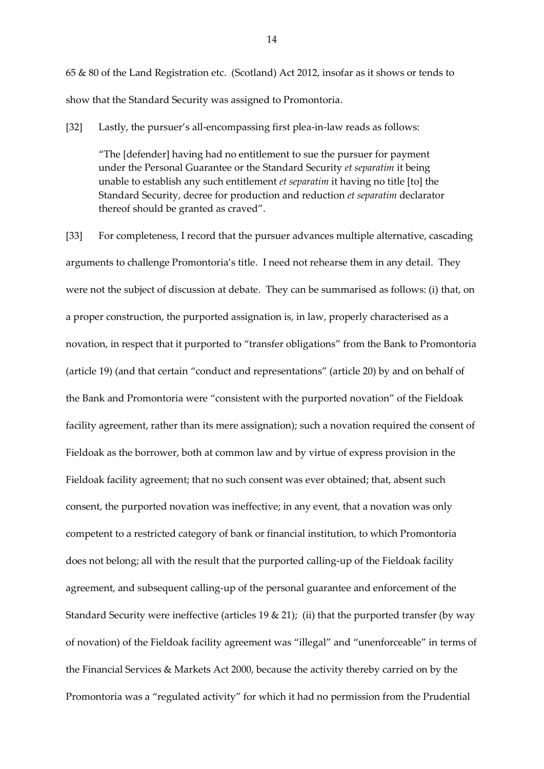65 & 80 of the Land Registration etc. (Scotland) Act 2012, insofar as it shows or tends to show that the Standard Security was assigned to Promontoria.

[32] Lastly, the pursuer's all-encompassing first plea-in-law reads as follows:

"The [defender] having had no entitlement to sue the pursuer for payment under the Personal Guarantee or the Standard Security *et separatim* it being unable to establish any such entitlement *et separatim* it having no title [to] the Standard Security, decree for production and reduction *et separatim* declarator thereof should be granted as craved".

[33] For completeness, I record that the pursuer advances multiple alternative, cascading arguments to challenge Promontoria's title. I need not rehearse them in any detail. They were not the subject of discussion at debate. They can be summarised as follows: (i) that, on a proper construction, the purported assignation is, in law, properly characterised as a novation, in respect that it purported to "transfer obligations" from the Bank to Promontoria (article 19) (and that certain "conduct and representations" (article 20) by and on behalf of the Bank and Promontoria were "consistent with the purported novation" of the Fieldoak facility agreement, rather than its mere assignation); such a novation required the consent of Fieldoak as the borrower, both at common law and by virtue of express provision in the Fieldoak facility agreement; that no such consent was ever obtained; that, absent such consent, the purported novation was ineffective; in any event, that a novation was only competent to a restricted category of bank or financial institution, to which Promontoria does not belong; all with the result that the purported calling-up of the Fieldoak facility agreement, and subsequent calling-up of the personal guarantee and enforcement of the Standard Security were ineffective (articles  $19 \& 21$ ); (ii) that the purported transfer (by way of novation) of the Fieldoak facility agreement was "illegal" and "unenforceable" in terms of the Financial Services & Markets Act 2000, because the activity thereby carried on by the Promontoria was a "regulated activity" for which it had no permission from the Prudential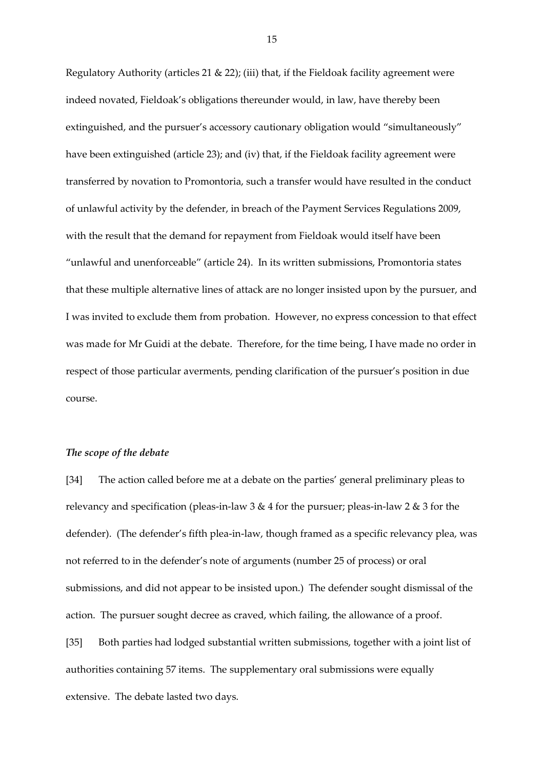Regulatory Authority (articles 21  $\&$  22); (iii) that, if the Fieldoak facility agreement were indeed novated, Fieldoak's obligations thereunder would, in law, have thereby been extinguished, and the pursuer's accessory cautionary obligation would "simultaneously" have been extinguished (article 23); and (iv) that, if the Fieldoak facility agreement were transferred by novation to Promontoria, such a transfer would have resulted in the conduct of unlawful activity by the defender, in breach of the Payment Services Regulations 2009, with the result that the demand for repayment from Fieldoak would itself have been "unlawful and unenforceable" (article 24). In its written submissions, Promontoria states that these multiple alternative lines of attack are no longer insisted upon by the pursuer, and I was invited to exclude them from probation. However, no express concession to that effect was made for Mr Guidi at the debate. Therefore, for the time being, I have made no order in respect of those particular averments, pending clarification of the pursuer's position in due course.

### *The scope of the debate*

[34] The action called before me at a debate on the parties' general preliminary pleas to relevancy and specification (pleas-in-law 3 & 4 for the pursuer; pleas-in-law 2 & 3 for the defender). (The defender's fifth plea-in-law, though framed as a specific relevancy plea, was not referred to in the defender's note of arguments (number 25 of process) or oral submissions, and did not appear to be insisted upon.) The defender sought dismissal of the action. The pursuer sought decree as craved, which failing, the allowance of a proof. [35] Both parties had lodged substantial written submissions, together with a joint list of authorities containing 57 items. The supplementary oral submissions were equally extensive. The debate lasted two days.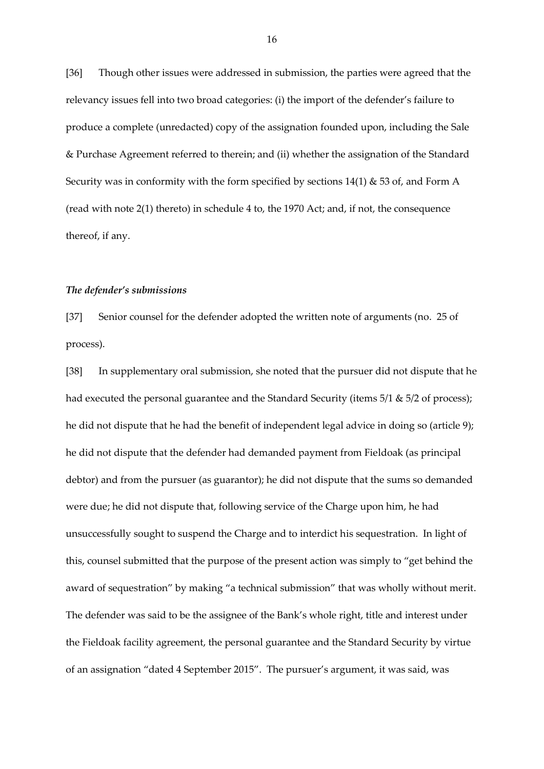[36] Though other issues were addressed in submission, the parties were agreed that the relevancy issues fell into two broad categories: (i) the import of the defender's failure to produce a complete (unredacted) copy of the assignation founded upon, including the Sale & Purchase Agreement referred to therein; and (ii) whether the assignation of the Standard Security was in conformity with the form specified by sections  $14(1)$  & 53 of, and Form A (read with note 2(1) thereto) in schedule 4 to, the 1970 Act; and, if not, the consequence thereof, if any.

### *The defender's submissions*

[37] Senior counsel for the defender adopted the written note of arguments (no. 25 of process).

[38] In supplementary oral submission, she noted that the pursuer did not dispute that he had executed the personal guarantee and the Standard Security (items 5/1 & 5/2 of process); he did not dispute that he had the benefit of independent legal advice in doing so (article 9); he did not dispute that the defender had demanded payment from Fieldoak (as principal debtor) and from the pursuer (as guarantor); he did not dispute that the sums so demanded were due; he did not dispute that, following service of the Charge upon him, he had unsuccessfully sought to suspend the Charge and to interdict his sequestration. In light of this, counsel submitted that the purpose of the present action was simply to "get behind the award of sequestration" by making "a technical submission" that was wholly without merit. The defender was said to be the assignee of the Bank's whole right, title and interest under the Fieldoak facility agreement, the personal guarantee and the Standard Security by virtue of an assignation "dated 4 September 2015". The pursuer's argument, it was said, was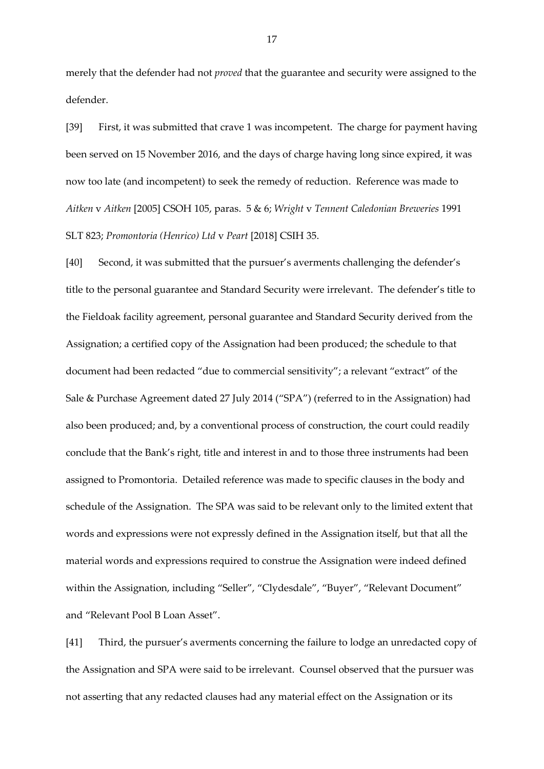merely that the defender had not *proved* that the guarantee and security were assigned to the defender.

[39] First, it was submitted that crave 1 was incompetent. The charge for payment having been served on 15 November 2016, and the days of charge having long since expired, it was now too late (and incompetent) to seek the remedy of reduction. Reference was made to *Aitken* v *Aitken* [2005] CSOH 105, paras. 5 & 6; *Wright* v *Tennent Caledonian Breweries* 1991 SLT 823; *Promontoria (Henrico) Ltd* v *Peart* [2018] CSIH 35.

[40] Second, it was submitted that the pursuer's averments challenging the defender's title to the personal guarantee and Standard Security were irrelevant. The defender's title to the Fieldoak facility agreement, personal guarantee and Standard Security derived from the Assignation; a certified copy of the Assignation had been produced; the schedule to that document had been redacted "due to commercial sensitivity"; a relevant "extract" of the Sale & Purchase Agreement dated 27 July 2014 ("SPA") (referred to in the Assignation) had also been produced; and, by a conventional process of construction, the court could readily conclude that the Bank's right, title and interest in and to those three instruments had been assigned to Promontoria. Detailed reference was made to specific clauses in the body and schedule of the Assignation. The SPA was said to be relevant only to the limited extent that words and expressions were not expressly defined in the Assignation itself, but that all the material words and expressions required to construe the Assignation were indeed defined within the Assignation, including "Seller", "Clydesdale", "Buyer", "Relevant Document" and "Relevant Pool B Loan Asset".

[41] Third, the pursuer's averments concerning the failure to lodge an unredacted copy of the Assignation and SPA were said to be irrelevant. Counsel observed that the pursuer was not asserting that any redacted clauses had any material effect on the Assignation or its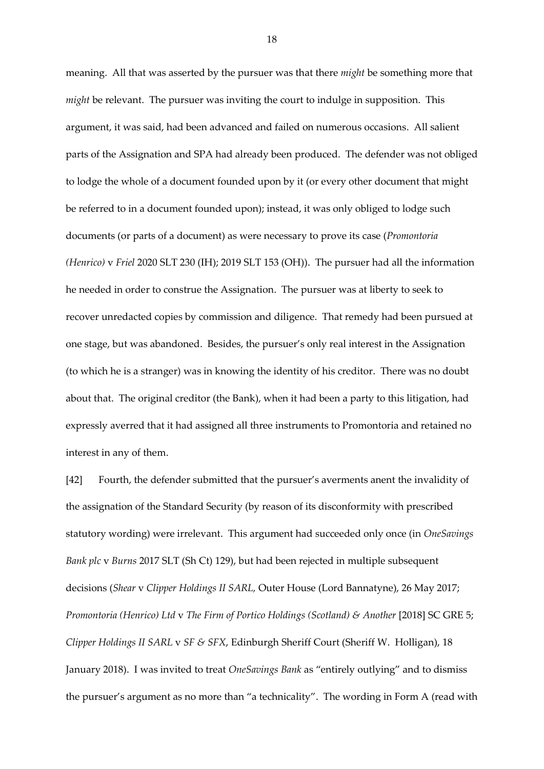meaning. All that was asserted by the pursuer was that there *might* be something more that *might* be relevant. The pursuer was inviting the court to indulge in supposition. This argument, it was said, had been advanced and failed on numerous occasions. All salient parts of the Assignation and SPA had already been produced. The defender was not obliged to lodge the whole of a document founded upon by it (or every other document that might be referred to in a document founded upon); instead, it was only obliged to lodge such documents (or parts of a document) as were necessary to prove its case (*Promontoria (Henrico)* v *Friel* 2020 SLT 230 (IH); 2019 SLT 153 (OH)). The pursuer had all the information he needed in order to construe the Assignation. The pursuer was at liberty to seek to recover unredacted copies by commission and diligence. That remedy had been pursued at one stage, but was abandoned. Besides, the pursuer's only real interest in the Assignation (to which he is a stranger) was in knowing the identity of his creditor. There was no doubt about that. The original creditor (the Bank), when it had been a party to this litigation, had expressly averred that it had assigned all three instruments to Promontoria and retained no interest in any of them.

[42] Fourth, the defender submitted that the pursuer's averments anent the invalidity of the assignation of the Standard Security (by reason of its disconformity with prescribed statutory wording) were irrelevant. This argument had succeeded only once (in *OneSavings Bank plc* v *Burns* 2017 SLT (Sh Ct) 129), but had been rejected in multiple subsequent decisions (*Shear* v *Clipper Holdings II SARL,* Outer House (Lord Bannatyne), 26 May 2017; *Promontoria (Henrico) Ltd* v *The Firm of Portico Holdings (Scotland) & Another* [2018] SC GRE 5; *Clipper Holdings II SARL* v *SF & SFX*, Edinburgh Sheriff Court (Sheriff W. Holligan), 18 January 2018). I was invited to treat *OneSavings Bank* as "entirely outlying" and to dismiss the pursuer's argument as no more than "a technicality". The wording in Form A (read with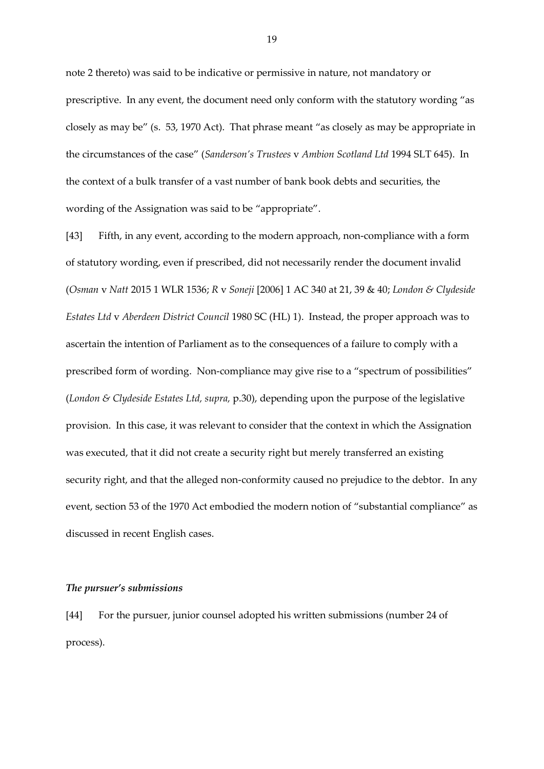note 2 thereto) was said to be indicative or permissive in nature, not mandatory or prescriptive. In any event, the document need only conform with the statutory wording "as closely as may be" (s. 53, 1970 Act). That phrase meant "as closely as may be appropriate in the circumstances of the case" (*Sanderson's Trustees* v *Ambion Scotland Ltd* 1994 SLT 645). In the context of a bulk transfer of a vast number of bank book debts and securities, the wording of the Assignation was said to be "appropriate".

[43] Fifth, in any event, according to the modern approach, non-compliance with a form of statutory wording, even if prescribed, did not necessarily render the document invalid (*Osman* v *Natt* 2015 1 WLR 1536; *R* v *Soneji* [2006] 1 AC 340 at 21, 39 & 40; *London & Clydeside Estates Ltd* v *Aberdeen District Council* 1980 SC (HL) 1). Instead, the proper approach was to ascertain the intention of Parliament as to the consequences of a failure to comply with a prescribed form of wording. Non-compliance may give rise to a "spectrum of possibilities" (*London & Clydeside Estates Ltd, supra,* p.30), depending upon the purpose of the legislative provision. In this case, it was relevant to consider that the context in which the Assignation was executed, that it did not create a security right but merely transferred an existing security right, and that the alleged non-conformity caused no prejudice to the debtor. In any event, section 53 of the 1970 Act embodied the modern notion of "substantial compliance" as discussed in recent English cases.

## *The pursuer's submissions*

[44] For the pursuer, junior counsel adopted his written submissions (number 24 of process).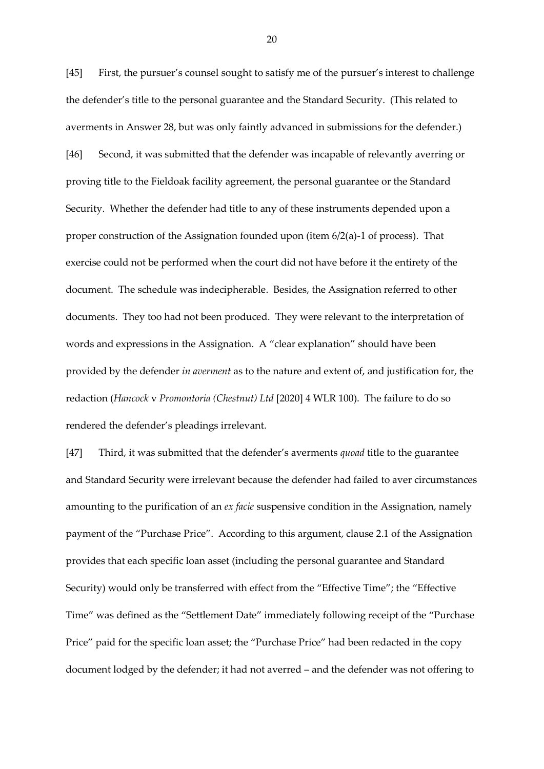[45] First, the pursuer's counsel sought to satisfy me of the pursuer's interest to challenge the defender's title to the personal guarantee and the Standard Security. (This related to averments in Answer 28, but was only faintly advanced in submissions for the defender.) [46] Second, it was submitted that the defender was incapable of relevantly averring or proving title to the Fieldoak facility agreement, the personal guarantee or the Standard Security. Whether the defender had title to any of these instruments depended upon a proper construction of the Assignation founded upon (item 6/2(a)-1 of process). That exercise could not be performed when the court did not have before it the entirety of the document. The schedule was indecipherable. Besides, the Assignation referred to other documents. They too had not been produced. They were relevant to the interpretation of words and expressions in the Assignation. A "clear explanation" should have been provided by the defender *in averment* as to the nature and extent of, and justification for, the redaction (*Hancock* v *Promontoria (Chestnut) Ltd* [2020] 4 WLR 100). The failure to do so rendered the defender's pleadings irrelevant.

[47] Third, it was submitted that the defender's averments *quoad* title to the guarantee and Standard Security were irrelevant because the defender had failed to aver circumstances amounting to the purification of an *ex facie* suspensive condition in the Assignation, namely payment of the "Purchase Price". According to this argument, clause 2.1 of the Assignation provides that each specific loan asset (including the personal guarantee and Standard Security) would only be transferred with effect from the "Effective Time"; the "Effective Time" was defined as the "Settlement Date" immediately following receipt of the "Purchase Price" paid for the specific loan asset; the "Purchase Price" had been redacted in the copy document lodged by the defender; it had not averred – and the defender was not offering to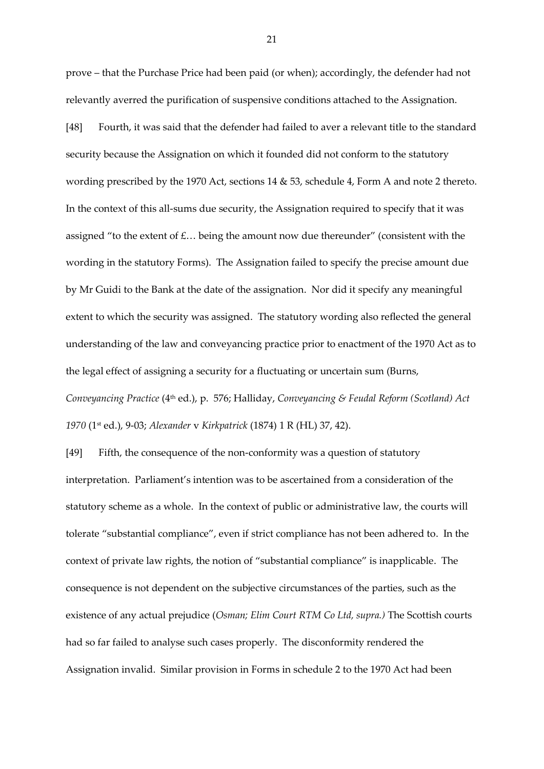prove – that the Purchase Price had been paid (or when); accordingly, the defender had not relevantly averred the purification of suspensive conditions attached to the Assignation.

[48] Fourth, it was said that the defender had failed to aver a relevant title to the standard security because the Assignation on which it founded did not conform to the statutory wording prescribed by the 1970 Act, sections 14 & 53, schedule 4, Form A and note 2 thereto. In the context of this all-sums due security, the Assignation required to specify that it was assigned "to the extent of  $E...$  being the amount now due thereunder" (consistent with the wording in the statutory Forms). The Assignation failed to specify the precise amount due by Mr Guidi to the Bank at the date of the assignation. Nor did it specify any meaningful extent to which the security was assigned. The statutory wording also reflected the general understanding of the law and conveyancing practice prior to enactment of the 1970 Act as to the legal effect of assigning a security for a fluctuating or uncertain sum (Burns, *Conveyancing Practice* (4th ed.), p. 576; Halliday, *Conveyancing & Feudal Reform (Scotland) Act* 

*1970* (1st ed.), 9-03; *Alexander* v *Kirkpatrick* (1874) 1 R (HL) 37, 42).

[49] Fifth, the consequence of the non-conformity was a question of statutory interpretation. Parliament's intention was to be ascertained from a consideration of the statutory scheme as a whole. In the context of public or administrative law, the courts will tolerate "substantial compliance", even if strict compliance has not been adhered to. In the context of private law rights, the notion of "substantial compliance" is inapplicable. The consequence is not dependent on the subjective circumstances of the parties, such as the existence of any actual prejudice (*Osman; Elim Court RTM Co Ltd, supra.)* The Scottish courts had so far failed to analyse such cases properly. The disconformity rendered the Assignation invalid. Similar provision in Forms in schedule 2 to the 1970 Act had been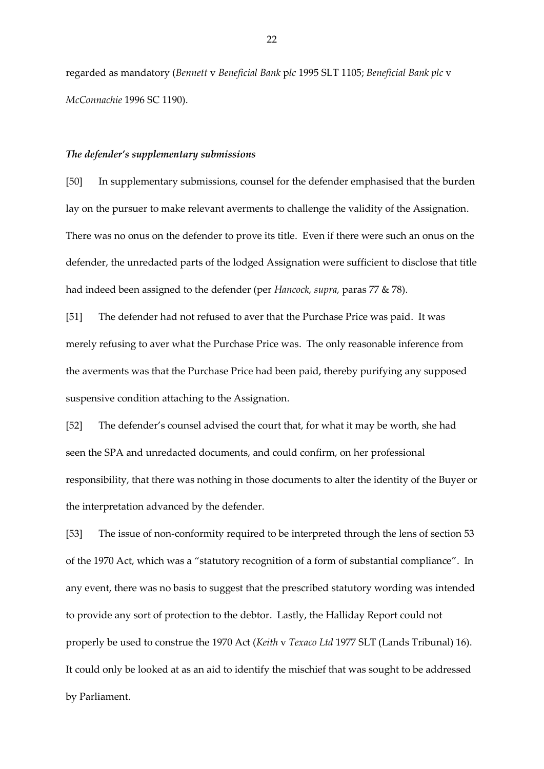regarded as mandatory (*Bennett* v *Beneficial Bank* p*lc* 1995 SLT 1105; *Beneficial Bank plc* v *McConnachie* 1996 SC 1190).

## *The defender's supplementary submissions*

[50] In supplementary submissions, counsel for the defender emphasised that the burden lay on the pursuer to make relevant averments to challenge the validity of the Assignation. There was no onus on the defender to prove its title. Even if there were such an onus on the defender, the unredacted parts of the lodged Assignation were sufficient to disclose that title had indeed been assigned to the defender (per *Hancock, supra,* paras 77 & 78).

[51] The defender had not refused to aver that the Purchase Price was paid. It was merely refusing to aver what the Purchase Price was. The only reasonable inference from the averments was that the Purchase Price had been paid, thereby purifying any supposed suspensive condition attaching to the Assignation.

[52] The defender's counsel advised the court that, for what it may be worth, she had seen the SPA and unredacted documents, and could confirm, on her professional responsibility, that there was nothing in those documents to alter the identity of the Buyer or the interpretation advanced by the defender.

[53] The issue of non-conformity required to be interpreted through the lens of section 53 of the 1970 Act, which was a "statutory recognition of a form of substantial compliance". In any event, there was no basis to suggest that the prescribed statutory wording was intended to provide any sort of protection to the debtor. Lastly, the Halliday Report could not properly be used to construe the 1970 Act (*Keith* v *Texaco Ltd* 1977 SLT (Lands Tribunal) 16). It could only be looked at as an aid to identify the mischief that was sought to be addressed by Parliament.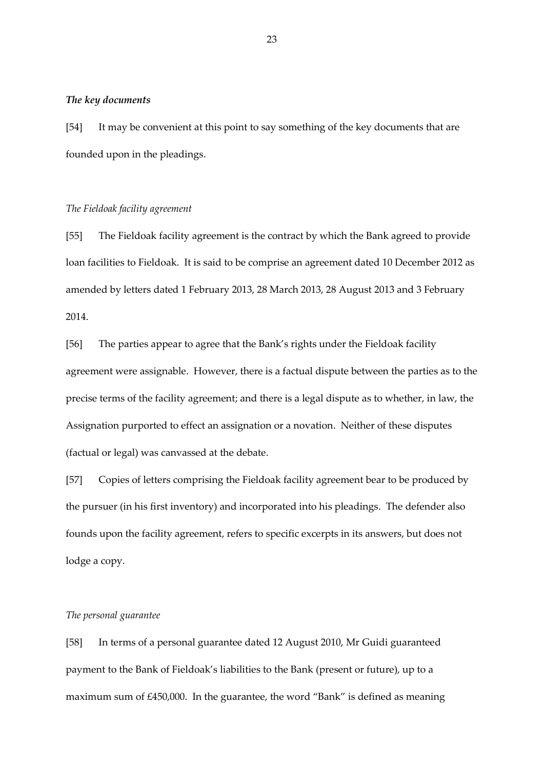### *The key documents*

[54] It may be convenient at this point to say something of the key documents that are founded upon in the pleadings.

## *The Fieldoak facility agreement*

[55] The Fieldoak facility agreement is the contract by which the Bank agreed to provide loan facilities to Fieldoak. It is said to be comprise an agreement dated 10 December 2012 as amended by letters dated 1 February 2013, 28 March 2013, 28 August 2013 and 3 February 2014.

[56] The parties appear to agree that the Bank's rights under the Fieldoak facility agreement were assignable. However, there is a factual dispute between the parties as to the precise terms of the facility agreement; and there is a legal dispute as to whether, in law, the Assignation purported to effect an assignation or a novation. Neither of these disputes (factual or legal) was canvassed at the debate.

[57] Copies of letters comprising the Fieldoak facility agreement bear to be produced by the pursuer (in his first inventory) and incorporated into his pleadings. The defender also founds upon the facility agreement, refers to specific excerpts in its answers, but does not lodge a copy.

# *The personal guarantee*

[58] In terms of a personal guarantee dated 12 August 2010, Mr Guidi guaranteed payment to the Bank of Fieldoak's liabilities to the Bank (present or future), up to a maximum sum of £450,000. In the guarantee, the word "Bank" is defined as meaning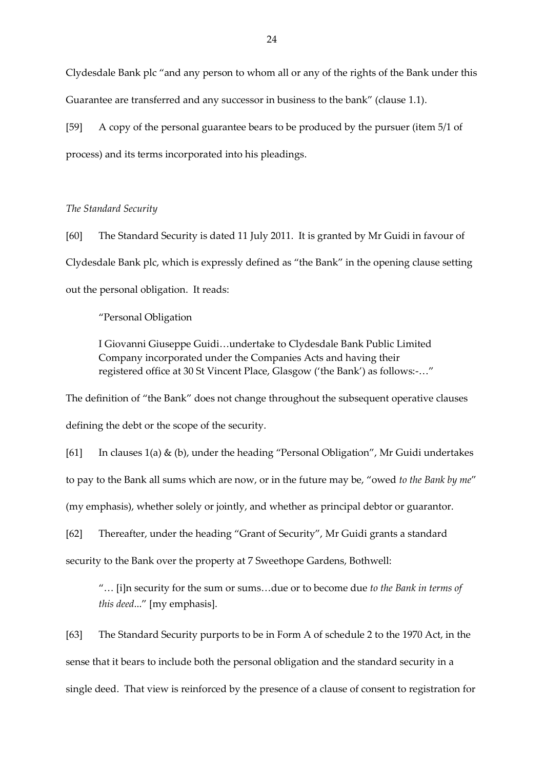Clydesdale Bank plc "and any person to whom all or any of the rights of the Bank under this Guarantee are transferred and any successor in business to the bank" (clause 1.1).

[59] A copy of the personal guarantee bears to be produced by the pursuer (item 5/1 of process) and its terms incorporated into his pleadings.

## *The Standard Security*

[60] The Standard Security is dated 11 July 2011. It is granted by Mr Guidi in favour of Clydesdale Bank plc, which is expressly defined as "the Bank" in the opening clause setting out the personal obligation. It reads:

"Personal Obligation

I Giovanni Giuseppe Guidi…undertake to Clydesdale Bank Public Limited Company incorporated under the Companies Acts and having their registered office at 30 St Vincent Place, Glasgow ('the Bank') as follows:-…"

The definition of "the Bank" does not change throughout the subsequent operative clauses defining the debt or the scope of the security.

[61] In clauses 1(a) & (b), under the heading "Personal Obligation", Mr Guidi undertakes to pay to the Bank all sums which are now, or in the future may be, "owed *to the Bank by me*" (my emphasis), whether solely or jointly, and whether as principal debtor or guarantor.

[62] Thereafter, under the heading "Grant of Security", Mr Guidi grants a standard security to the Bank over the property at 7 Sweethope Gardens, Bothwell:

"… [i]n security for the sum or sums…due or to become due *to the Bank in terms of this deed*..." [my emphasis].

[63] The Standard Security purports to be in Form A of schedule 2 to the 1970 Act, in the sense that it bears to include both the personal obligation and the standard security in a single deed. That view is reinforced by the presence of a clause of consent to registration for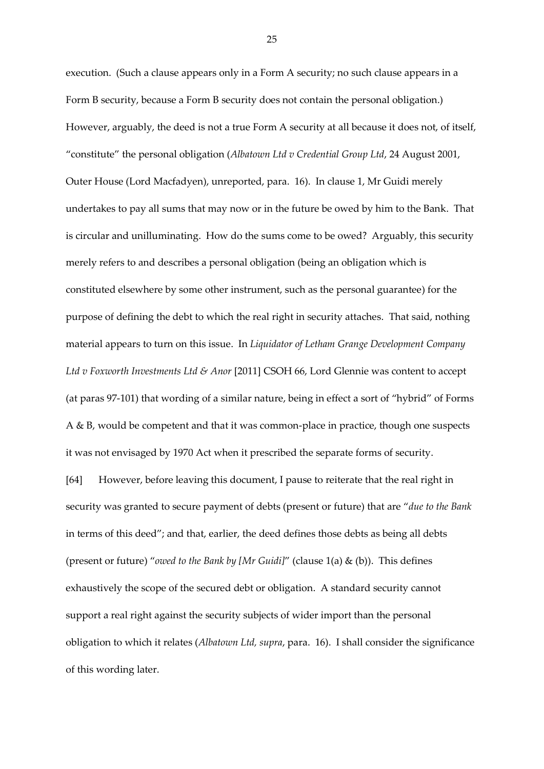execution. (Such a clause appears only in a Form A security; no such clause appears in a Form B security, because a Form B security does not contain the personal obligation.) However, arguably, the deed is not a true Form A security at all because it does not, of itself, "constitute" the personal obligation (*Albatown Ltd v Credential Group Ltd*, 24 August 2001, Outer House (Lord Macfadyen), unreported, para. 16). In clause 1, Mr Guidi merely undertakes to pay all sums that may now or in the future be owed by him to the Bank. That is circular and unilluminating. How do the sums come to be owed? Arguably, this security merely refers to and describes a personal obligation (being an obligation which is constituted elsewhere by some other instrument, such as the personal guarantee) for the purpose of defining the debt to which the real right in security attaches. That said, nothing material appears to turn on this issue. In *Liquidator of Letham Grange Development Company Ltd v Foxworth Investments Ltd & Anor* [2011] CSOH 66, Lord Glennie was content to accept (at paras 97-101) that wording of a similar nature, being in effect a sort of "hybrid" of Forms A & B, would be competent and that it was common-place in practice, though one suspects it was not envisaged by 1970 Act when it prescribed the separate forms of security. [64] However, before leaving this document, I pause to reiterate that the real right in security was granted to secure payment of debts (present or future) that are "*due to the Bank* in terms of this deed"; and that, earlier, the deed defines those debts as being all debts (present or future) "*owed to the Bank by [Mr Guidi]*" (clause 1(a) & (b)). This defines exhaustively the scope of the secured debt or obligation. A standard security cannot support a real right against the security subjects of wider import than the personal obligation to which it relates (*Albatown Ltd, supra*, para. 16). I shall consider the significance

of this wording later.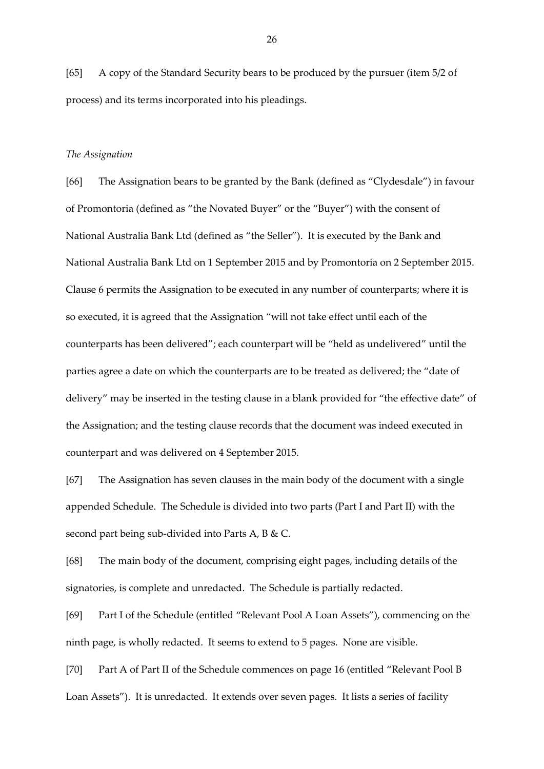[65] A copy of the Standard Security bears to be produced by the pursuer (item 5/2 of process) and its terms incorporated into his pleadings.

### *The Assignation*

[66] The Assignation bears to be granted by the Bank (defined as "Clydesdale") in favour of Promontoria (defined as "the Novated Buyer" or the "Buyer") with the consent of National Australia Bank Ltd (defined as "the Seller"). It is executed by the Bank and National Australia Bank Ltd on 1 September 2015 and by Promontoria on 2 September 2015. Clause 6 permits the Assignation to be executed in any number of counterparts; where it is so executed, it is agreed that the Assignation "will not take effect until each of the counterparts has been delivered"; each counterpart will be "held as undelivered" until the parties agree a date on which the counterparts are to be treated as delivered; the "date of delivery" may be inserted in the testing clause in a blank provided for "the effective date" of the Assignation; and the testing clause records that the document was indeed executed in counterpart and was delivered on 4 September 2015.

[67] The Assignation has seven clauses in the main body of the document with a single appended Schedule. The Schedule is divided into two parts (Part I and Part II) with the second part being sub-divided into Parts A, B & C.

[68] The main body of the document, comprising eight pages, including details of the signatories, is complete and unredacted. The Schedule is partially redacted.

[69] Part I of the Schedule (entitled "Relevant Pool A Loan Assets"), commencing on the ninth page, is wholly redacted. It seems to extend to 5 pages. None are visible.

[70] Part A of Part II of the Schedule commences on page 16 (entitled "Relevant Pool B Loan Assets"). It is unredacted. It extends over seven pages. It lists a series of facility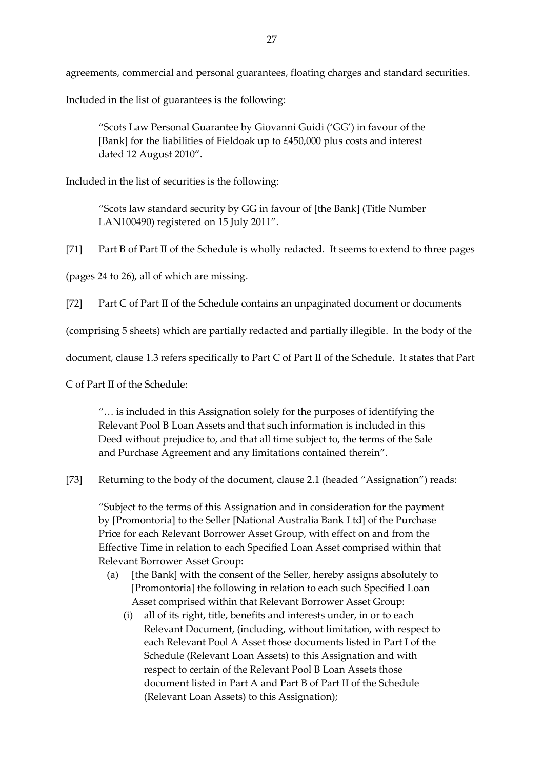agreements, commercial and personal guarantees, floating charges and standard securities.

Included in the list of guarantees is the following:

"Scots Law Personal Guarantee by Giovanni Guidi ('GG') in favour of the [Bank] for the liabilities of Fieldoak up to £450,000 plus costs and interest dated 12 August 2010".

Included in the list of securities is the following:

"Scots law standard security by GG in favour of [the Bank] (Title Number LAN100490) registered on 15 July 2011".

[71] Part B of Part II of the Schedule is wholly redacted. It seems to extend to three pages

(pages 24 to 26), all of which are missing.

[72] Part C of Part II of the Schedule contains an unpaginated document or documents

(comprising 5 sheets) which are partially redacted and partially illegible. In the body of the

document, clause 1.3 refers specifically to Part C of Part II of the Schedule. It states that Part

C of Part II of the Schedule:

"… is included in this Assignation solely for the purposes of identifying the Relevant Pool B Loan Assets and that such information is included in this Deed without prejudice to, and that all time subject to, the terms of the Sale and Purchase Agreement and any limitations contained therein".

[73] Returning to the body of the document, clause 2.1 (headed "Assignation") reads:

"Subject to the terms of this Assignation and in consideration for the payment by [Promontoria] to the Seller [National Australia Bank Ltd] of the Purchase Price for each Relevant Borrower Asset Group, with effect on and from the Effective Time in relation to each Specified Loan Asset comprised within that Relevant Borrower Asset Group:

- (a) [the Bank] with the consent of the Seller, hereby assigns absolutely to [Promontoria] the following in relation to each such Specified Loan Asset comprised within that Relevant Borrower Asset Group:
	- (i) all of its right, title, benefits and interests under, in or to each Relevant Document, (including, without limitation, with respect to each Relevant Pool A Asset those documents listed in Part I of the Schedule (Relevant Loan Assets) to this Assignation and with respect to certain of the Relevant Pool B Loan Assets those document listed in Part A and Part B of Part II of the Schedule (Relevant Loan Assets) to this Assignation);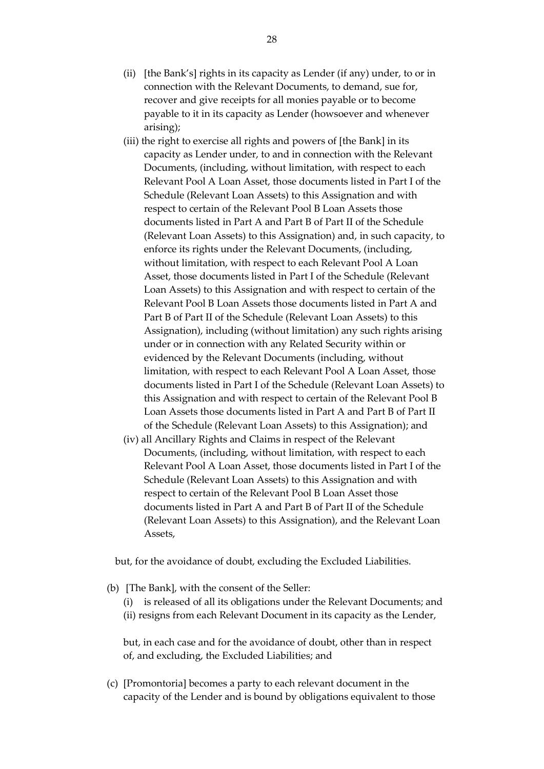- (ii) [the Bank's] rights in its capacity as Lender (if any) under, to or in connection with the Relevant Documents, to demand, sue for, recover and give receipts for all monies payable or to become payable to it in its capacity as Lender (howsoever and whenever arising);
- (iii) the right to exercise all rights and powers of [the Bank] in its capacity as Lender under, to and in connection with the Relevant Documents, (including, without limitation, with respect to each Relevant Pool A Loan Asset, those documents listed in Part I of the Schedule (Relevant Loan Assets) to this Assignation and with respect to certain of the Relevant Pool B Loan Assets those documents listed in Part A and Part B of Part II of the Schedule (Relevant Loan Assets) to this Assignation) and, in such capacity, to enforce its rights under the Relevant Documents, (including, without limitation, with respect to each Relevant Pool A Loan Asset, those documents listed in Part I of the Schedule (Relevant Loan Assets) to this Assignation and with respect to certain of the Relevant Pool B Loan Assets those documents listed in Part A and Part B of Part II of the Schedule (Relevant Loan Assets) to this Assignation), including (without limitation) any such rights arising under or in connection with any Related Security within or evidenced by the Relevant Documents (including, without limitation, with respect to each Relevant Pool A Loan Asset, those documents listed in Part I of the Schedule (Relevant Loan Assets) to this Assignation and with respect to certain of the Relevant Pool B Loan Assets those documents listed in Part A and Part B of Part II of the Schedule (Relevant Loan Assets) to this Assignation); and
- (iv) all Ancillary Rights and Claims in respect of the Relevant Documents, (including, without limitation, with respect to each Relevant Pool A Loan Asset, those documents listed in Part I of the Schedule (Relevant Loan Assets) to this Assignation and with respect to certain of the Relevant Pool B Loan Asset those documents listed in Part A and Part B of Part II of the Schedule (Relevant Loan Assets) to this Assignation), and the Relevant Loan Assets,

but, for the avoidance of doubt, excluding the Excluded Liabilities.

- (b) [The Bank], with the consent of the Seller:
	- (i) is released of all its obligations under the Relevant Documents; and (ii) resigns from each Relevant Document in its capacity as the Lender,

but, in each case and for the avoidance of doubt, other than in respect of, and excluding, the Excluded Liabilities; and

(c) [Promontoria] becomes a party to each relevant document in the capacity of the Lender and is bound by obligations equivalent to those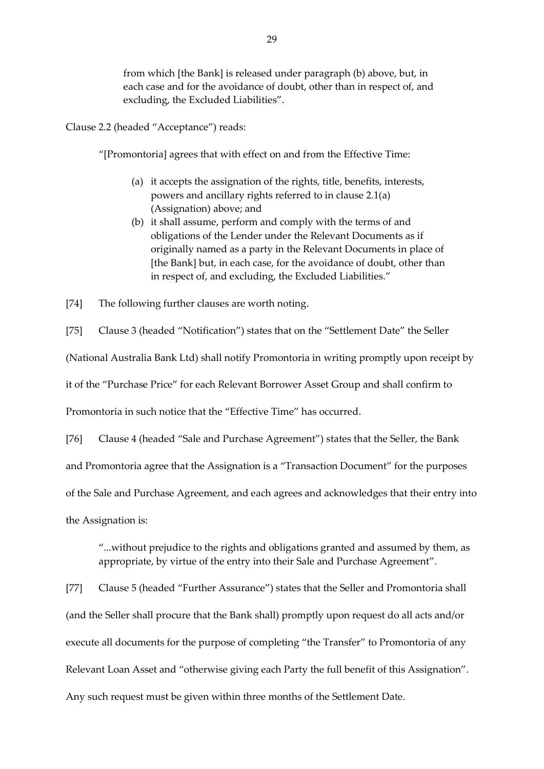from which [the Bank] is released under paragraph (b) above, but, in each case and for the avoidance of doubt, other than in respect of, and excluding, the Excluded Liabilities".

Clause 2.2 (headed "Acceptance") reads:

"[Promontoria] agrees that with effect on and from the Effective Time:

- (a) it accepts the assignation of the rights, title, benefits, interests, powers and ancillary rights referred to in clause 2.1(a) (Assignation) above; and
- (b) it shall assume, perform and comply with the terms of and obligations of the Lender under the Relevant Documents as if originally named as a party in the Relevant Documents in place of [the Bank] but, in each case, for the avoidance of doubt, other than in respect of, and excluding, the Excluded Liabilities."

[74] The following further clauses are worth noting.

[75] Clause 3 (headed "Notification") states that on the "Settlement Date" the Seller (National Australia Bank Ltd) shall notify Promontoria in writing promptly upon receipt by it of the "Purchase Price" for each Relevant Borrower Asset Group and shall confirm to Promontoria in such notice that the "Effective Time" has occurred.

[76] Clause 4 (headed "Sale and Purchase Agreement") states that the Seller, the Bank and Promontoria agree that the Assignation is a "Transaction Document" for the purposes of the Sale and Purchase Agreement, and each agrees and acknowledges that their entry into the Assignation is:

"...without prejudice to the rights and obligations granted and assumed by them, as appropriate, by virtue of the entry into their Sale and Purchase Agreement".

[77] Clause 5 (headed "Further Assurance") states that the Seller and Promontoria shall (and the Seller shall procure that the Bank shall) promptly upon request do all acts and/or execute all documents for the purpose of completing "the Transfer" to Promontoria of any Relevant Loan Asset and "otherwise giving each Party the full benefit of this Assignation". Any such request must be given within three months of the Settlement Date.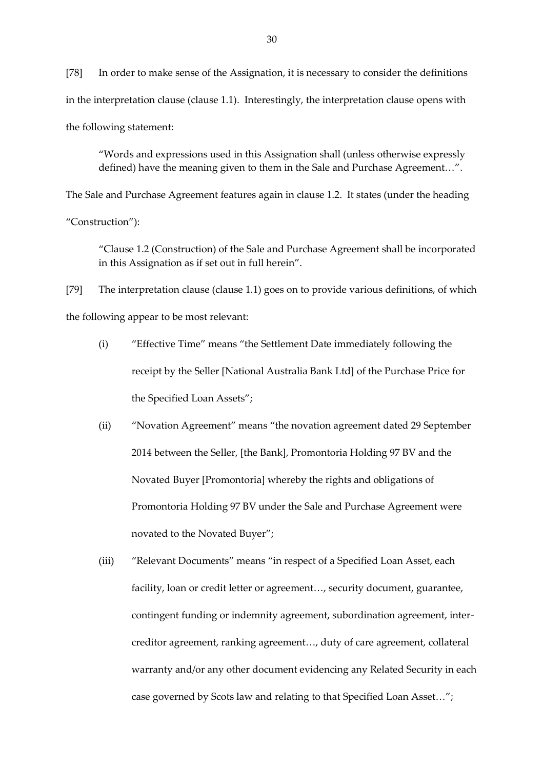[78] In order to make sense of the Assignation, it is necessary to consider the definitions in the interpretation clause (clause 1.1). Interestingly, the interpretation clause opens with the following statement:

"Words and expressions used in this Assignation shall (unless otherwise expressly defined) have the meaning given to them in the Sale and Purchase Agreement…".

The Sale and Purchase Agreement features again in clause 1.2. It states (under the heading

"Construction"):

"Clause 1.2 (Construction) of the Sale and Purchase Agreement shall be incorporated in this Assignation as if set out in full herein".

[79] The interpretation clause (clause 1.1) goes on to provide various definitions, of which the following appear to be most relevant:

- (i) "Effective Time" means "the Settlement Date immediately following the receipt by the Seller [National Australia Bank Ltd] of the Purchase Price for the Specified Loan Assets";
- (ii) "Novation Agreement" means "the novation agreement dated 29 September 2014 between the Seller, [the Bank], Promontoria Holding 97 BV and the Novated Buyer [Promontoria] whereby the rights and obligations of Promontoria Holding 97 BV under the Sale and Purchase Agreement were novated to the Novated Buyer";
- (iii) "Relevant Documents" means "in respect of a Specified Loan Asset, each facility, loan or credit letter or agreement..., security document, guarantee, contingent funding or indemnity agreement, subordination agreement, intercreditor agreement, ranking agreement…, duty of care agreement, collateral warranty and/or any other document evidencing any Related Security in each case governed by Scots law and relating to that Specified Loan Asset…";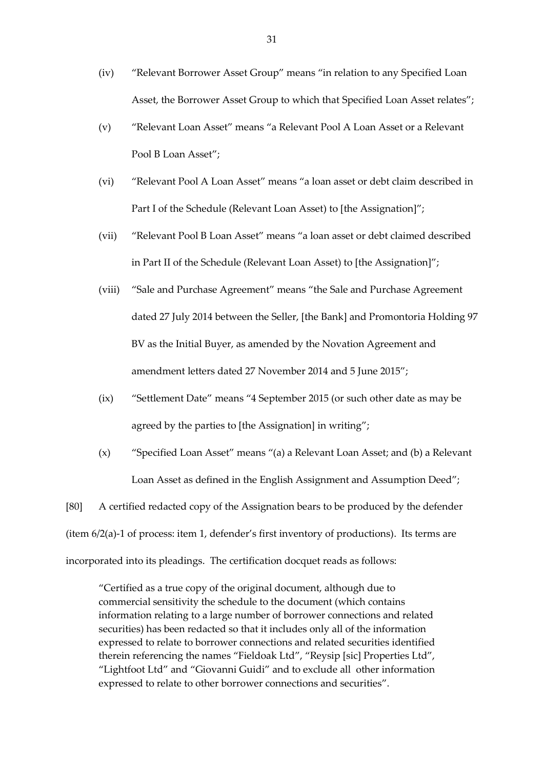- (iv) "Relevant Borrower Asset Group" means "in relation to any Specified Loan Asset, the Borrower Asset Group to which that Specified Loan Asset relates";
- (v) "Relevant Loan Asset" means "a Relevant Pool A Loan Asset or a Relevant Pool B Loan Asset";
- (vi) "Relevant Pool A Loan Asset" means "a loan asset or debt claim described in Part I of the Schedule (Relevant Loan Asset) to [the Assignation]";
- (vii) "Relevant Pool B Loan Asset" means "a loan asset or debt claimed described in Part II of the Schedule (Relevant Loan Asset) to [the Assignation]";
- (viii) "Sale and Purchase Agreement" means "the Sale and Purchase Agreement dated 27 July 2014 between the Seller, [the Bank] and Promontoria Holding 97 BV as the Initial Buyer, as amended by the Novation Agreement and amendment letters dated 27 November 2014 and 5 June 2015";
- (ix) "Settlement Date" means "4 September 2015 (or such other date as may be agreed by the parties to [the Assignation] in writing";
- (x) "Specified Loan Asset" means "(a) a Relevant Loan Asset; and (b) a Relevant Loan Asset as defined in the English Assignment and Assumption Deed";

[80] A certified redacted copy of the Assignation bears to be produced by the defender (item 6/2(a)-1 of process: item 1, defender's first inventory of productions). Its terms are incorporated into its pleadings. The certification docquet reads as follows:

"Certified as a true copy of the original document, although due to commercial sensitivity the schedule to the document (which contains information relating to a large number of borrower connections and related securities) has been redacted so that it includes only all of the information expressed to relate to borrower connections and related securities identified therein referencing the names "Fieldoak Ltd", "Reysip [sic] Properties Ltd", "Lightfoot Ltd" and "Giovanni Guidi" and to exclude all other information expressed to relate to other borrower connections and securities".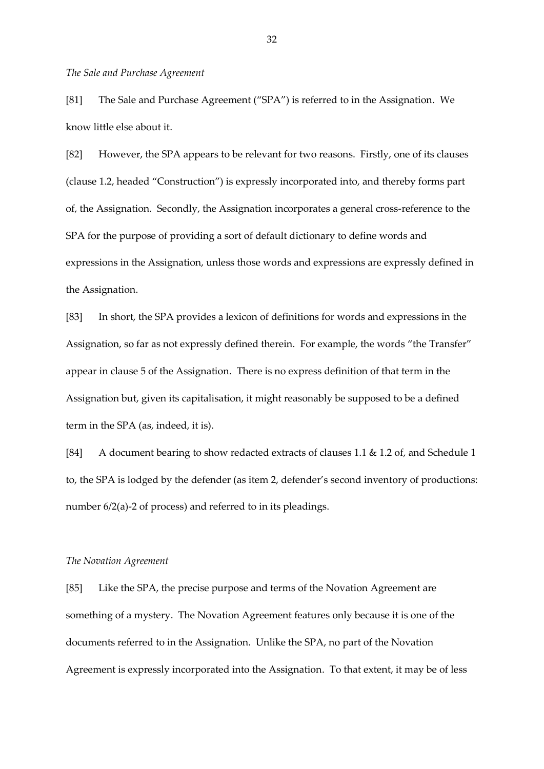#### *The Sale and Purchase Agreement*

[81] The Sale and Purchase Agreement ("SPA") is referred to in the Assignation. We know little else about it.

[82] However, the SPA appears to be relevant for two reasons. Firstly, one of its clauses (clause 1.2, headed "Construction") is expressly incorporated into, and thereby forms part of, the Assignation. Secondly, the Assignation incorporates a general cross-reference to the SPA for the purpose of providing a sort of default dictionary to define words and expressions in the Assignation, unless those words and expressions are expressly defined in the Assignation.

[83] In short, the SPA provides a lexicon of definitions for words and expressions in the Assignation, so far as not expressly defined therein. For example, the words "the Transfer" appear in clause 5 of the Assignation. There is no express definition of that term in the Assignation but, given its capitalisation, it might reasonably be supposed to be a defined term in the SPA (as, indeed, it is).

[84] A document bearing to show redacted extracts of clauses 1.1 & 1.2 of, and Schedule 1 to, the SPA is lodged by the defender (as item 2, defender's second inventory of productions: number 6/2(a)-2 of process) and referred to in its pleadings.

#### *The Novation Agreement*

[85] Like the SPA, the precise purpose and terms of the Novation Agreement are something of a mystery. The Novation Agreement features only because it is one of the documents referred to in the Assignation. Unlike the SPA, no part of the Novation Agreement is expressly incorporated into the Assignation. To that extent, it may be of less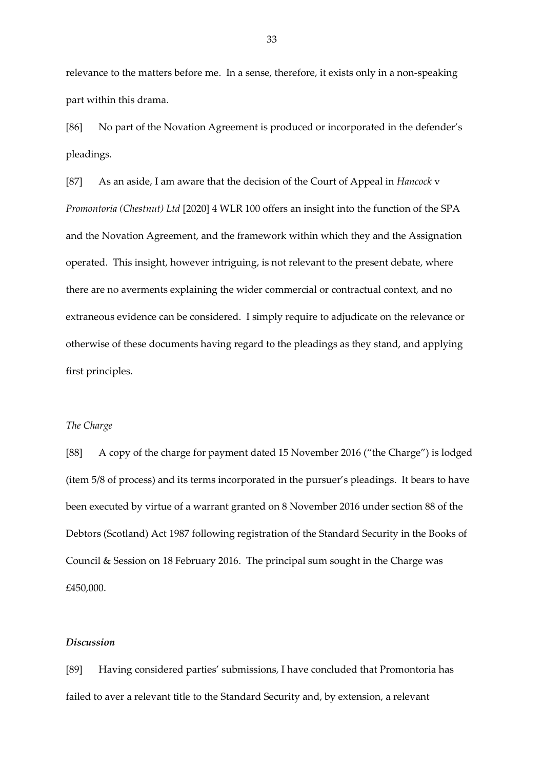relevance to the matters before me. In a sense, therefore, it exists only in a non-speaking part within this drama.

[86] No part of the Novation Agreement is produced or incorporated in the defender's pleadings.

[87] As an aside, I am aware that the decision of the Court of Appeal in *Hancock* v *Promontoria (Chestnut) Ltd* [2020] 4 WLR 100 offers an insight into the function of the SPA and the Novation Agreement, and the framework within which they and the Assignation operated. This insight, however intriguing, is not relevant to the present debate, where there are no averments explaining the wider commercial or contractual context, and no extraneous evidence can be considered. I simply require to adjudicate on the relevance or otherwise of these documents having regard to the pleadings as they stand, and applying first principles.

## *The Charge*

[88] A copy of the charge for payment dated 15 November 2016 ("the Charge") is lodged (item 5/8 of process) and its terms incorporated in the pursuer's pleadings. It bears to have been executed by virtue of a warrant granted on 8 November 2016 under section 88 of the Debtors (Scotland) Act 1987 following registration of the Standard Security in the Books of Council & Session on 18 February 2016. The principal sum sought in the Charge was £450,000.

# *Discussion*

[89] Having considered parties' submissions, I have concluded that Promontoria has failed to aver a relevant title to the Standard Security and, by extension, a relevant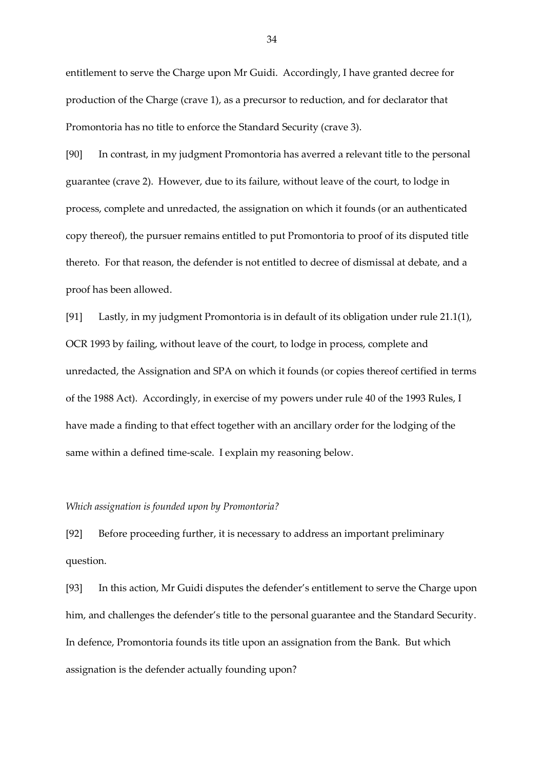entitlement to serve the Charge upon Mr Guidi. Accordingly, I have granted decree for production of the Charge (crave 1), as a precursor to reduction, and for declarator that Promontoria has no title to enforce the Standard Security (crave 3).

[90] In contrast, in my judgment Promontoria has averred a relevant title to the personal guarantee (crave 2). However, due to its failure, without leave of the court, to lodge in process, complete and unredacted, the assignation on which it founds (or an authenticated copy thereof), the pursuer remains entitled to put Promontoria to proof of its disputed title thereto. For that reason, the defender is not entitled to decree of dismissal at debate, and a proof has been allowed.

[91] Lastly, in my judgment Promontoria is in default of its obligation under rule 21.1(1), OCR 1993 by failing, without leave of the court, to lodge in process, complete and unredacted, the Assignation and SPA on which it founds (or copies thereof certified in terms of the 1988 Act). Accordingly, in exercise of my powers under rule 40 of the 1993 Rules, I have made a finding to that effect together with an ancillary order for the lodging of the same within a defined time-scale. I explain my reasoning below.

## *Which assignation is founded upon by Promontoria?*

[92] Before proceeding further, it is necessary to address an important preliminary question.

[93] In this action, Mr Guidi disputes the defender's entitlement to serve the Charge upon him, and challenges the defender's title to the personal guarantee and the Standard Security. In defence, Promontoria founds its title upon an assignation from the Bank. But which assignation is the defender actually founding upon?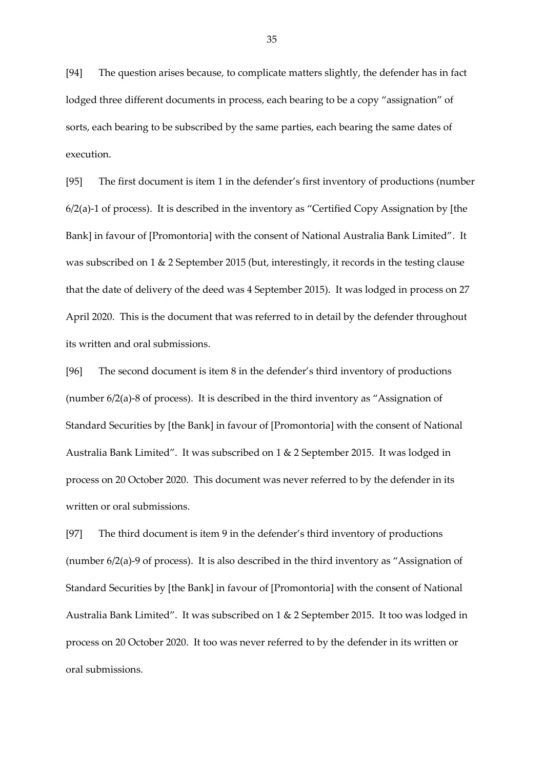[94] The question arises because, to complicate matters slightly, the defender has in fact lodged three different documents in process, each bearing to be a copy "assignation" of sorts, each bearing to be subscribed by the same parties, each bearing the same dates of execution.

[95] The first document is item 1 in the defender's first inventory of productions (number  $6/2$ (a)-1 of process). It is described in the inventory as "Certified Copy Assignation by [the Bank] in favour of [Promontoria] with the consent of National Australia Bank Limited". It was subscribed on 1 & 2 September 2015 (but, interestingly, it records in the testing clause that the date of delivery of the deed was 4 September 2015). It was lodged in process on 27 April 2020. This is the document that was referred to in detail by the defender throughout its written and oral submissions.

[96] The second document is item 8 in the defender's third inventory of productions (number 6/2(a)-8 of process). It is described in the third inventory as "Assignation of Standard Securities by [the Bank] in favour of [Promontoria] with the consent of National Australia Bank Limited". It was subscribed on 1 & 2 September 2015. It was lodged in process on 20 October 2020. This document was never referred to by the defender in its written or oral submissions.

[97] The third document is item 9 in the defender's third inventory of productions (number 6/2(a)-9 of process). It is also described in the third inventory as "Assignation of Standard Securities by [the Bank] in favour of [Promontoria] with the consent of National Australia Bank Limited". It was subscribed on 1 & 2 September 2015. It too was lodged in process on 20 October 2020. It too was never referred to by the defender in its written or oral submissions.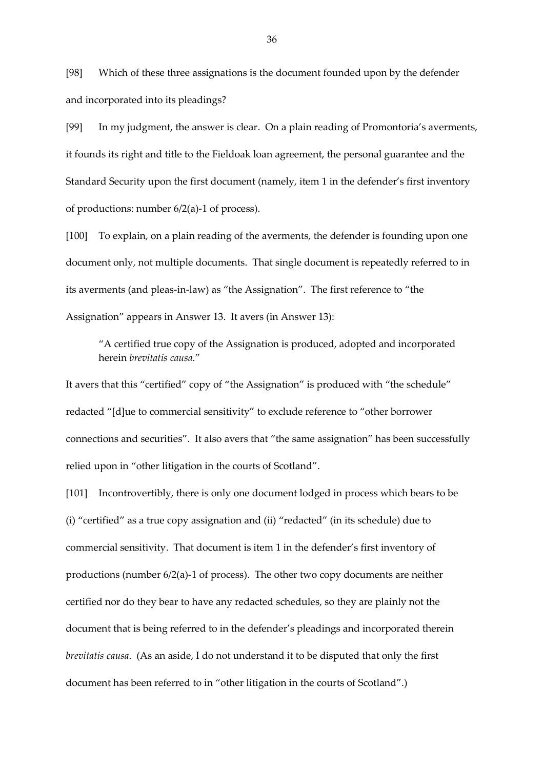[98] Which of these three assignations is the document founded upon by the defender and incorporated into its pleadings?

[99] In my judgment, the answer is clear. On a plain reading of Promontoria's averments, it founds its right and title to the Fieldoak loan agreement, the personal guarantee and the Standard Security upon the first document (namely, item 1 in the defender's first inventory of productions: number 6/2(a)-1 of process).

[100] To explain, on a plain reading of the averments, the defender is founding upon one document only, not multiple documents. That single document is repeatedly referred to in its averments (and pleas-in-law) as "the Assignation". The first reference to "the Assignation" appears in Answer 13. It avers (in Answer 13):

"A certified true copy of the Assignation is produced, adopted and incorporated herein *brevitatis causa*."

It avers that this "certified" copy of "the Assignation" is produced with "the schedule" redacted "[d]ue to commercial sensitivity" to exclude reference to "other borrower connections and securities". It also avers that "the same assignation" has been successfully relied upon in "other litigation in the courts of Scotland".

[101] Incontrovertibly, there is only one document lodged in process which bears to be (i) "certified" as a true copy assignation and (ii) "redacted" (in its schedule) due to commercial sensitivity. That document is item 1 in the defender's first inventory of productions (number 6/2(a)-1 of process). The other two copy documents are neither certified nor do they bear to have any redacted schedules, so they are plainly not the document that is being referred to in the defender's pleadings and incorporated therein *brevitatis causa*. (As an aside, I do not understand it to be disputed that only the first document has been referred to in "other litigation in the courts of Scotland".)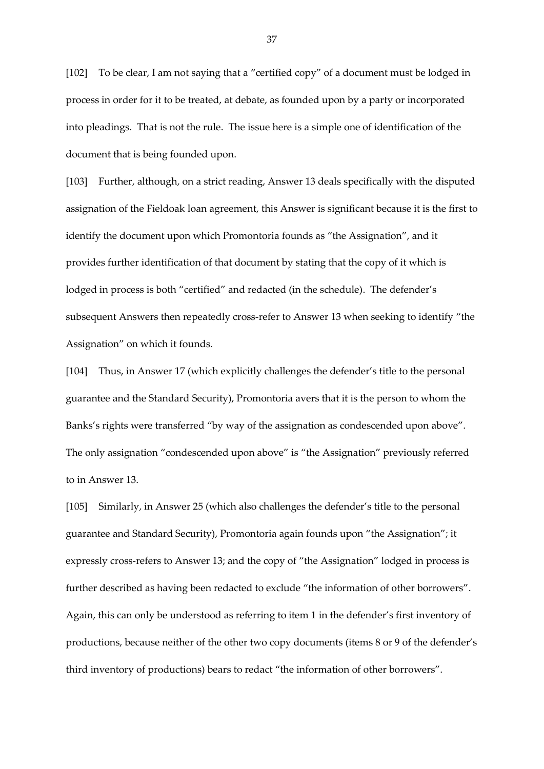[102] To be clear, I am not saying that a "certified copy" of a document must be lodged in process in order for it to be treated, at debate, as founded upon by a party or incorporated into pleadings. That is not the rule. The issue here is a simple one of identification of the document that is being founded upon.

[103] Further, although, on a strict reading, Answer 13 deals specifically with the disputed assignation of the Fieldoak loan agreement, this Answer is significant because it is the first to identify the document upon which Promontoria founds as "the Assignation", and it provides further identification of that document by stating that the copy of it which is lodged in process is both "certified" and redacted (in the schedule). The defender's subsequent Answers then repeatedly cross-refer to Answer 13 when seeking to identify "the Assignation" on which it founds.

[104] Thus, in Answer 17 (which explicitly challenges the defender's title to the personal guarantee and the Standard Security), Promontoria avers that it is the person to whom the Banks's rights were transferred "by way of the assignation as condescended upon above". The only assignation "condescended upon above" is "the Assignation" previously referred to in Answer 13.

[105] Similarly, in Answer 25 (which also challenges the defender's title to the personal guarantee and Standard Security), Promontoria again founds upon "the Assignation"; it expressly cross-refers to Answer 13; and the copy of "the Assignation" lodged in process is further described as having been redacted to exclude "the information of other borrowers". Again, this can only be understood as referring to item 1 in the defender's first inventory of productions, because neither of the other two copy documents (items 8 or 9 of the defender's third inventory of productions) bears to redact "the information of other borrowers".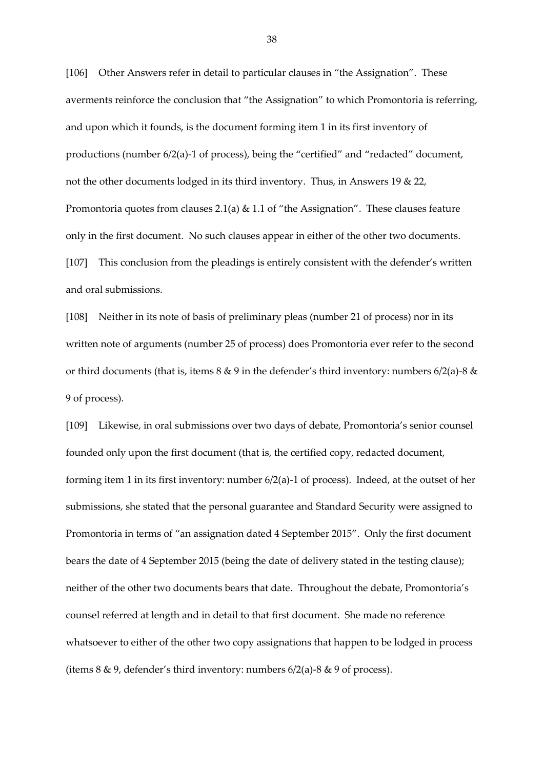[106] Other Answers refer in detail to particular clauses in "the Assignation". These averments reinforce the conclusion that "the Assignation" to which Promontoria is referring, and upon which it founds, is the document forming item 1 in its first inventory of productions (number 6/2(a)-1 of process), being the "certified" and "redacted" document, not the other documents lodged in its third inventory. Thus, in Answers 19 & 22, Promontoria quotes from clauses 2.1(a) & 1.1 of "the Assignation". These clauses feature only in the first document. No such clauses appear in either of the other two documents. [107] This conclusion from the pleadings is entirely consistent with the defender's written and oral submissions.

[108] Neither in its note of basis of preliminary pleas (number 21 of process) nor in its written note of arguments (number 25 of process) does Promontoria ever refer to the second or third documents (that is, items  $8 \& 9$  in the defender's third inventory: numbers  $6/2$ (a)- $8 \&$ 9 of process).

[109] Likewise, in oral submissions over two days of debate, Promontoria's senior counsel founded only upon the first document (that is, the certified copy, redacted document, forming item 1 in its first inventory: number 6/2(a)-1 of process). Indeed, at the outset of her submissions, she stated that the personal guarantee and Standard Security were assigned to Promontoria in terms of "an assignation dated 4 September 2015". Only the first document bears the date of 4 September 2015 (being the date of delivery stated in the testing clause); neither of the other two documents bears that date. Throughout the debate, Promontoria's counsel referred at length and in detail to that first document. She made no reference whatsoever to either of the other two copy assignations that happen to be lodged in process (items  $8 \& 9$ , defender's third inventory: numbers  $6/2$ (a)- $8 \& 9$  of process).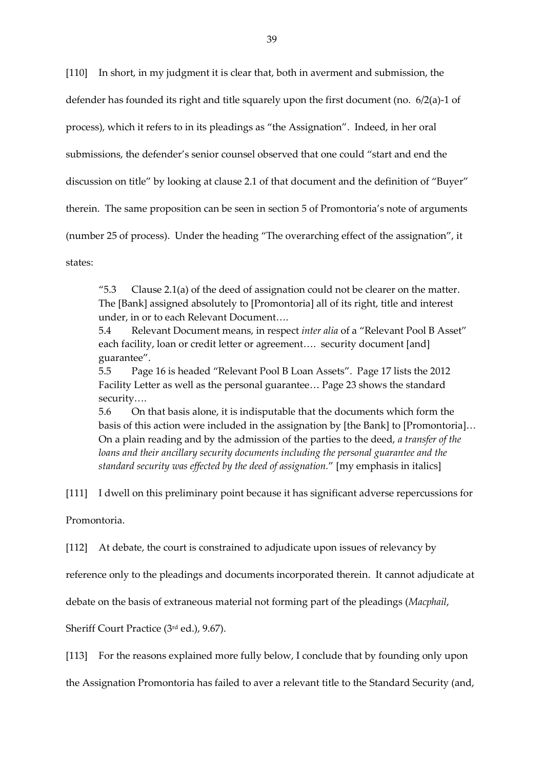[110] In short, in my judgment it is clear that, both in averment and submission, the defender has founded its right and title squarely upon the first document (no. 6/2(a)-1 of process), which it refers to in its pleadings as "the Assignation". Indeed, in her oral submissions, the defender's senior counsel observed that one could "start and end the discussion on title" by looking at clause 2.1 of that document and the definition of "Buyer" therein. The same proposition can be seen in section 5 of Promontoria's note of arguments (number 25 of process). Under the heading "The overarching effect of the assignation", it states:

"5.3 Clause 2.1(a) of the deed of assignation could not be clearer on the matter. The [Bank] assigned absolutely to [Promontoria] all of its right, title and interest under, in or to each Relevant Document….

5.4 Relevant Document means, in respect *inter alia* of a "Relevant Pool B Asset" each facility, loan or credit letter or agreement…. security document [and] guarantee".

5.5 Page 16 is headed "Relevant Pool B Loan Assets". Page 17 lists the 2012 Facility Letter as well as the personal guarantee… Page 23 shows the standard security….

5.6 On that basis alone, it is indisputable that the documents which form the basis of this action were included in the assignation by [the Bank] to [Promontoria]… On a plain reading and by the admission of the parties to the deed, *a transfer of the loans and their ancillary security documents including the personal guarantee and the standard security was effected by the deed of assignation.*" [my emphasis in italics]

[111] I dwell on this preliminary point because it has significant adverse repercussions for

Promontoria.

[112] At debate, the court is constrained to adjudicate upon issues of relevancy by

reference only to the pleadings and documents incorporated therein. It cannot adjudicate at

debate on the basis of extraneous material not forming part of the pleadings (*Macphail*,

Sheriff Court Practice (3rd ed.), 9.67).

[113] For the reasons explained more fully below, I conclude that by founding only upon

the Assignation Promontoria has failed to aver a relevant title to the Standard Security (and,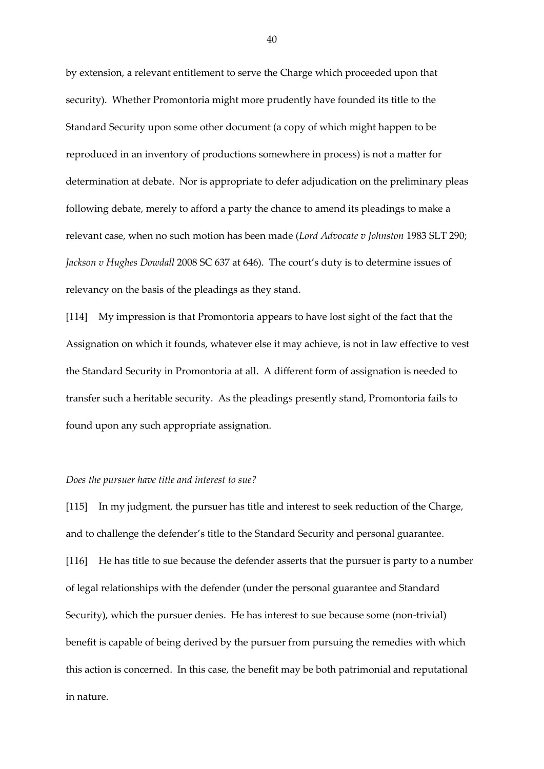by extension, a relevant entitlement to serve the Charge which proceeded upon that security). Whether Promontoria might more prudently have founded its title to the Standard Security upon some other document (a copy of which might happen to be reproduced in an inventory of productions somewhere in process) is not a matter for determination at debate. Nor is appropriate to defer adjudication on the preliminary pleas following debate, merely to afford a party the chance to amend its pleadings to make a relevant case, when no such motion has been made (*Lord Advocate v Johnston* 1983 SLT 290; *Jackson v Hughes Dowdall* 2008 SC 637 at 646). The court's duty is to determine issues of relevancy on the basis of the pleadings as they stand.

[114] My impression is that Promontoria appears to have lost sight of the fact that the Assignation on which it founds, whatever else it may achieve, is not in law effective to vest the Standard Security in Promontoria at all. A different form of assignation is needed to transfer such a heritable security. As the pleadings presently stand, Promontoria fails to found upon any such appropriate assignation.

#### *Does the pursuer have title and interest to sue?*

[115] In my judgment, the pursuer has title and interest to seek reduction of the Charge, and to challenge the defender's title to the Standard Security and personal guarantee. [116] He has title to sue because the defender asserts that the pursuer is party to a number of legal relationships with the defender (under the personal guarantee and Standard Security), which the pursuer denies. He has interest to sue because some (non-trivial) benefit is capable of being derived by the pursuer from pursuing the remedies with which this action is concerned. In this case, the benefit may be both patrimonial and reputational in nature.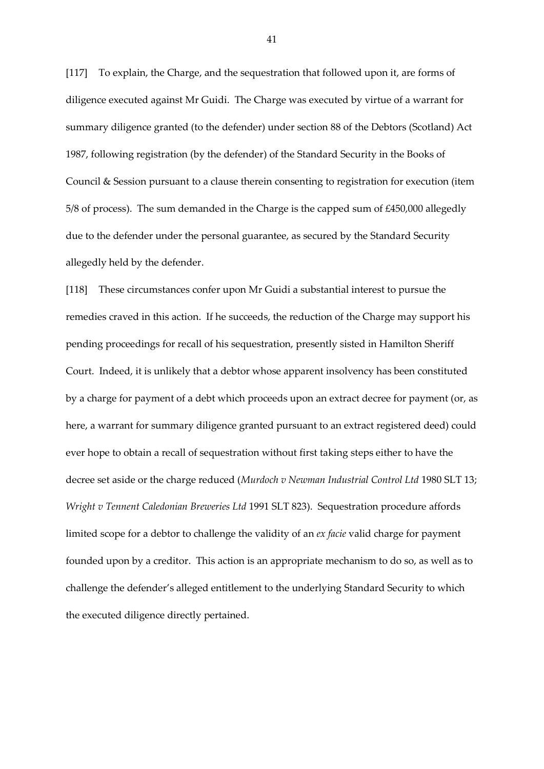[117] To explain, the Charge, and the sequestration that followed upon it, are forms of diligence executed against Mr Guidi. The Charge was executed by virtue of a warrant for summary diligence granted (to the defender) under section 88 of the Debtors (Scotland) Act 1987, following registration (by the defender) of the Standard Security in the Books of Council & Session pursuant to a clause therein consenting to registration for execution (item 5/8 of process). The sum demanded in the Charge is the capped sum of £450,000 allegedly due to the defender under the personal guarantee, as secured by the Standard Security allegedly held by the defender.

[118] These circumstances confer upon Mr Guidi a substantial interest to pursue the remedies craved in this action. If he succeeds, the reduction of the Charge may support his pending proceedings for recall of his sequestration, presently sisted in Hamilton Sheriff Court. Indeed, it is unlikely that a debtor whose apparent insolvency has been constituted by a charge for payment of a debt which proceeds upon an extract decree for payment (or, as here, a warrant for summary diligence granted pursuant to an extract registered deed) could ever hope to obtain a recall of sequestration without first taking steps either to have the decree set aside or the charge reduced (*Murdoch v Newman Industrial Control Ltd* 1980 SLT 13; *Wright v Tennent Caledonian Breweries Ltd* 1991 SLT 823). Sequestration procedure affords limited scope for a debtor to challenge the validity of an *ex facie* valid charge for payment founded upon by a creditor. This action is an appropriate mechanism to do so, as well as to challenge the defender's alleged entitlement to the underlying Standard Security to which the executed diligence directly pertained.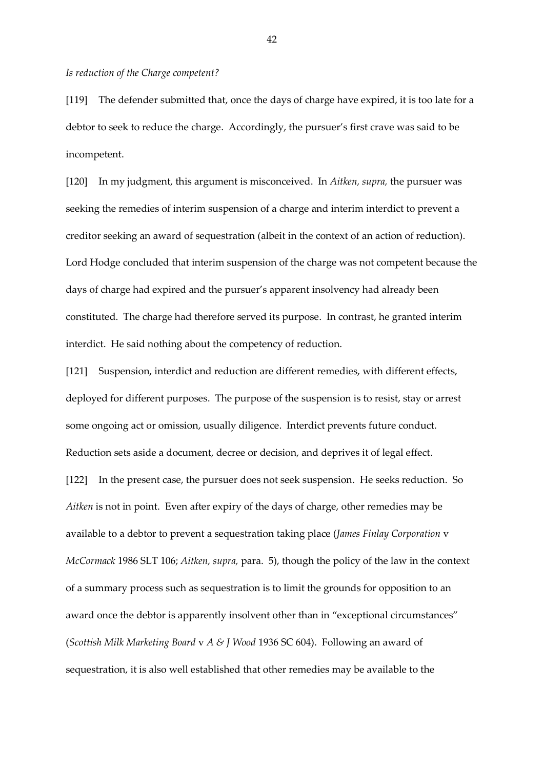#### *Is reduction of the Charge competent?*

[119] The defender submitted that, once the days of charge have expired, it is too late for a debtor to seek to reduce the charge. Accordingly, the pursuer's first crave was said to be incompetent.

[120] In my judgment, this argument is misconceived. In *Aitken, supra,* the pursuer was seeking the remedies of interim suspension of a charge and interim interdict to prevent a creditor seeking an award of sequestration (albeit in the context of an action of reduction). Lord Hodge concluded that interim suspension of the charge was not competent because the days of charge had expired and the pursuer's apparent insolvency had already been constituted. The charge had therefore served its purpose. In contrast, he granted interim interdict. He said nothing about the competency of reduction.

[121] Suspension, interdict and reduction are different remedies, with different effects, deployed for different purposes. The purpose of the suspension is to resist, stay or arrest some ongoing act or omission, usually diligence. Interdict prevents future conduct. Reduction sets aside a document, decree or decision, and deprives it of legal effect. [122] In the present case, the pursuer does not seek suspension. He seeks reduction. So *Aitken* is not in point. Even after expiry of the days of charge, other remedies may be available to a debtor to prevent a sequestration taking place (*James Finlay Corporation* v *McCormack* 1986 SLT 106; *Aitken, supra,* para. 5), though the policy of the law in the context of a summary process such as sequestration is to limit the grounds for opposition to an award once the debtor is apparently insolvent other than in "exceptional circumstances" (*Scottish Milk Marketing Board* v *A & J Wood* 1936 SC 604). Following an award of sequestration, it is also well established that other remedies may be available to the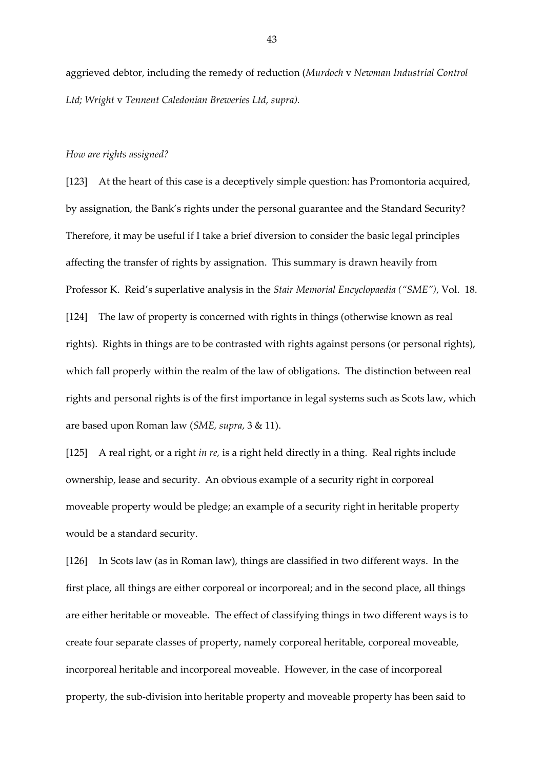aggrieved debtor, including the remedy of reduction (*Murdoch* v *Newman Industrial Control Ltd; Wright* v *Tennent Caledonian Breweries Ltd, supra).*

#### *How are rights assigned?*

[123] At the heart of this case is a deceptively simple question: has Promontoria acquired, by assignation, the Bank's rights under the personal guarantee and the Standard Security? Therefore, it may be useful if I take a brief diversion to consider the basic legal principles affecting the transfer of rights by assignation. This summary is drawn heavily from Professor K. Reid's superlative analysis in the *Stair Memorial Encyclopaedia ("SME")*, Vol. 18. [124] The law of property is concerned with rights in things (otherwise known as real rights). Rights in things are to be contrasted with rights against persons (or personal rights), which fall properly within the realm of the law of obligations. The distinction between real rights and personal rights is of the first importance in legal systems such as Scots law, which are based upon Roman law (*SME, supra*, 3 & 11).

[125] A real right, or a right *in re,* is a right held directly in a thing. Real rights include ownership, lease and security. An obvious example of a security right in corporeal moveable property would be pledge; an example of a security right in heritable property would be a standard security.

[126] In Scots law (as in Roman law), things are classified in two different ways. In the first place, all things are either corporeal or incorporeal; and in the second place, all things are either heritable or moveable. The effect of classifying things in two different ways is to create four separate classes of property, namely corporeal heritable, corporeal moveable, incorporeal heritable and incorporeal moveable. However, in the case of incorporeal property, the sub-division into heritable property and moveable property has been said to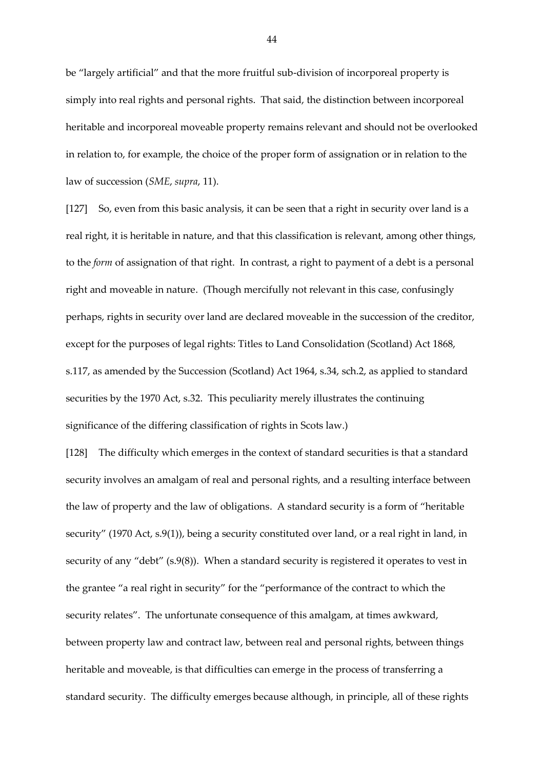be "largely artificial" and that the more fruitful sub-division of incorporeal property is simply into real rights and personal rights. That said, the distinction between incorporeal heritable and incorporeal moveable property remains relevant and should not be overlooked in relation to, for example, the choice of the proper form of assignation or in relation to the law of succession (*SME*, *supra*, 11).

[127] So, even from this basic analysis, it can be seen that a right in security over land is a real right, it is heritable in nature, and that this classification is relevant, among other things, to the *form* of assignation of that right. In contrast, a right to payment of a debt is a personal right and moveable in nature. (Though mercifully not relevant in this case, confusingly perhaps, rights in security over land are declared moveable in the succession of the creditor, except for the purposes of legal rights: Titles to Land Consolidation (Scotland) Act 1868, s.117, as amended by the Succession (Scotland) Act 1964, s.34, sch.2, as applied to standard securities by the 1970 Act, s.32. This peculiarity merely illustrates the continuing significance of the differing classification of rights in Scots law.)

[128] The difficulty which emerges in the context of standard securities is that a standard security involves an amalgam of real and personal rights, and a resulting interface between the law of property and the law of obligations. A standard security is a form of "heritable security" (1970 Act, s.9(1)), being a security constituted over land, or a real right in land, in security of any "debt" (s.9(8)). When a standard security is registered it operates to vest in the grantee "a real right in security" for the "performance of the contract to which the security relates". The unfortunate consequence of this amalgam, at times awkward, between property law and contract law, between real and personal rights, between things heritable and moveable, is that difficulties can emerge in the process of transferring a standard security. The difficulty emerges because although, in principle, all of these rights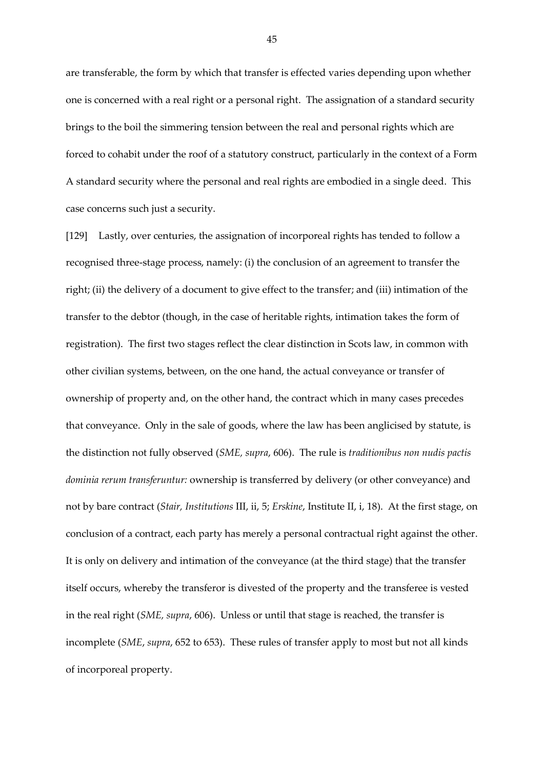are transferable, the form by which that transfer is effected varies depending upon whether one is concerned with a real right or a personal right. The assignation of a standard security brings to the boil the simmering tension between the real and personal rights which are forced to cohabit under the roof of a statutory construct, particularly in the context of a Form A standard security where the personal and real rights are embodied in a single deed. This case concerns such just a security.

[129] Lastly, over centuries, the assignation of incorporeal rights has tended to follow a recognised three-stage process, namely: (i) the conclusion of an agreement to transfer the right; (ii) the delivery of a document to give effect to the transfer; and (iii) intimation of the transfer to the debtor (though, in the case of heritable rights, intimation takes the form of registration). The first two stages reflect the clear distinction in Scots law, in common with other civilian systems, between, on the one hand, the actual conveyance or transfer of ownership of property and, on the other hand, the contract which in many cases precedes that conveyance. Only in the sale of goods, where the law has been anglicised by statute, is the distinction not fully observed (*SME, supra*, 606). The rule is *traditionibus non nudis pactis dominia rerum transferuntur:* ownership is transferred by delivery (or other conveyance) and not by bare contract (*Stair, Institutions* III, ii, 5; *Erskine*, Institute II, i, 18). At the first stage, on conclusion of a contract, each party has merely a personal contractual right against the other. It is only on delivery and intimation of the conveyance (at the third stage) that the transfer itself occurs, whereby the transferor is divested of the property and the transferee is vested in the real right (*SME, supra*, 606). Unless or until that stage is reached, the transfer is incomplete (*SME*, *supra*, 652 to 653). These rules of transfer apply to most but not all kinds of incorporeal property.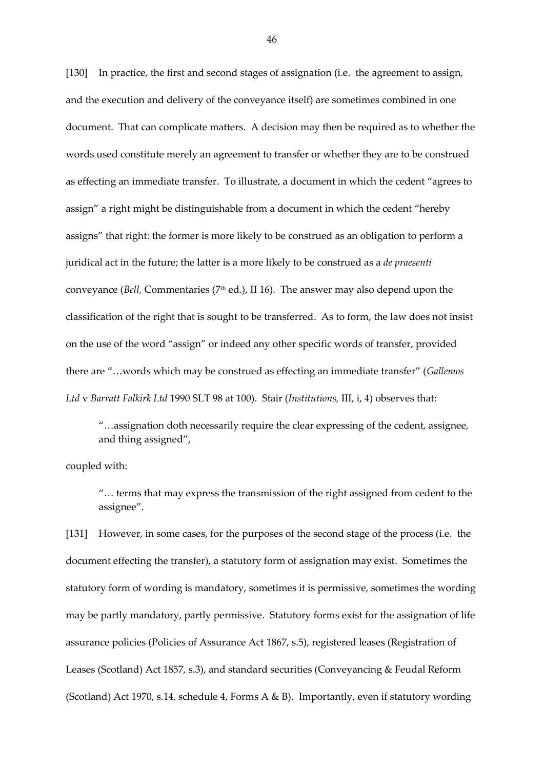[130] In practice, the first and second stages of assignation (i.e. the agreement to assign, and the execution and delivery of the conveyance itself) are sometimes combined in one document. That can complicate matters. A decision may then be required as to whether the words used constitute merely an agreement to transfer or whether they are to be construed as effecting an immediate transfer. To illustrate, a document in which the cedent "agrees to assign" a right might be distinguishable from a document in which the cedent "hereby assigns" that right: the former is more likely to be construed as an obligation to perform a juridical act in the future; the latter is a more likely to be construed as a *de praesenti* conveyance (*Bell,* Commentaries (7<sup>th</sup> ed.), II 16). The answer may also depend upon the classification of the right that is sought to be transferred. As to form, the law does not insist on the use of the word "assign" or indeed any other specific words of transfer, provided there are "…words which may be construed as effecting an immediate transfer" (*Gallemos Ltd* v *Barratt Falkirk Ltd* 1990 SLT 98 at 100). Stair (*Institutions,* III, i, 4) observes that:

"…assignation doth necessarily require the clear expressing of the cedent, assignee, and thing assigned",

coupled with:

"… terms that may express the transmission of the right assigned from cedent to the assignee".

[131] However, in some cases, for the purposes of the second stage of the process (i.e. the document effecting the transfer), a statutory form of assignation may exist. Sometimes the statutory form of wording is mandatory, sometimes it is permissive, sometimes the wording may be partly mandatory, partly permissive. Statutory forms exist for the assignation of life assurance policies (Policies of Assurance Act 1867, s.5), registered leases (Registration of Leases (Scotland) Act 1857, s.3), and standard securities (Conveyancing & Feudal Reform (Scotland) Act 1970, s.14, schedule 4, Forms A & B). Importantly, even if statutory wording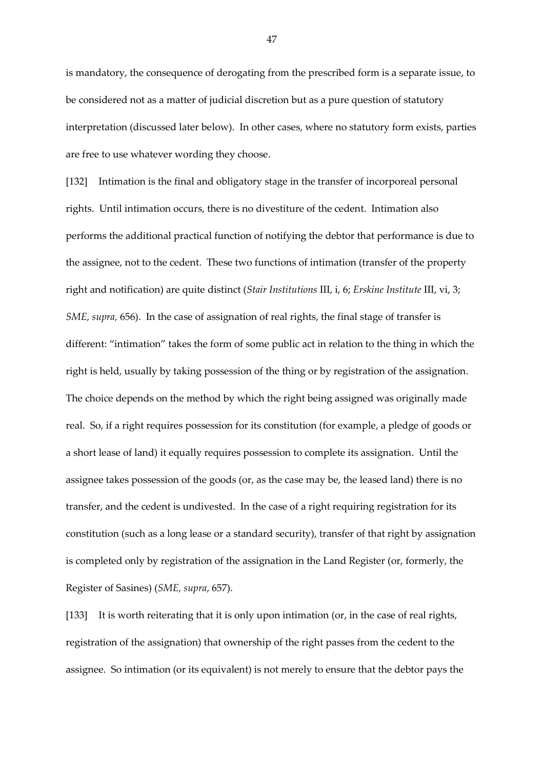is mandatory, the consequence of derogating from the prescribed form is a separate issue, to be considered not as a matter of judicial discretion but as a pure question of statutory interpretation (discussed later below). In other cases, where no statutory form exists, parties are free to use whatever wording they choose.

[132] Intimation is the final and obligatory stage in the transfer of incorporeal personal rights. Until intimation occurs, there is no divestiture of the cedent. Intimation also performs the additional practical function of notifying the debtor that performance is due to the assignee, not to the cedent. These two functions of intimation (transfer of the property right and notification) are quite distinct (*Stair Institutions* III, i, 6; *Erskine Institute* III, vi, 3; *SME, supra,* 656). In the case of assignation of real rights, the final stage of transfer is different: "intimation" takes the form of some public act in relation to the thing in which the right is held, usually by taking possession of the thing or by registration of the assignation. The choice depends on the method by which the right being assigned was originally made real. So, if a right requires possession for its constitution (for example, a pledge of goods or a short lease of land) it equally requires possession to complete its assignation. Until the assignee takes possession of the goods (or, as the case may be, the leased land) there is no transfer, and the cedent is undivested. In the case of a right requiring registration for its constitution (such as a long lease or a standard security), transfer of that right by assignation is completed only by registration of the assignation in the Land Register (or, formerly, the Register of Sasines) (*SME, supra*, 657).

[133] It is worth reiterating that it is only upon intimation (or, in the case of real rights, registration of the assignation) that ownership of the right passes from the cedent to the assignee. So intimation (or its equivalent) is not merely to ensure that the debtor pays the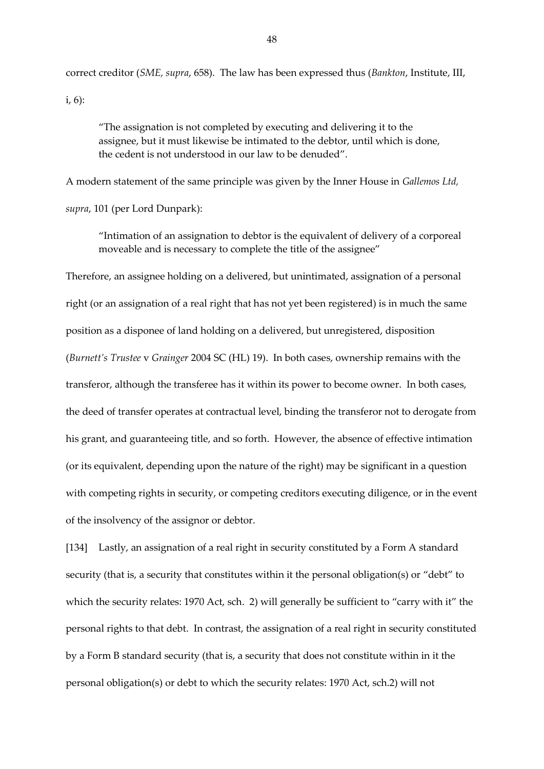correct creditor (*SME, supra*, 658). The law has been expressed thus (*Bankton*, Institute, III, i, 6):

"The assignation is not completed by executing and delivering it to the assignee, but it must likewise be intimated to the debtor, until which is done, the cedent is not understood in our law to be denuded".

A modern statement of the same principle was given by the Inner House in *Gallemos Ltd, supra*, 101 (per Lord Dunpark):

"Intimation of an assignation to debtor is the equivalent of delivery of a corporeal moveable and is necessary to complete the title of the assignee"

Therefore, an assignee holding on a delivered, but unintimated, assignation of a personal right (or an assignation of a real right that has not yet been registered) is in much the same position as a disponee of land holding on a delivered, but unregistered, disposition (*Burnett's Trustee* v *Grainger* 2004 SC (HL) 19). In both cases, ownership remains with the transferor, although the transferee has it within its power to become owner. In both cases, the deed of transfer operates at contractual level, binding the transferor not to derogate from his grant, and guaranteeing title, and so forth. However, the absence of effective intimation (or its equivalent, depending upon the nature of the right) may be significant in a question with competing rights in security, or competing creditors executing diligence, or in the event of the insolvency of the assignor or debtor.

[134] Lastly, an assignation of a real right in security constituted by a Form A standard security (that is, a security that constitutes within it the personal obligation(s) or "debt" to which the security relates: 1970 Act, sch. 2) will generally be sufficient to "carry with it" the personal rights to that debt. In contrast, the assignation of a real right in security constituted by a Form B standard security (that is, a security that does not constitute within in it the personal obligation(s) or debt to which the security relates: 1970 Act, sch.2) will not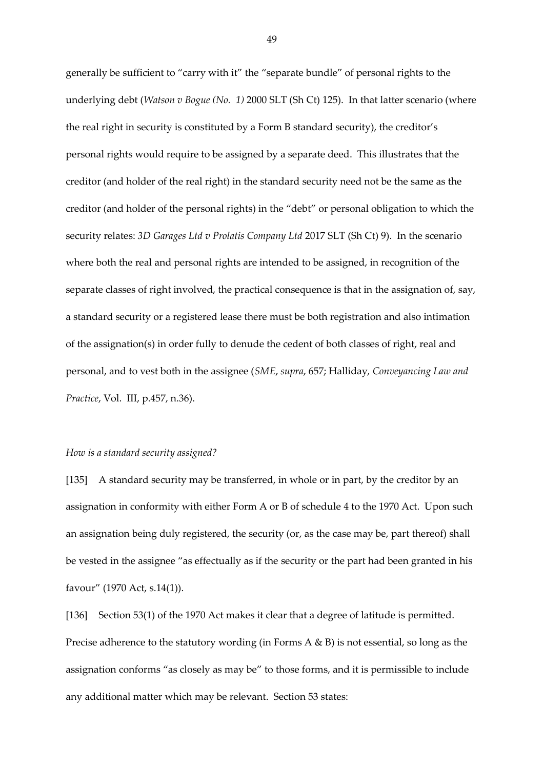generally be sufficient to "carry with it" the "separate bundle" of personal rights to the underlying debt (*Watson v Bogue (No. 1)* 2000 SLT (Sh Ct) 125). In that latter scenario (where the real right in security is constituted by a Form B standard security), the creditor's personal rights would require to be assigned by a separate deed. This illustrates that the creditor (and holder of the real right) in the standard security need not be the same as the creditor (and holder of the personal rights) in the "debt" or personal obligation to which the security relates: *3D Garages Ltd v Prolatis Company Ltd* 2017 SLT (Sh Ct) 9). In the scenario where both the real and personal rights are intended to be assigned, in recognition of the separate classes of right involved, the practical consequence is that in the assignation of, say, a standard security or a registered lease there must be both registration and also intimation of the assignation(s) in order fully to denude the cedent of both classes of right, real and personal, and to vest both in the assignee (*SME*, *supra*, 657; Halliday*, Conveyancing Law and Practice*, Vol. III, p.457, n.36).

#### *How is a standard security assigned?*

[135] A standard security may be transferred, in whole or in part, by the creditor by an assignation in conformity with either Form A or B of schedule 4 to the 1970 Act. Upon such an assignation being duly registered, the security (or, as the case may be, part thereof) shall be vested in the assignee "as effectually as if the security or the part had been granted in his favour" (1970 Act, s.14(1)).

[136] Section 53(1) of the 1970 Act makes it clear that a degree of latitude is permitted. Precise adherence to the statutory wording (in Forms A & B) is not essential, so long as the assignation conforms "as closely as may be" to those forms, and it is permissible to include any additional matter which may be relevant. Section 53 states: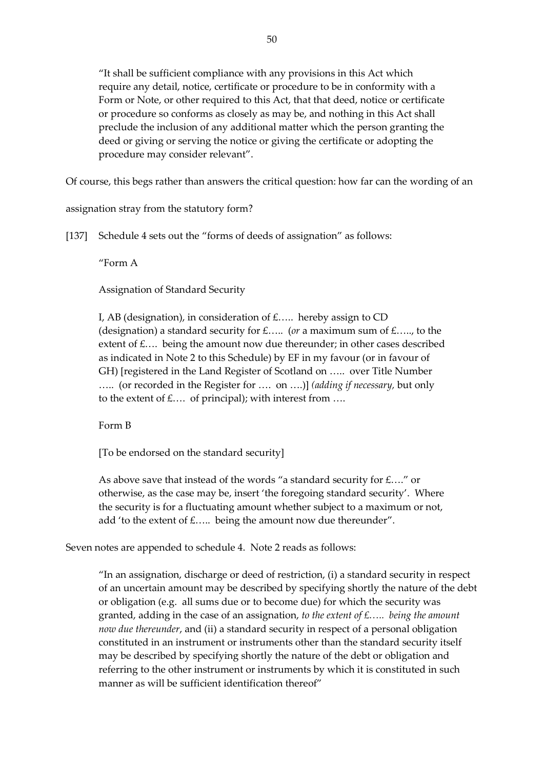"It shall be sufficient compliance with any provisions in this Act which require any detail, notice, certificate or procedure to be in conformity with a Form or Note, or other required to this Act, that that deed, notice or certificate or procedure so conforms as closely as may be, and nothing in this Act shall preclude the inclusion of any additional matter which the person granting the deed or giving or serving the notice or giving the certificate or adopting the procedure may consider relevant".

Of course, this begs rather than answers the critical question: how far can the wording of an

assignation stray from the statutory form?

[137] Schedule 4 sets out the "forms of deeds of assignation" as follows:

"Form A

Assignation of Standard Security

I, AB (designation), in consideration of  $E$ ..... hereby assign to CD (designation) a standard security for £….. (*or* a maximum sum of £….., to the extent of £.... being the amount now due thereunder; in other cases described as indicated in Note 2 to this Schedule) by EF in my favour (or in favour of GH) [registered in the Land Register of Scotland on ….. over Title Number ….. (or recorded in the Register for …. on ….)] *(adding if necessary,* but only to the extent of  $\pounds$ .... of principal); with interest from ....

Form B

[To be endorsed on the standard security]

As above save that instead of the words "a standard security for £…." or otherwise, as the case may be, insert 'the foregoing standard security'. Where the security is for a fluctuating amount whether subject to a maximum or not, add 'to the extent of £..... being the amount now due thereunder".

Seven notes are appended to schedule 4. Note 2 reads as follows:

"In an assignation, discharge or deed of restriction, (i) a standard security in respect of an uncertain amount may be described by specifying shortly the nature of the debt or obligation (e.g. all sums due or to become due) for which the security was granted, adding in the case of an assignation, *to the extent of £….. being the amount now due thereunder*, and (ii) a standard security in respect of a personal obligation constituted in an instrument or instruments other than the standard security itself may be described by specifying shortly the nature of the debt or obligation and referring to the other instrument or instruments by which it is constituted in such manner as will be sufficient identification thereof"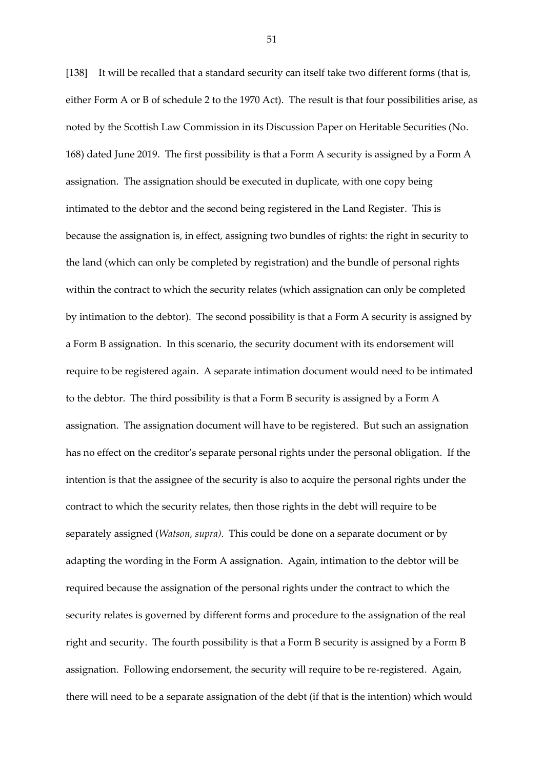[138] It will be recalled that a standard security can itself take two different forms (that is, either Form A or B of schedule 2 to the 1970 Act). The result is that four possibilities arise, as noted by the Scottish Law Commission in its Discussion Paper on Heritable Securities (No. 168) dated June 2019. The first possibility is that a Form A security is assigned by a Form A assignation. The assignation should be executed in duplicate, with one copy being intimated to the debtor and the second being registered in the Land Register. This is because the assignation is, in effect, assigning two bundles of rights: the right in security to the land (which can only be completed by registration) and the bundle of personal rights within the contract to which the security relates (which assignation can only be completed by intimation to the debtor). The second possibility is that a Form A security is assigned by a Form B assignation. In this scenario, the security document with its endorsement will require to be registered again. A separate intimation document would need to be intimated to the debtor. The third possibility is that a Form B security is assigned by a Form A assignation. The assignation document will have to be registered. But such an assignation has no effect on the creditor's separate personal rights under the personal obligation. If the intention is that the assignee of the security is also to acquire the personal rights under the contract to which the security relates, then those rights in the debt will require to be separately assigned (*Watson, supra)*. This could be done on a separate document or by adapting the wording in the Form A assignation. Again, intimation to the debtor will be required because the assignation of the personal rights under the contract to which the security relates is governed by different forms and procedure to the assignation of the real right and security. The fourth possibility is that a Form B security is assigned by a Form B assignation. Following endorsement, the security will require to be re-registered. Again, there will need to be a separate assignation of the debt (if that is the intention) which would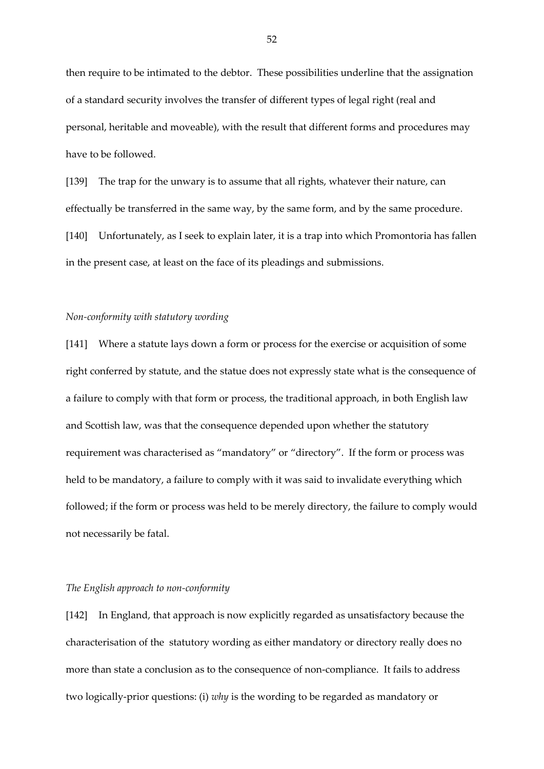then require to be intimated to the debtor. These possibilities underline that the assignation of a standard security involves the transfer of different types of legal right (real and personal, heritable and moveable), with the result that different forms and procedures may have to be followed.

[139] The trap for the unwary is to assume that all rights, whatever their nature, can effectually be transferred in the same way, by the same form, and by the same procedure. [140] Unfortunately, as I seek to explain later, it is a trap into which Promontoria has fallen in the present case, at least on the face of its pleadings and submissions.

## *Non-conformity with statutory wording*

[141] Where a statute lays down a form or process for the exercise or acquisition of some right conferred by statute, and the statue does not expressly state what is the consequence of a failure to comply with that form or process, the traditional approach, in both English law and Scottish law, was that the consequence depended upon whether the statutory requirement was characterised as "mandatory" or "directory". If the form or process was held to be mandatory, a failure to comply with it was said to invalidate everything which followed; if the form or process was held to be merely directory, the failure to comply would not necessarily be fatal.

### *The English approach to non-conformity*

[142] In England, that approach is now explicitly regarded as unsatisfactory because the characterisation of the statutory wording as either mandatory or directory really does no more than state a conclusion as to the consequence of non-compliance. It fails to address two logically-prior questions: (i) *why* is the wording to be regarded as mandatory or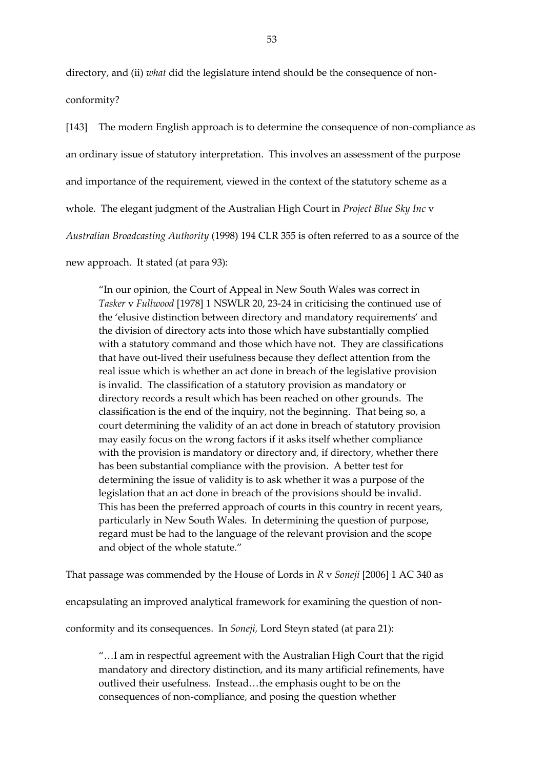directory, and (ii) *what* did the legislature intend should be the consequence of nonconformity?

[143] The modern English approach is to determine the consequence of non-compliance as an ordinary issue of statutory interpretation. This involves an assessment of the purpose and importance of the requirement, viewed in the context of the statutory scheme as a whole. The elegant judgment of the Australian High Court in *Project Blue Sky Inc* v *Australian Broadcasting Authority* (1998) 194 CLR 355 is often referred to as a source of the new approach. It stated (at para 93):

"In our opinion, the Court of Appeal in New South Wales was correct in *Tasker* v *Fullwood* [1978] 1 NSWLR 20, 23-24 in criticising the continued use of the 'elusive distinction between directory and mandatory requirements' and the division of directory acts into those which have substantially complied with a statutory command and those which have not. They are classifications that have out-lived their usefulness because they deflect attention from the real issue which is whether an act done in breach of the legislative provision is invalid. The classification of a statutory provision as mandatory or directory records a result which has been reached on other grounds. The classification is the end of the inquiry, not the beginning. That being so, a court determining the validity of an act done in breach of statutory provision may easily focus on the wrong factors if it asks itself whether compliance with the provision is mandatory or directory and, if directory, whether there has been substantial compliance with the provision. A better test for determining the issue of validity is to ask whether it was a purpose of the legislation that an act done in breach of the provisions should be invalid. This has been the preferred approach of courts in this country in recent years, particularly in New South Wales. In determining the question of purpose, regard must be had to the language of the relevant provision and the scope and object of the whole statute."

That passage was commended by the House of Lords in *R* v *Soneji* [2006] 1 AC 340 as

encapsulating an improved analytical framework for examining the question of non-

conformity and its consequences. In *Soneji,* Lord Steyn stated (at para 21):

"…I am in respectful agreement with the Australian High Court that the rigid mandatory and directory distinction, and its many artificial refinements, have outlived their usefulness. Instead…the emphasis ought to be on the consequences of non-compliance, and posing the question whether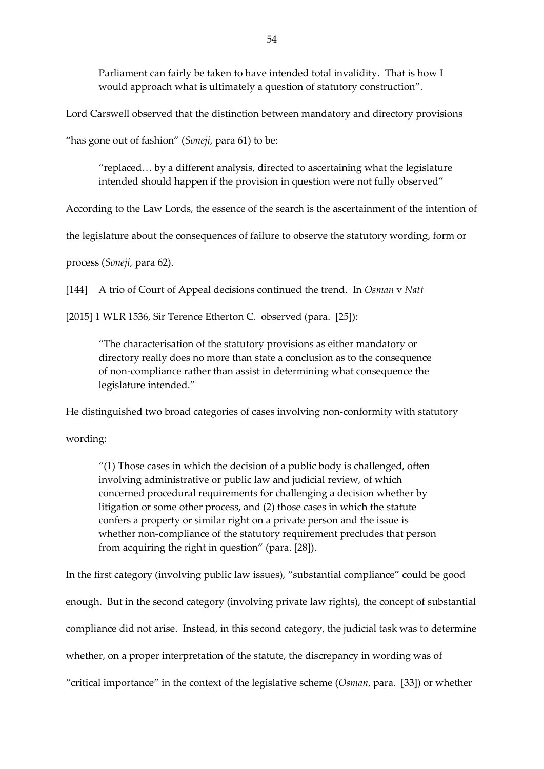Parliament can fairly be taken to have intended total invalidity. That is how I would approach what is ultimately a question of statutory construction".

Lord Carswell observed that the distinction between mandatory and directory provisions

"has gone out of fashion" (*Soneji*, para 61) to be:

"replaced… by a different analysis, directed to ascertaining what the legislature intended should happen if the provision in question were not fully observed"

According to the Law Lords, the essence of the search is the ascertainment of the intention of

the legislature about the consequences of failure to observe the statutory wording, form or

process (*Soneji,* para 62).

[144] A trio of Court of Appeal decisions continued the trend. In *Osman* v *Natt*

[2015] 1 WLR 1536, Sir Terence Etherton C. observed (para. [25]):

"The characterisation of the statutory provisions as either mandatory or directory really does no more than state a conclusion as to the consequence of non-compliance rather than assist in determining what consequence the legislature intended."

He distinguished two broad categories of cases involving non-conformity with statutory

wording:

"(1) Those cases in which the decision of a public body is challenged, often involving administrative or public law and judicial review, of which concerned procedural requirements for challenging a decision whether by litigation or some other process, and (2) those cases in which the statute confers a property or similar right on a private person and the issue is whether non-compliance of the statutory requirement precludes that person from acquiring the right in question" (para. [28]).

In the first category (involving public law issues), "substantial compliance" could be good enough. But in the second category (involving private law rights), the concept of substantial compliance did not arise. Instead, in this second category, the judicial task was to determine whether, on a proper interpretation of the statute, the discrepancy in wording was of "critical importance" in the context of the legislative scheme (*Osman*, para. [33]) or whether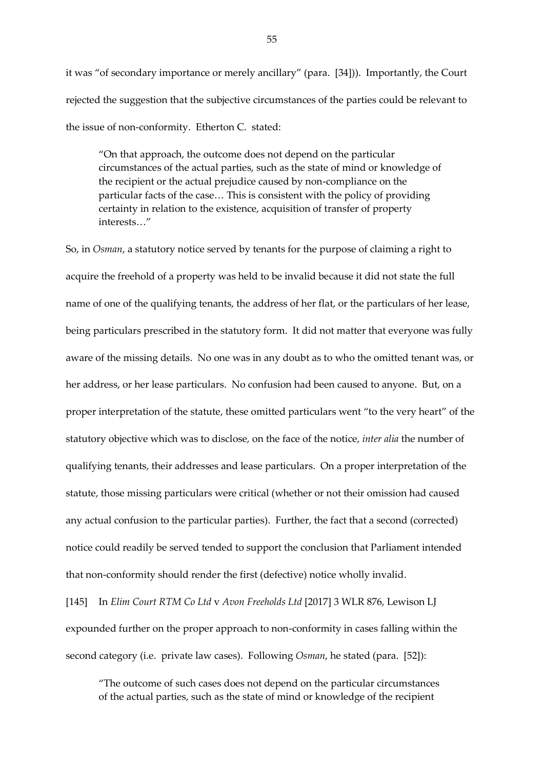it was "of secondary importance or merely ancillary" (para. [34])). Importantly, the Court rejected the suggestion that the subjective circumstances of the parties could be relevant to the issue of non-conformity. Etherton C. stated:

"On that approach, the outcome does not depend on the particular circumstances of the actual parties, such as the state of mind or knowledge of the recipient or the actual prejudice caused by non-compliance on the particular facts of the case… This is consistent with the policy of providing certainty in relation to the existence, acquisition of transfer of property interests…"

So, in *Osman*, a statutory notice served by tenants for the purpose of claiming a right to acquire the freehold of a property was held to be invalid because it did not state the full name of one of the qualifying tenants, the address of her flat, or the particulars of her lease, being particulars prescribed in the statutory form. It did not matter that everyone was fully aware of the missing details. No one was in any doubt as to who the omitted tenant was, or her address, or her lease particulars. No confusion had been caused to anyone. But, on a proper interpretation of the statute, these omitted particulars went "to the very heart" of the statutory objective which was to disclose, on the face of the notice, *inter alia* the number of qualifying tenants, their addresses and lease particulars. On a proper interpretation of the statute, those missing particulars were critical (whether or not their omission had caused any actual confusion to the particular parties). Further, the fact that a second (corrected) notice could readily be served tended to support the conclusion that Parliament intended that non-conformity should render the first (defective) notice wholly invalid.

[145] In *Elim Court RTM Co Ltd* v *Avon Freeholds Ltd* [2017] 3 WLR 876, Lewison LJ expounded further on the proper approach to non-conformity in cases falling within the second category (i.e. private law cases). Following *Osman*, he stated (para. [52]):

"The outcome of such cases does not depend on the particular circumstances of the actual parties, such as the state of mind or knowledge of the recipient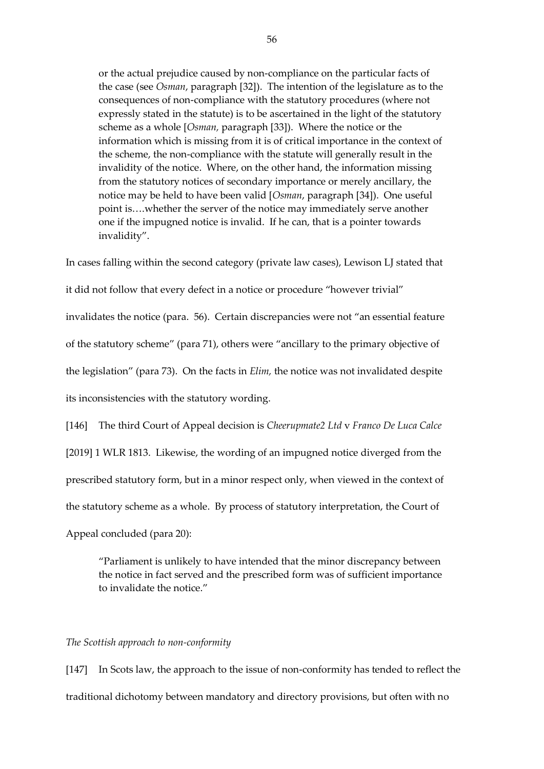or the actual prejudice caused by non-compliance on the particular facts of the case (see *Osman*, paragraph [32]). The intention of the legislature as to the consequences of non-compliance with the statutory procedures (where not expressly stated in the statute) is to be ascertained in the light of the statutory scheme as a whole [*Osman,* paragraph [33]). Where the notice or the information which is missing from it is of critical importance in the context of the scheme, the non-compliance with the statute will generally result in the invalidity of the notice. Where, on the other hand, the information missing from the statutory notices of secondary importance or merely ancillary, the notice may be held to have been valid [*Osman*, paragraph [34]). One useful point is….whether the server of the notice may immediately serve another one if the impugned notice is invalid. If he can, that is a pointer towards invalidity".

In cases falling within the second category (private law cases), Lewison LJ stated that

it did not follow that every defect in a notice or procedure "however trivial"

invalidates the notice (para. 56). Certain discrepancies were not "an essential feature

of the statutory scheme" (para 71), others were "ancillary to the primary objective of

the legislation" (para 73). On the facts in *Elim,* the notice was not invalidated despite

its inconsistencies with the statutory wording.

[146] The third Court of Appeal decision is *Cheerupmate2 Ltd* v *Franco De Luca Calce* [2019] 1 WLR 1813. Likewise, the wording of an impugned notice diverged from the prescribed statutory form, but in a minor respect only, when viewed in the context of the statutory scheme as a whole. By process of statutory interpretation, the Court of Appeal concluded (para 20):

"Parliament is unlikely to have intended that the minor discrepancy between the notice in fact served and the prescribed form was of sufficient importance to invalidate the notice."

#### *The Scottish approach to non-conformity*

[147] In Scots law, the approach to the issue of non-conformity has tended to reflect the traditional dichotomy between mandatory and directory provisions, but often with no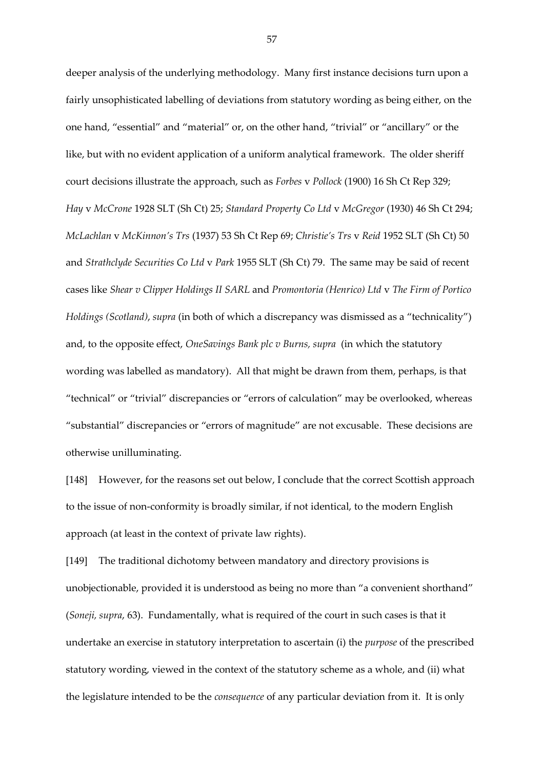deeper analysis of the underlying methodology. Many first instance decisions turn upon a fairly unsophisticated labelling of deviations from statutory wording as being either, on the one hand, "essential" and "material" or, on the other hand, "trivial" or "ancillary" or the like, but with no evident application of a uniform analytical framework. The older sheriff court decisions illustrate the approach, such as *Forbes* v *Pollock* (1900) 16 Sh Ct Rep 329; *Hay* v *McCrone* 1928 SLT (Sh Ct) 25; *Standard Property Co Ltd* v *McGregor* (1930) 46 Sh Ct 294; *McLachlan* v *McKinnon's Trs* (1937) 53 Sh Ct Rep 69; *Christie's Trs* v *Reid* 1952 SLT (Sh Ct) 50 and *Strathclyde Securities Co Ltd* v *Park* 1955 SLT (Sh Ct) 79. The same may be said of recent cases like *Shear v Clipper Holdings II SARL* and *Promontoria (Henrico) Ltd* v *The Firm of Portico Holdings (Scotland)*, *supra* (in both of which a discrepancy was dismissed as a "technicality") and, to the opposite effect, *OneSavings Bank plc v Burns, supra* (in which the statutory wording was labelled as mandatory). All that might be drawn from them, perhaps, is that "technical" or "trivial" discrepancies or "errors of calculation" may be overlooked, whereas "substantial" discrepancies or "errors of magnitude" are not excusable. These decisions are otherwise unilluminating.

[148] However, for the reasons set out below, I conclude that the correct Scottish approach to the issue of non-conformity is broadly similar, if not identical, to the modern English approach (at least in the context of private law rights).

[149] The traditional dichotomy between mandatory and directory provisions is unobjectionable, provided it is understood as being no more than "a convenient shorthand" (*Soneji, supra*, 63). Fundamentally, what is required of the court in such cases is that it undertake an exercise in statutory interpretation to ascertain (i) the *purpose* of the prescribed statutory wording, viewed in the context of the statutory scheme as a whole, and (ii) what the legislature intended to be the *consequence* of any particular deviation from it. It is only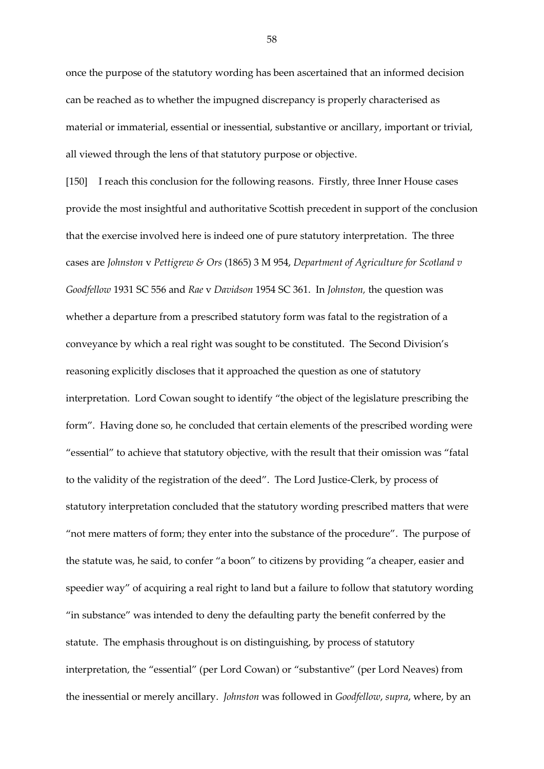once the purpose of the statutory wording has been ascertained that an informed decision can be reached as to whether the impugned discrepancy is properly characterised as material or immaterial, essential or inessential, substantive or ancillary, important or trivial, all viewed through the lens of that statutory purpose or objective.

[150] I reach this conclusion for the following reasons. Firstly, three Inner House cases provide the most insightful and authoritative Scottish precedent in support of the conclusion that the exercise involved here is indeed one of pure statutory interpretation. The three cases are *Johnston* v *Pettigrew & Ors* (1865) 3 M 954, *Department of Agriculture for Scotland v Goodfellow* 1931 SC 556 and *Rae* v *Davidson* 1954 SC 361. In *Johnston,* the question was whether a departure from a prescribed statutory form was fatal to the registration of a conveyance by which a real right was sought to be constituted. The Second Division's reasoning explicitly discloses that it approached the question as one of statutory interpretation. Lord Cowan sought to identify "the object of the legislature prescribing the form". Having done so, he concluded that certain elements of the prescribed wording were "essential" to achieve that statutory objective, with the result that their omission was "fatal to the validity of the registration of the deed". The Lord Justice-Clerk, by process of statutory interpretation concluded that the statutory wording prescribed matters that were "not mere matters of form; they enter into the substance of the procedure". The purpose of the statute was, he said, to confer "a boon" to citizens by providing "a cheaper, easier and speedier way" of acquiring a real right to land but a failure to follow that statutory wording "in substance" was intended to deny the defaulting party the benefit conferred by the statute. The emphasis throughout is on distinguishing, by process of statutory interpretation, the "essential" (per Lord Cowan) or "substantive" (per Lord Neaves) from the inessential or merely ancillary. *Johnston* was followed in *Goodfellow*, *supra*, where, by an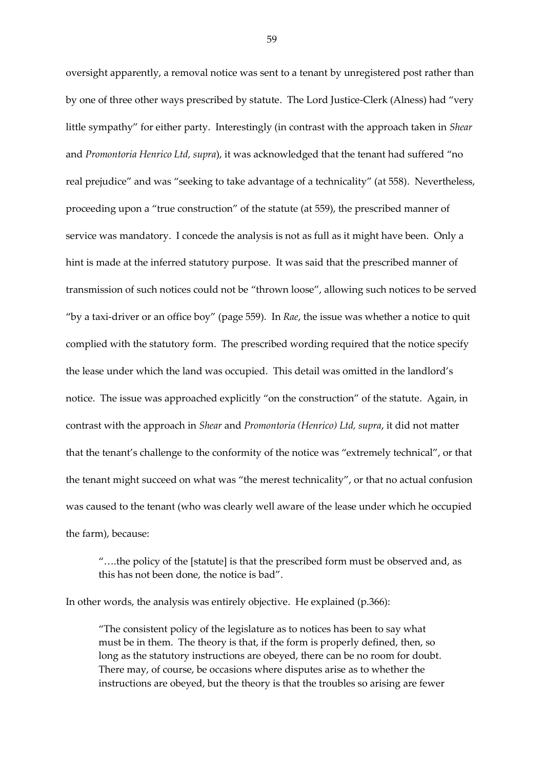oversight apparently, a removal notice was sent to a tenant by unregistered post rather than by one of three other ways prescribed by statute. The Lord Justice-Clerk (Alness) had "very little sympathy" for either party. Interestingly (in contrast with the approach taken in *Shear* and *Promontoria Henrico Ltd, supra*), it was acknowledged that the tenant had suffered "no real prejudice" and was "seeking to take advantage of a technicality" (at 558). Nevertheless, proceeding upon a "true construction" of the statute (at 559), the prescribed manner of service was mandatory. I concede the analysis is not as full as it might have been. Only a hint is made at the inferred statutory purpose. It was said that the prescribed manner of transmission of such notices could not be "thrown loose", allowing such notices to be served "by a taxi-driver or an office boy" (page 559). In *Rae*, the issue was whether a notice to quit complied with the statutory form. The prescribed wording required that the notice specify the lease under which the land was occupied. This detail was omitted in the landlord's notice. The issue was approached explicitly "on the construction" of the statute. Again, in contrast with the approach in *Shear* and *Promontoria (Henrico) Ltd, supra*, it did not matter that the tenant's challenge to the conformity of the notice was "extremely technical", or that the tenant might succeed on what was "the merest technicality", or that no actual confusion was caused to the tenant (who was clearly well aware of the lease under which he occupied the farm), because:

"….the policy of the [statute] is that the prescribed form must be observed and, as this has not been done, the notice is bad".

In other words, the analysis was entirely objective. He explained (p.366):

"The consistent policy of the legislature as to notices has been to say what must be in them. The theory is that, if the form is properly defined, then, so long as the statutory instructions are obeyed, there can be no room for doubt. There may, of course, be occasions where disputes arise as to whether the instructions are obeyed, but the theory is that the troubles so arising are fewer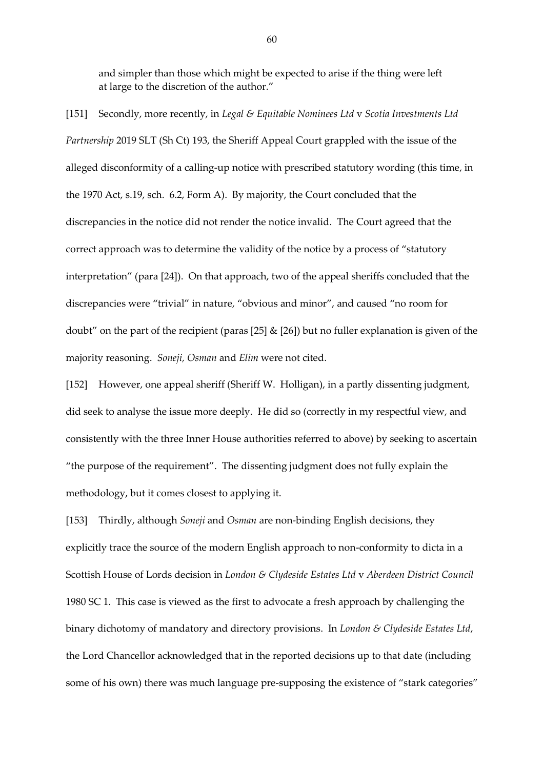and simpler than those which might be expected to arise if the thing were left at large to the discretion of the author."

[151] Secondly, more recently, in *Legal & Equitable Nominees Ltd* v *Scotia Investments Ltd Partnership* 2019 SLT (Sh Ct) 193, the Sheriff Appeal Court grappled with the issue of the alleged disconformity of a calling-up notice with prescribed statutory wording (this time, in the 1970 Act, s.19, sch. 6.2, Form A). By majority, the Court concluded that the discrepancies in the notice did not render the notice invalid. The Court agreed that the correct approach was to determine the validity of the notice by a process of "statutory interpretation" (para [24]). On that approach, two of the appeal sheriffs concluded that the discrepancies were "trivial" in nature, "obvious and minor", and caused "no room for doubt" on the part of the recipient (paras [25]  $\&$  [26]) but no fuller explanation is given of the majority reasoning. *Soneji, Osman* and *Elim* were not cited.

[152] However, one appeal sheriff (Sheriff W. Holligan), in a partly dissenting judgment, did seek to analyse the issue more deeply. He did so (correctly in my respectful view, and consistently with the three Inner House authorities referred to above) by seeking to ascertain "the purpose of the requirement". The dissenting judgment does not fully explain the methodology, but it comes closest to applying it.

[153] Thirdly, although *Soneji* and *Osman* are non-binding English decisions, they explicitly trace the source of the modern English approach to non-conformity to dicta in a Scottish House of Lords decision in *London & Clydeside Estates Ltd* v *Aberdeen District Council* 1980 SC 1. This case is viewed as the first to advocate a fresh approach by challenging the binary dichotomy of mandatory and directory provisions. In *London & Clydeside Estates Ltd*, the Lord Chancellor acknowledged that in the reported decisions up to that date (including some of his own) there was much language pre-supposing the existence of "stark categories"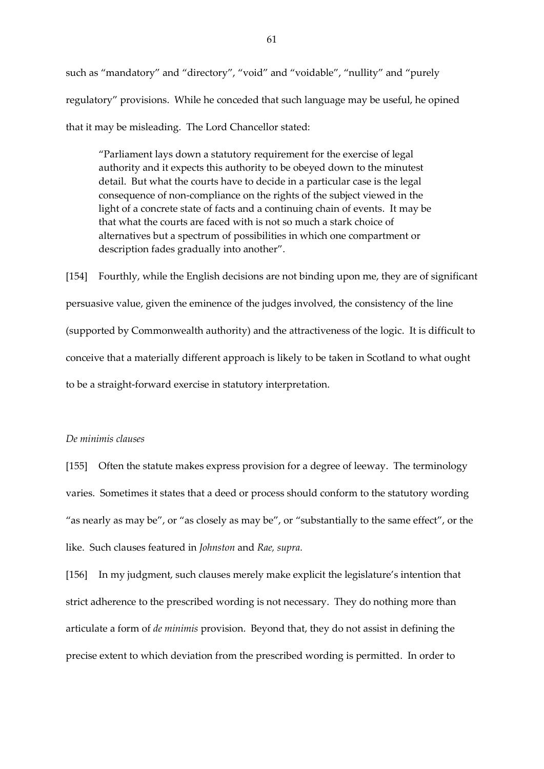such as "mandatory" and "directory", "void" and "voidable", "nullity" and "purely regulatory" provisions. While he conceded that such language may be useful, he opined that it may be misleading. The Lord Chancellor stated:

"Parliament lays down a statutory requirement for the exercise of legal authority and it expects this authority to be obeyed down to the minutest detail. But what the courts have to decide in a particular case is the legal consequence of non-compliance on the rights of the subject viewed in the light of a concrete state of facts and a continuing chain of events. It may be that what the courts are faced with is not so much a stark choice of alternatives but a spectrum of possibilities in which one compartment or description fades gradually into another".

[154] Fourthly, while the English decisions are not binding upon me, they are of significant persuasive value, given the eminence of the judges involved, the consistency of the line (supported by Commonwealth authority) and the attractiveness of the logic. It is difficult to conceive that a materially different approach is likely to be taken in Scotland to what ought to be a straight-forward exercise in statutory interpretation.

# *De minimis clauses*

[155] Often the statute makes express provision for a degree of leeway. The terminology varies. Sometimes it states that a deed or process should conform to the statutory wording "as nearly as may be", or "as closely as may be", or "substantially to the same effect", or the like. Such clauses featured in *Johnston* and *Rae, supra.* 

[156] In my judgment, such clauses merely make explicit the legislature's intention that strict adherence to the prescribed wording is not necessary. They do nothing more than articulate a form of *de minimis* provision. Beyond that, they do not assist in defining the precise extent to which deviation from the prescribed wording is permitted. In order to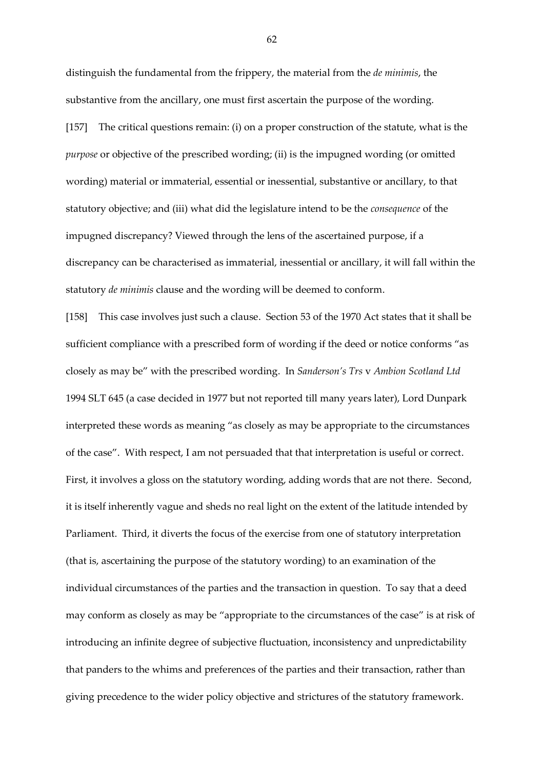distinguish the fundamental from the frippery, the material from the *de minimis*, the substantive from the ancillary, one must first ascertain the purpose of the wording. [157] The critical questions remain: (i) on a proper construction of the statute, what is the *purpose* or objective of the prescribed wording; (ii) is the impugned wording (or omitted wording) material or immaterial, essential or inessential, substantive or ancillary, to that statutory objective; and (iii) what did the legislature intend to be the *consequence* of the impugned discrepancy? Viewed through the lens of the ascertained purpose, if a discrepancy can be characterised as immaterial, inessential or ancillary, it will fall within the statutory *de minimis* clause and the wording will be deemed to conform.

[158] This case involves just such a clause. Section 53 of the 1970 Act states that it shall be sufficient compliance with a prescribed form of wording if the deed or notice conforms "as closely as may be" with the prescribed wording. In *Sanderson's Trs* v *Ambion Scotland Ltd*  1994 SLT 645 (a case decided in 1977 but not reported till many years later), Lord Dunpark interpreted these words as meaning "as closely as may be appropriate to the circumstances of the case". With respect, I am not persuaded that that interpretation is useful or correct. First, it involves a gloss on the statutory wording, adding words that are not there. Second, it is itself inherently vague and sheds no real light on the extent of the latitude intended by Parliament. Third, it diverts the focus of the exercise from one of statutory interpretation (that is, ascertaining the purpose of the statutory wording) to an examination of the individual circumstances of the parties and the transaction in question. To say that a deed may conform as closely as may be "appropriate to the circumstances of the case" is at risk of introducing an infinite degree of subjective fluctuation, inconsistency and unpredictability that panders to the whims and preferences of the parties and their transaction, rather than giving precedence to the wider policy objective and strictures of the statutory framework.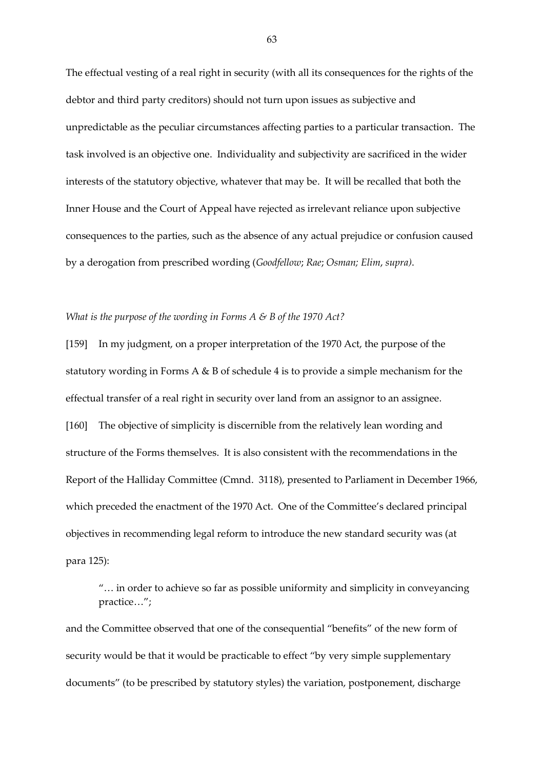The effectual vesting of a real right in security (with all its consequences for the rights of the debtor and third party creditors) should not turn upon issues as subjective and unpredictable as the peculiar circumstances affecting parties to a particular transaction. The task involved is an objective one. Individuality and subjectivity are sacrificed in the wider interests of the statutory objective, whatever that may be. It will be recalled that both the Inner House and the Court of Appeal have rejected as irrelevant reliance upon subjective consequences to the parties, such as the absence of any actual prejudice or confusion caused by a derogation from prescribed wording (*Goodfellow*; *Rae*; *Osman; Elim*, *supra)*.

## *What is the purpose of the wording in Forms A & B of the 1970 Act?*

[159] In my judgment, on a proper interpretation of the 1970 Act, the purpose of the statutory wording in Forms A & B of schedule 4 is to provide a simple mechanism for the effectual transfer of a real right in security over land from an assignor to an assignee. [160] The objective of simplicity is discernible from the relatively lean wording and structure of the Forms themselves. It is also consistent with the recommendations in the Report of the Halliday Committee (Cmnd. 3118), presented to Parliament in December 1966, which preceded the enactment of the 1970 Act. One of the Committee's declared principal objectives in recommending legal reform to introduce the new standard security was (at para 125):

"… in order to achieve so far as possible uniformity and simplicity in conveyancing practice…";

and the Committee observed that one of the consequential "benefits" of the new form of security would be that it would be practicable to effect "by very simple supplementary documents" (to be prescribed by statutory styles) the variation, postponement, discharge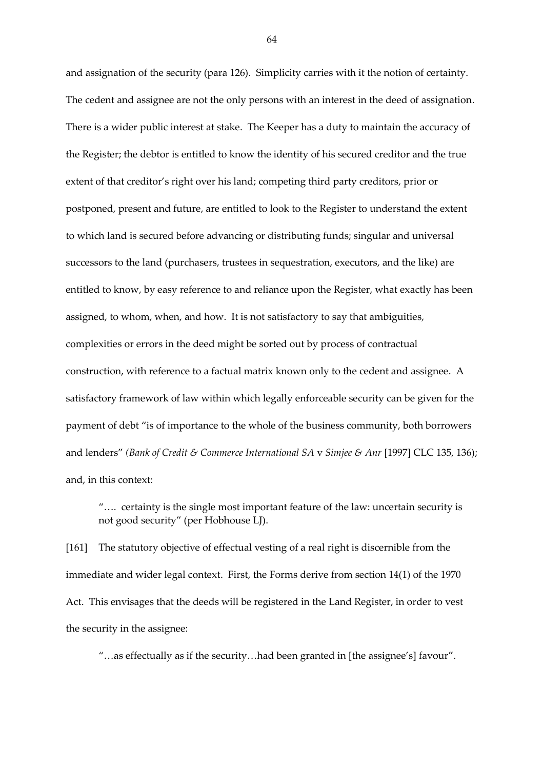and assignation of the security (para 126). Simplicity carries with it the notion of certainty. The cedent and assignee are not the only persons with an interest in the deed of assignation. There is a wider public interest at stake. The Keeper has a duty to maintain the accuracy of the Register; the debtor is entitled to know the identity of his secured creditor and the true extent of that creditor's right over his land; competing third party creditors, prior or postponed, present and future, are entitled to look to the Register to understand the extent to which land is secured before advancing or distributing funds; singular and universal successors to the land (purchasers, trustees in sequestration, executors, and the like) are entitled to know, by easy reference to and reliance upon the Register, what exactly has been assigned, to whom, when, and how. It is not satisfactory to say that ambiguities, complexities or errors in the deed might be sorted out by process of contractual construction, with reference to a factual matrix known only to the cedent and assignee. A satisfactory framework of law within which legally enforceable security can be given for the payment of debt "is of importance to the whole of the business community, both borrowers and lenders" *(Bank of Credit & Commerce International SA* v *Simjee & Anr* [1997] CLC 135, 136); and, in this context:

"…. certainty is the single most important feature of the law: uncertain security is not good security" (per Hobhouse LJ).

[161] The statutory objective of effectual vesting of a real right is discernible from the immediate and wider legal context. First, the Forms derive from section 14(1) of the 1970 Act. This envisages that the deeds will be registered in the Land Register, in order to vest the security in the assignee:

"…as effectually as if the security…had been granted in [the assignee's] favour".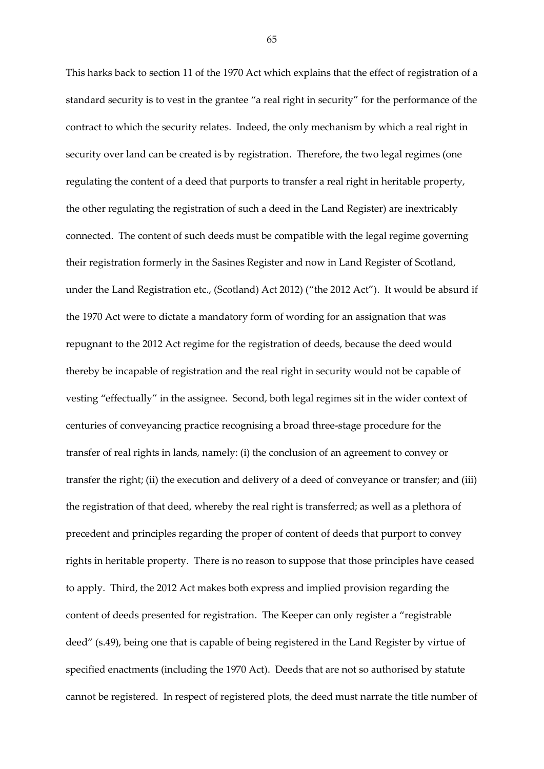This harks back to section 11 of the 1970 Act which explains that the effect of registration of a standard security is to vest in the grantee "a real right in security" for the performance of the contract to which the security relates. Indeed, the only mechanism by which a real right in security over land can be created is by registration. Therefore, the two legal regimes (one regulating the content of a deed that purports to transfer a real right in heritable property, the other regulating the registration of such a deed in the Land Register) are inextricably connected. The content of such deeds must be compatible with the legal regime governing their registration formerly in the Sasines Register and now in Land Register of Scotland, under the Land Registration etc., (Scotland) Act 2012) ("the 2012 Act"). It would be absurd if the 1970 Act were to dictate a mandatory form of wording for an assignation that was repugnant to the 2012 Act regime for the registration of deeds, because the deed would thereby be incapable of registration and the real right in security would not be capable of vesting "effectually" in the assignee. Second, both legal regimes sit in the wider context of centuries of conveyancing practice recognising a broad three-stage procedure for the transfer of real rights in lands, namely: (i) the conclusion of an agreement to convey or transfer the right; (ii) the execution and delivery of a deed of conveyance or transfer; and (iii) the registration of that deed, whereby the real right is transferred; as well as a plethora of precedent and principles regarding the proper of content of deeds that purport to convey rights in heritable property. There is no reason to suppose that those principles have ceased to apply. Third, the 2012 Act makes both express and implied provision regarding the content of deeds presented for registration. The Keeper can only register a "registrable deed" (s.49), being one that is capable of being registered in the Land Register by virtue of specified enactments (including the 1970 Act). Deeds that are not so authorised by statute cannot be registered. In respect of registered plots, the deed must narrate the title number of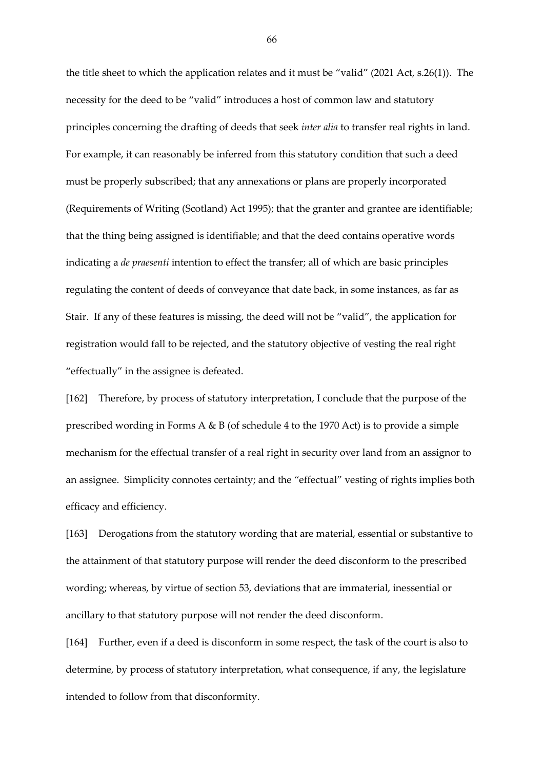the title sheet to which the application relates and it must be "valid" (2021 Act, s.26(1)). The necessity for the deed to be "valid" introduces a host of common law and statutory principles concerning the drafting of deeds that seek *inter alia* to transfer real rights in land. For example, it can reasonably be inferred from this statutory condition that such a deed must be properly subscribed; that any annexations or plans are properly incorporated (Requirements of Writing (Scotland) Act 1995); that the granter and grantee are identifiable; that the thing being assigned is identifiable; and that the deed contains operative words indicating a *de praesenti* intention to effect the transfer; all of which are basic principles regulating the content of deeds of conveyance that date back, in some instances, as far as Stair. If any of these features is missing, the deed will not be "valid", the application for registration would fall to be rejected, and the statutory objective of vesting the real right "effectually" in the assignee is defeated.

[162] Therefore, by process of statutory interpretation, I conclude that the purpose of the prescribed wording in Forms A & B (of schedule 4 to the 1970 Act) is to provide a simple mechanism for the effectual transfer of a real right in security over land from an assignor to an assignee. Simplicity connotes certainty; and the "effectual" vesting of rights implies both efficacy and efficiency.

[163] Derogations from the statutory wording that are material, essential or substantive to the attainment of that statutory purpose will render the deed disconform to the prescribed wording; whereas, by virtue of section 53, deviations that are immaterial, inessential or ancillary to that statutory purpose will not render the deed disconform.

[164] Further, even if a deed is disconform in some respect, the task of the court is also to determine, by process of statutory interpretation, what consequence, if any, the legislature intended to follow from that disconformity.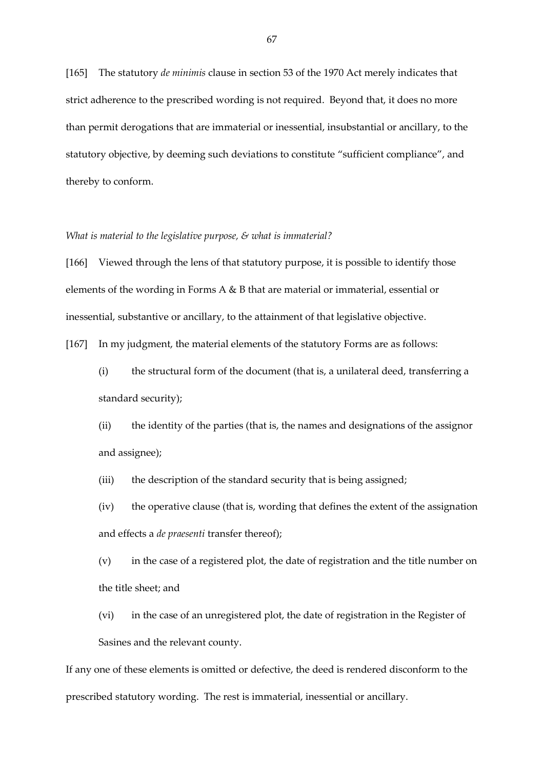[165] The statutory *de minimis* clause in section 53 of the 1970 Act merely indicates that strict adherence to the prescribed wording is not required. Beyond that, it does no more than permit derogations that are immaterial or inessential, insubstantial or ancillary, to the statutory objective, by deeming such deviations to constitute "sufficient compliance", and thereby to conform.

## *What is material to the legislative purpose, & what is immaterial?*

[166] Viewed through the lens of that statutory purpose, it is possible to identify those elements of the wording in Forms A & B that are material or immaterial, essential or inessential, substantive or ancillary, to the attainment of that legislative objective.

[167] In my judgment, the material elements of the statutory Forms are as follows:

(i) the structural form of the document (that is, a unilateral deed, transferring a standard security);

(ii) the identity of the parties (that is, the names and designations of the assignor and assignee);

(iii) the description of the standard security that is being assigned;

(iv) the operative clause (that is, wording that defines the extent of the assignation and effects a *de praesenti* transfer thereof);

(v) in the case of a registered plot, the date of registration and the title number on the title sheet; and

(vi) in the case of an unregistered plot, the date of registration in the Register of Sasines and the relevant county.

If any one of these elements is omitted or defective, the deed is rendered disconform to the prescribed statutory wording. The rest is immaterial, inessential or ancillary.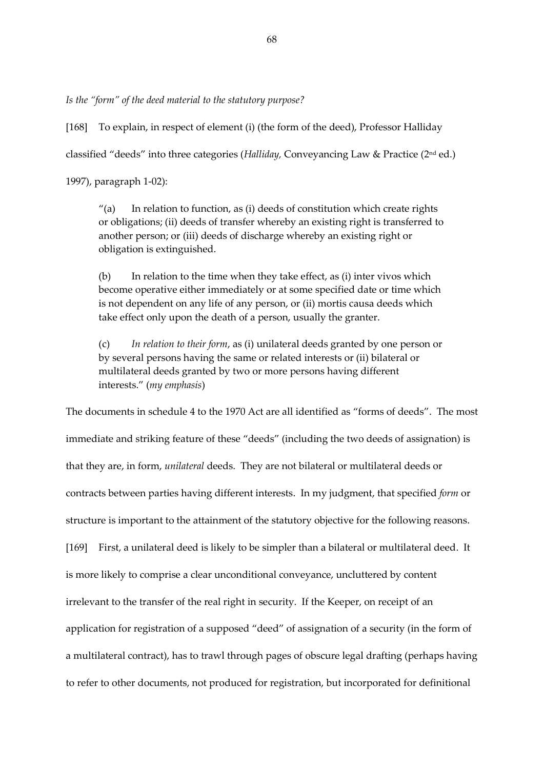*Is the "form" of the deed material to the statutory purpose?* 

[168] To explain, in respect of element (i) (the form of the deed), Professor Halliday classified "deeds" into three categories (*Halliday,* Conveyancing Law & Practice (2nd ed.)

1997), paragraph 1-02):

 $''(a)$  In relation to function, as (i) deeds of constitution which create rights or obligations; (ii) deeds of transfer whereby an existing right is transferred to another person; or (iii) deeds of discharge whereby an existing right or obligation is extinguished.

(b) In relation to the time when they take effect, as (i) inter vivos which become operative either immediately or at some specified date or time which is not dependent on any life of any person, or (ii) mortis causa deeds which take effect only upon the death of a person, usually the granter.

(c) *In relation to their form*, as (i) unilateral deeds granted by one person or by several persons having the same or related interests or (ii) bilateral or multilateral deeds granted by two or more persons having different interests." (*my emphasis*)

The documents in schedule 4 to the 1970 Act are all identified as "forms of deeds". The most immediate and striking feature of these "deeds" (including the two deeds of assignation) is that they are, in form, *unilateral* deeds. They are not bilateral or multilateral deeds or contracts between parties having different interests. In my judgment, that specified *form* or structure is important to the attainment of the statutory objective for the following reasons. [169] First, a unilateral deed is likely to be simpler than a bilateral or multilateral deed. It is more likely to comprise a clear unconditional conveyance, uncluttered by content irrelevant to the transfer of the real right in security. If the Keeper, on receipt of an application for registration of a supposed "deed" of assignation of a security (in the form of a multilateral contract), has to trawl through pages of obscure legal drafting (perhaps having to refer to other documents, not produced for registration, but incorporated for definitional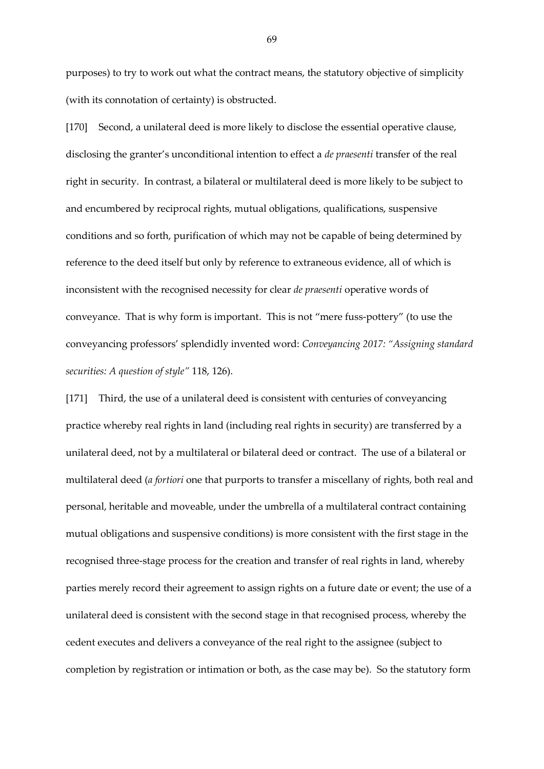purposes) to try to work out what the contract means, the statutory objective of simplicity (with its connotation of certainty) is obstructed.

[170] Second, a unilateral deed is more likely to disclose the essential operative clause, disclosing the granter's unconditional intention to effect a *de praesenti* transfer of the real right in security. In contrast, a bilateral or multilateral deed is more likely to be subject to and encumbered by reciprocal rights, mutual obligations, qualifications, suspensive conditions and so forth, purification of which may not be capable of being determined by reference to the deed itself but only by reference to extraneous evidence, all of which is inconsistent with the recognised necessity for clear *de praesenti* operative words of conveyance. That is why form is important. This is not "mere fuss-pottery" (to use the conveyancing professors' splendidly invented word: *Conveyancing 2017: "Assigning standard securities: A question of style"* 118, 126).

[171] Third, the use of a unilateral deed is consistent with centuries of conveyancing practice whereby real rights in land (including real rights in security) are transferred by a unilateral deed, not by a multilateral or bilateral deed or contract. The use of a bilateral or multilateral deed (*a fortiori* one that purports to transfer a miscellany of rights, both real and personal, heritable and moveable, under the umbrella of a multilateral contract containing mutual obligations and suspensive conditions) is more consistent with the first stage in the recognised three-stage process for the creation and transfer of real rights in land, whereby parties merely record their agreement to assign rights on a future date or event; the use of a unilateral deed is consistent with the second stage in that recognised process, whereby the cedent executes and delivers a conveyance of the real right to the assignee (subject to completion by registration or intimation or both, as the case may be). So the statutory form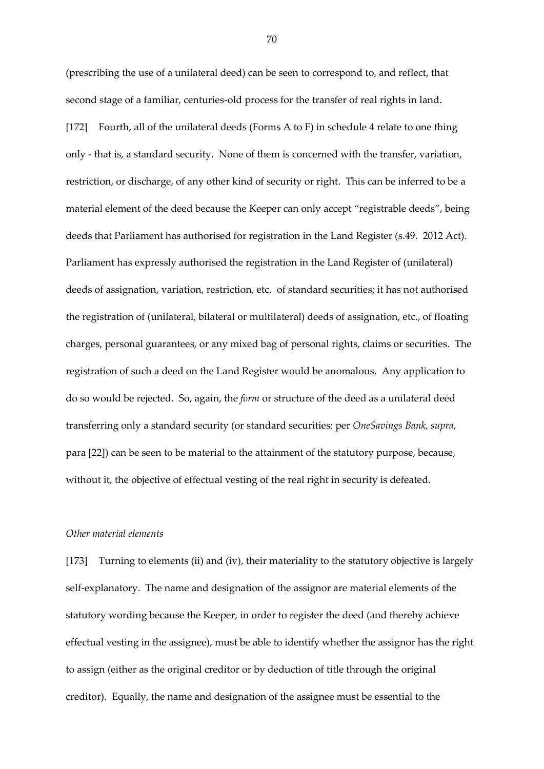(prescribing the use of a unilateral deed) can be seen to correspond to, and reflect, that second stage of a familiar, centuries-old process for the transfer of real rights in land. [172] Fourth, all of the unilateral deeds (Forms A to F) in schedule 4 relate to one thing only - that is, a standard security. None of them is concerned with the transfer, variation, restriction, or discharge, of any other kind of security or right. This can be inferred to be a material element of the deed because the Keeper can only accept "registrable deeds", being deeds that Parliament has authorised for registration in the Land Register (s.49. 2012 Act). Parliament has expressly authorised the registration in the Land Register of (unilateral) deeds of assignation, variation, restriction, etc. of standard securities; it has not authorised the registration of (unilateral, bilateral or multilateral) deeds of assignation, etc., of floating charges, personal guarantees, or any mixed bag of personal rights, claims or securities. The registration of such a deed on the Land Register would be anomalous. Any application to do so would be rejected. So, again, the *form* or structure of the deed as a unilateral deed transferring only a standard security (or standard securities: per *OneSavings Bank, supra*, para [22]) can be seen to be material to the attainment of the statutory purpose, because, without it, the objective of effectual vesting of the real right in security is defeated.

# *Other material elements*

[173] Turning to elements (ii) and (iv), their materiality to the statutory objective is largely self-explanatory. The name and designation of the assignor are material elements of the statutory wording because the Keeper, in order to register the deed (and thereby achieve effectual vesting in the assignee), must be able to identify whether the assignor has the right to assign (either as the original creditor or by deduction of title through the original creditor). Equally, the name and designation of the assignee must be essential to the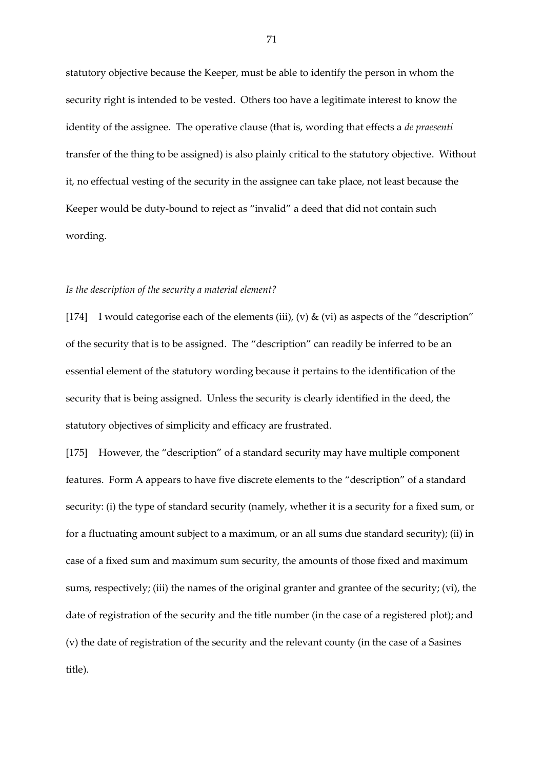statutory objective because the Keeper, must be able to identify the person in whom the security right is intended to be vested. Others too have a legitimate interest to know the identity of the assignee. The operative clause (that is, wording that effects a *de praesenti* transfer of the thing to be assigned) is also plainly critical to the statutory objective. Without it, no effectual vesting of the security in the assignee can take place, not least because the Keeper would be duty-bound to reject as "invalid" a deed that did not contain such wording.

### *Is the description of the security a material element?*

[174] I would categorise each of the elements (iii), (v)  $\&$  (vi) as aspects of the "description" of the security that is to be assigned. The "description" can readily be inferred to be an essential element of the statutory wording because it pertains to the identification of the security that is being assigned. Unless the security is clearly identified in the deed, the statutory objectives of simplicity and efficacy are frustrated.

[175] However, the "description" of a standard security may have multiple component features. Form A appears to have five discrete elements to the "description" of a standard security: (i) the type of standard security (namely, whether it is a security for a fixed sum, or for a fluctuating amount subject to a maximum, or an all sums due standard security); (ii) in case of a fixed sum and maximum sum security, the amounts of those fixed and maximum sums, respectively; (iii) the names of the original granter and grantee of the security; (vi), the date of registration of the security and the title number (in the case of a registered plot); and (v) the date of registration of the security and the relevant county (in the case of a Sasines title).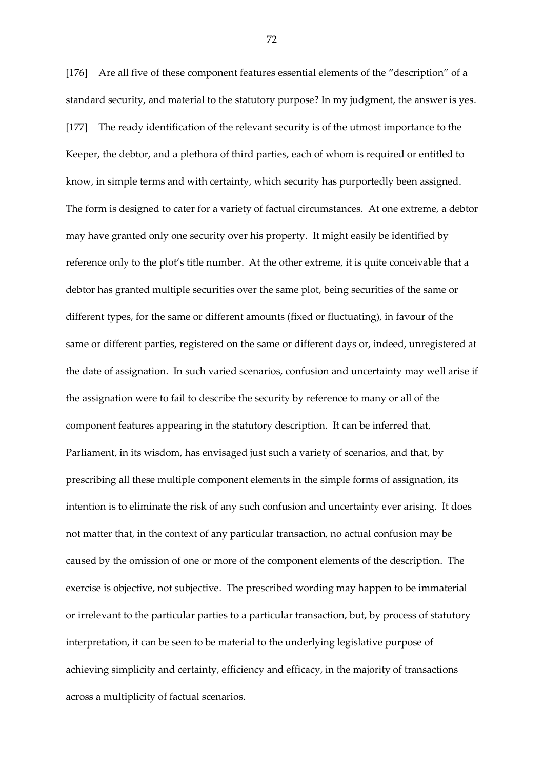[176] Are all five of these component features essential elements of the "description" of a standard security, and material to the statutory purpose? In my judgment, the answer is yes. [177] The ready identification of the relevant security is of the utmost importance to the Keeper, the debtor, and a plethora of third parties, each of whom is required or entitled to know, in simple terms and with certainty, which security has purportedly been assigned. The form is designed to cater for a variety of factual circumstances. At one extreme, a debtor may have granted only one security over his property. It might easily be identified by reference only to the plot's title number. At the other extreme, it is quite conceivable that a debtor has granted multiple securities over the same plot, being securities of the same or different types, for the same or different amounts (fixed or fluctuating), in favour of the same or different parties, registered on the same or different days or, indeed, unregistered at the date of assignation. In such varied scenarios, confusion and uncertainty may well arise if the assignation were to fail to describe the security by reference to many or all of the component features appearing in the statutory description. It can be inferred that, Parliament, in its wisdom, has envisaged just such a variety of scenarios, and that, by prescribing all these multiple component elements in the simple forms of assignation, its intention is to eliminate the risk of any such confusion and uncertainty ever arising. It does not matter that, in the context of any particular transaction, no actual confusion may be caused by the omission of one or more of the component elements of the description. The exercise is objective, not subjective. The prescribed wording may happen to be immaterial or irrelevant to the particular parties to a particular transaction, but, by process of statutory interpretation, it can be seen to be material to the underlying legislative purpose of achieving simplicity and certainty, efficiency and efficacy, in the majority of transactions across a multiplicity of factual scenarios.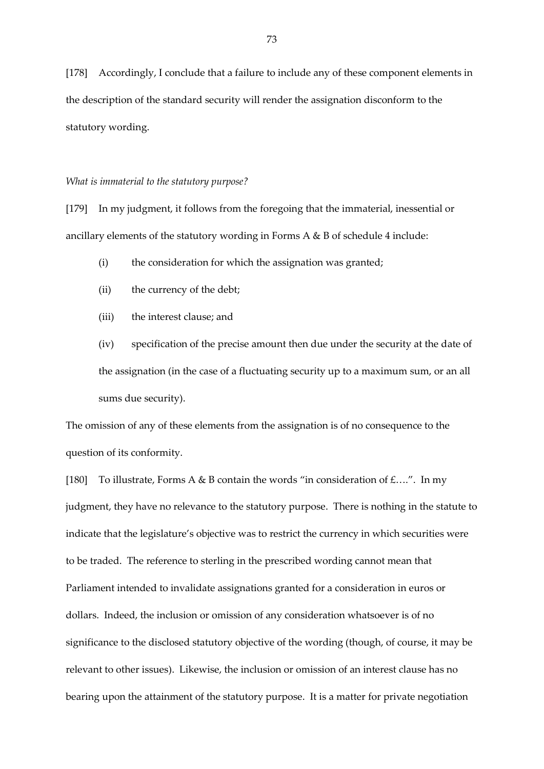[178] Accordingly, I conclude that a failure to include any of these component elements in the description of the standard security will render the assignation disconform to the statutory wording.

#### *What is immaterial to the statutory purpose?*

[179] In my judgment, it follows from the foregoing that the immaterial, inessential or ancillary elements of the statutory wording in Forms A & B of schedule 4 include:

- (i) the consideration for which the assignation was granted;
- (ii) the currency of the debt;
- (iii) the interest clause; and

(iv) specification of the precise amount then due under the security at the date of the assignation (in the case of a fluctuating security up to a maximum sum, or an all sums due security).

The omission of any of these elements from the assignation is of no consequence to the question of its conformity.

[180] To illustrate, Forms A & B contain the words "in consideration of  $f$ ....". In my judgment, they have no relevance to the statutory purpose. There is nothing in the statute to indicate that the legislature's objective was to restrict the currency in which securities were to be traded. The reference to sterling in the prescribed wording cannot mean that Parliament intended to invalidate assignations granted for a consideration in euros or dollars. Indeed, the inclusion or omission of any consideration whatsoever is of no significance to the disclosed statutory objective of the wording (though, of course, it may be relevant to other issues). Likewise, the inclusion or omission of an interest clause has no bearing upon the attainment of the statutory purpose. It is a matter for private negotiation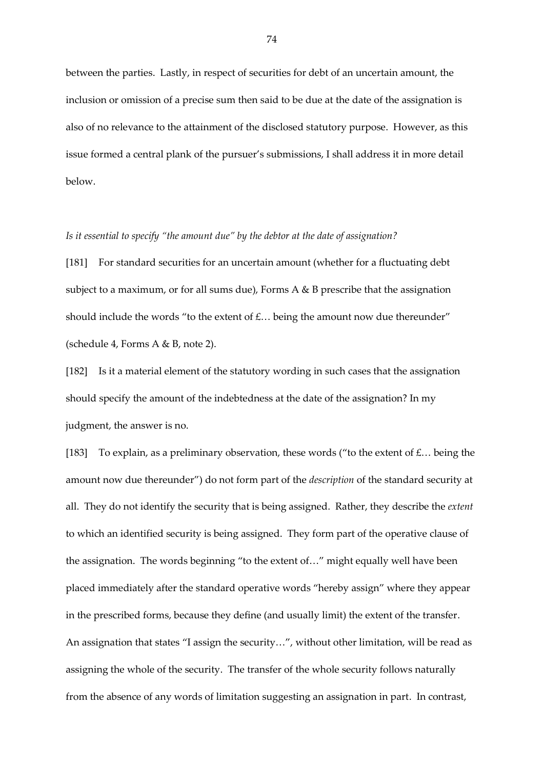between the parties. Lastly, in respect of securities for debt of an uncertain amount, the inclusion or omission of a precise sum then said to be due at the date of the assignation is also of no relevance to the attainment of the disclosed statutory purpose. However, as this issue formed a central plank of the pursuer's submissions, I shall address it in more detail below.

## *Is it essential to specify "the amount due" by the debtor at the date of assignation?*

[181] For standard securities for an uncertain amount (whether for a fluctuating debt subject to a maximum, or for all sums due), Forms A & B prescribe that the assignation should include the words "to the extent of  $f$ ... being the amount now due thereunder" (schedule 4, Forms A & B, note 2).

[182] Is it a material element of the statutory wording in such cases that the assignation should specify the amount of the indebtedness at the date of the assignation? In my judgment, the answer is no.

[183] To explain, as a preliminary observation, these words ("to the extent of  $\pounds$ ... being the amount now due thereunder") do not form part of the *description* of the standard security at all. They do not identify the security that is being assigned. Rather, they describe the *extent* to which an identified security is being assigned. They form part of the operative clause of the assignation. The words beginning "to the extent of…" might equally well have been placed immediately after the standard operative words "hereby assign" where they appear in the prescribed forms, because they define (and usually limit) the extent of the transfer. An assignation that states "I assign the security…", without other limitation, will be read as assigning the whole of the security. The transfer of the whole security follows naturally from the absence of any words of limitation suggesting an assignation in part. In contrast,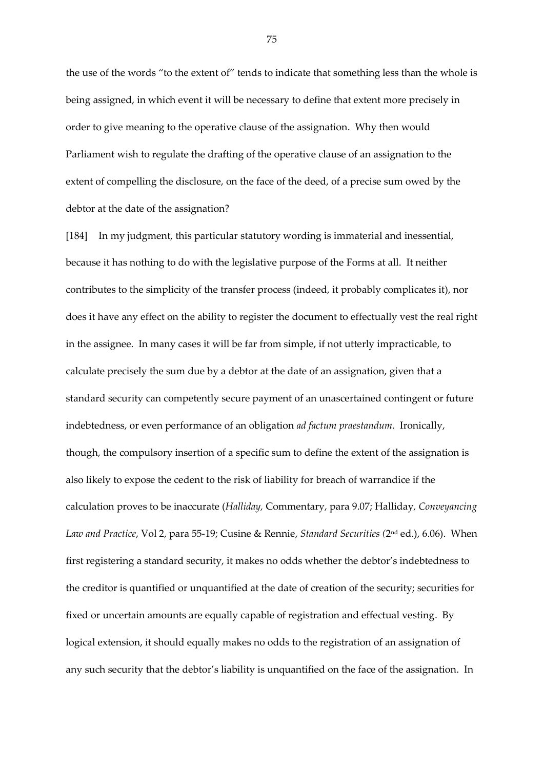the use of the words "to the extent of" tends to indicate that something less than the whole is being assigned, in which event it will be necessary to define that extent more precisely in order to give meaning to the operative clause of the assignation. Why then would Parliament wish to regulate the drafting of the operative clause of an assignation to the extent of compelling the disclosure, on the face of the deed, of a precise sum owed by the debtor at the date of the assignation?

[184] In my judgment, this particular statutory wording is immaterial and inessential, because it has nothing to do with the legislative purpose of the Forms at all. It neither contributes to the simplicity of the transfer process (indeed, it probably complicates it), nor does it have any effect on the ability to register the document to effectually vest the real right in the assignee. In many cases it will be far from simple, if not utterly impracticable, to calculate precisely the sum due by a debtor at the date of an assignation, given that a standard security can competently secure payment of an unascertained contingent or future indebtedness, or even performance of an obligation *ad factum praestandum*. Ironically, though, the compulsory insertion of a specific sum to define the extent of the assignation is also likely to expose the cedent to the risk of liability for breach of warrandice if the calculation proves to be inaccurate (*Halliday,* Commentary, para 9.07; Halliday*, Conveyancing Law and Practice*, Vol 2, para 55-19; Cusine & Rennie, *Standard Securities (*2 nd ed.), 6.06). When first registering a standard security, it makes no odds whether the debtor's indebtedness to the creditor is quantified or unquantified at the date of creation of the security; securities for fixed or uncertain amounts are equally capable of registration and effectual vesting. By logical extension, it should equally makes no odds to the registration of an assignation of any such security that the debtor's liability is unquantified on the face of the assignation. In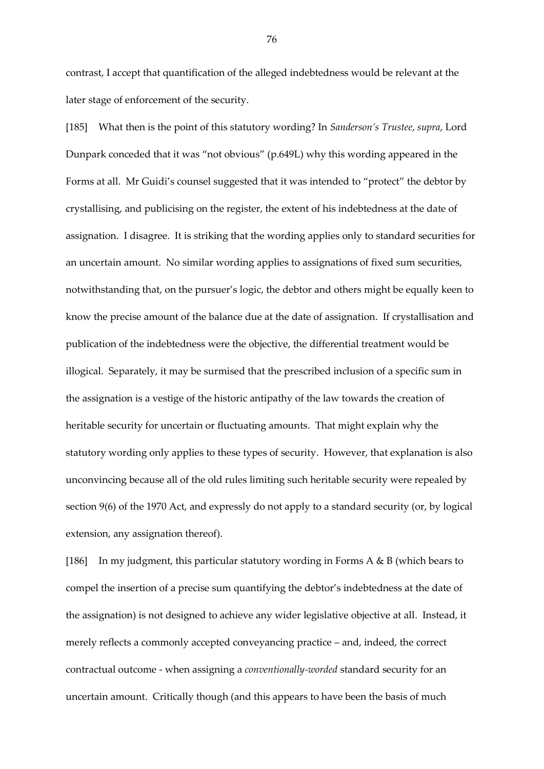contrast, I accept that quantification of the alleged indebtedness would be relevant at the later stage of enforcement of the security.

[185] What then is the point of this statutory wording? In *Sanderson's Trustee*, *supra*, Lord Dunpark conceded that it was "not obvious" (p.649L) why this wording appeared in the Forms at all. Mr Guidi's counsel suggested that it was intended to "protect" the debtor by crystallising, and publicising on the register, the extent of his indebtedness at the date of assignation. I disagree. It is striking that the wording applies only to standard securities for an uncertain amount. No similar wording applies to assignations of fixed sum securities, notwithstanding that, on the pursuer's logic, the debtor and others might be equally keen to know the precise amount of the balance due at the date of assignation. If crystallisation and publication of the indebtedness were the objective, the differential treatment would be illogical. Separately, it may be surmised that the prescribed inclusion of a specific sum in the assignation is a vestige of the historic antipathy of the law towards the creation of heritable security for uncertain or fluctuating amounts. That might explain why the statutory wording only applies to these types of security. However, that explanation is also unconvincing because all of the old rules limiting such heritable security were repealed by section 9(6) of the 1970 Act, and expressly do not apply to a standard security (or, by logical extension, any assignation thereof).

[186] In my judgment, this particular statutory wording in Forms A  $\&$  B (which bears to compel the insertion of a precise sum quantifying the debtor's indebtedness at the date of the assignation) is not designed to achieve any wider legislative objective at all. Instead, it merely reflects a commonly accepted conveyancing practice – and, indeed, the correct contractual outcome - when assigning a *conventionally-worded* standard security for an uncertain amount. Critically though (and this appears to have been the basis of much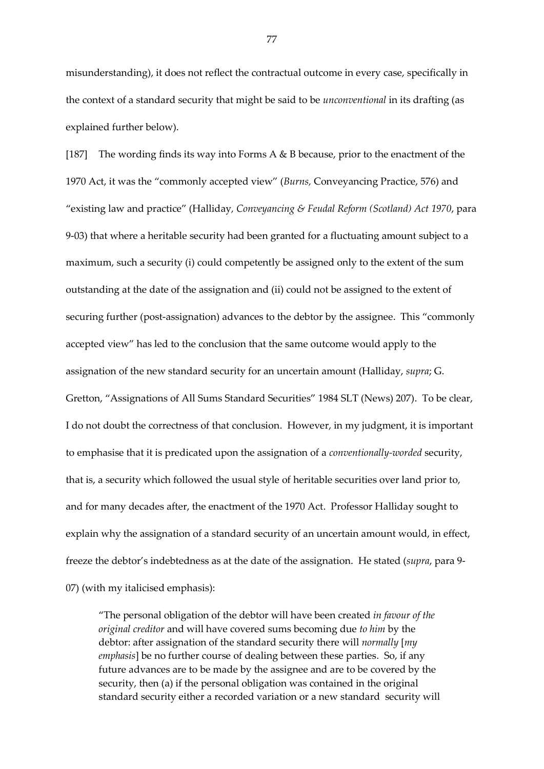misunderstanding), it does not reflect the contractual outcome in every case, specifically in the context of a standard security that might be said to be *unconventional* in its drafting (as explained further below).

[187] The wording finds its way into Forms A & B because, prior to the enactment of the 1970 Act, it was the "commonly accepted view" (*Burns,* Conveyancing Practice, 576) and "existing law and practice" (Halliday*, Conveyancing & Feudal Reform (Scotland) Act 1970*, para 9-03) that where a heritable security had been granted for a fluctuating amount subject to a maximum, such a security (i) could competently be assigned only to the extent of the sum outstanding at the date of the assignation and (ii) could not be assigned to the extent of securing further (post-assignation) advances to the debtor by the assignee. This "commonly accepted view" has led to the conclusion that the same outcome would apply to the assignation of the new standard security for an uncertain amount (Halliday, *supra*; G. Gretton, "Assignations of All Sums Standard Securities" 1984 SLT (News) 207). To be clear, I do not doubt the correctness of that conclusion. However, in my judgment, it is important to emphasise that it is predicated upon the assignation of a *conventionally-worded* security, that is, a security which followed the usual style of heritable securities over land prior to, and for many decades after, the enactment of the 1970 Act. Professor Halliday sought to explain why the assignation of a standard security of an uncertain amount would, in effect, freeze the debtor's indebtedness as at the date of the assignation. He stated (*supra*, para 9- 07) (with my italicised emphasis):

"The personal obligation of the debtor will have been created *in favour of the original creditor* and will have covered sums becoming due *to him* by the debtor: after assignation of the standard security there will *normally* [*my emphasis*] be no further course of dealing between these parties. So, if any future advances are to be made by the assignee and are to be covered by the security, then (a) if the personal obligation was contained in the original standard security either a recorded variation or a new standard security will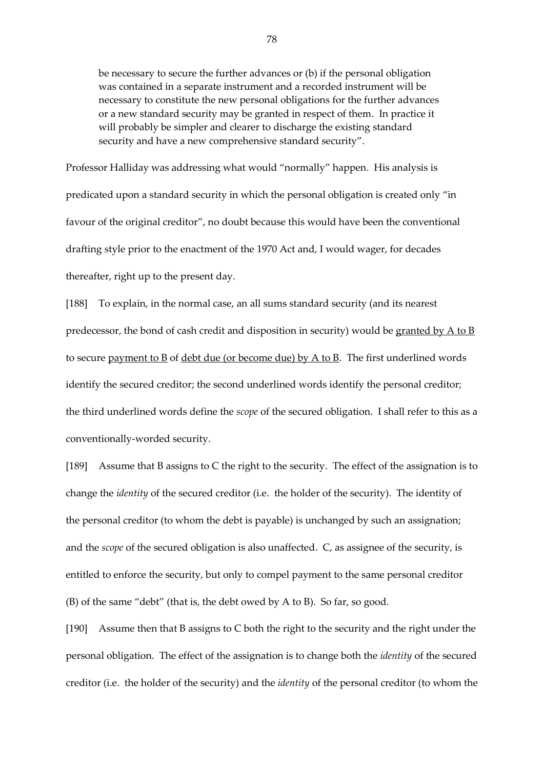be necessary to secure the further advances or (b) if the personal obligation was contained in a separate instrument and a recorded instrument will be necessary to constitute the new personal obligations for the further advances or a new standard security may be granted in respect of them. In practice it will probably be simpler and clearer to discharge the existing standard security and have a new comprehensive standard security".

Professor Halliday was addressing what would "normally" happen. His analysis is predicated upon a standard security in which the personal obligation is created only "in favour of the original creditor", no doubt because this would have been the conventional drafting style prior to the enactment of the 1970 Act and, I would wager, for decades thereafter, right up to the present day.

[188] To explain, in the normal case, an all sums standard security (and its nearest predecessor, the bond of cash credit and disposition in security) would be granted by  $\overline{A}$  to  $\overline{B}$ to secure payment to B of debt due (or become due) by A to B. The first underlined words identify the secured creditor; the second underlined words identify the personal creditor; the third underlined words define the *scope* of the secured obligation. I shall refer to this as a conventionally-worded security.

[189] Assume that B assigns to C the right to the security. The effect of the assignation is to change the *identity* of the secured creditor (i.e. the holder of the security). The identity of the personal creditor (to whom the debt is payable) is unchanged by such an assignation; and the *scope* of the secured obligation is also unaffected. C, as assignee of the security, is entitled to enforce the security, but only to compel payment to the same personal creditor (B) of the same "debt" (that is, the debt owed by A to B). So far, so good.

[190] Assume then that B assigns to C both the right to the security and the right under the personal obligation. The effect of the assignation is to change both the *identity* of the secured creditor (i.e. the holder of the security) and the *identity* of the personal creditor (to whom the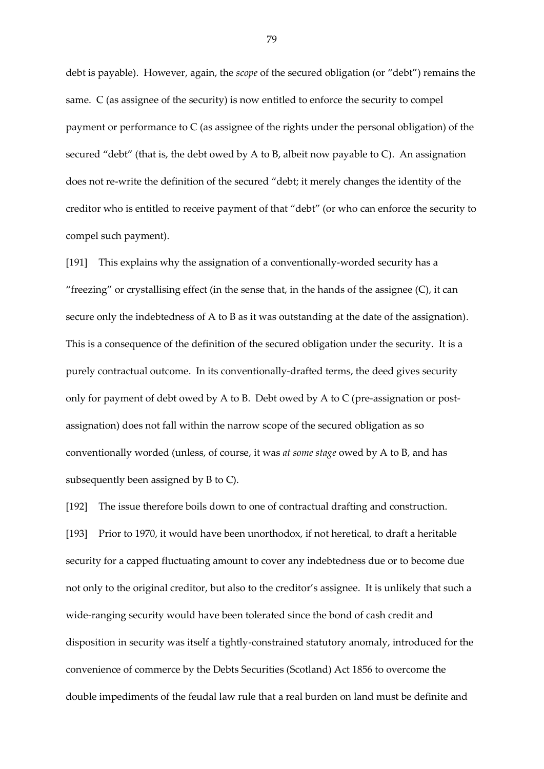debt is payable). However, again, the *scope* of the secured obligation (or "debt") remains the same. C (as assignee of the security) is now entitled to enforce the security to compel payment or performance to C (as assignee of the rights under the personal obligation) of the secured "debt" (that is, the debt owed by A to B, albeit now payable to C). An assignation does not re-write the definition of the secured "debt; it merely changes the identity of the creditor who is entitled to receive payment of that "debt" (or who can enforce the security to compel such payment).

[191] This explains why the assignation of a conventionally-worded security has a "freezing" or crystallising effect (in the sense that, in the hands of the assignee  $(C)$ , it can secure only the indebtedness of A to B as it was outstanding at the date of the assignation). This is a consequence of the definition of the secured obligation under the security. It is a purely contractual outcome. In its conventionally-drafted terms, the deed gives security only for payment of debt owed by A to B. Debt owed by A to C (pre-assignation or postassignation) does not fall within the narrow scope of the secured obligation as so conventionally worded (unless, of course, it was *at some stage* owed by A to B, and has subsequently been assigned by B to C).

[192] The issue therefore boils down to one of contractual drafting and construction. [193] Prior to 1970, it would have been unorthodox, if not heretical, to draft a heritable security for a capped fluctuating amount to cover any indebtedness due or to become due not only to the original creditor, but also to the creditor's assignee. It is unlikely that such a wide-ranging security would have been tolerated since the bond of cash credit and disposition in security was itself a tightly-constrained statutory anomaly, introduced for the convenience of commerce by the Debts Securities (Scotland) Act 1856 to overcome the double impediments of the feudal law rule that a real burden on land must be definite and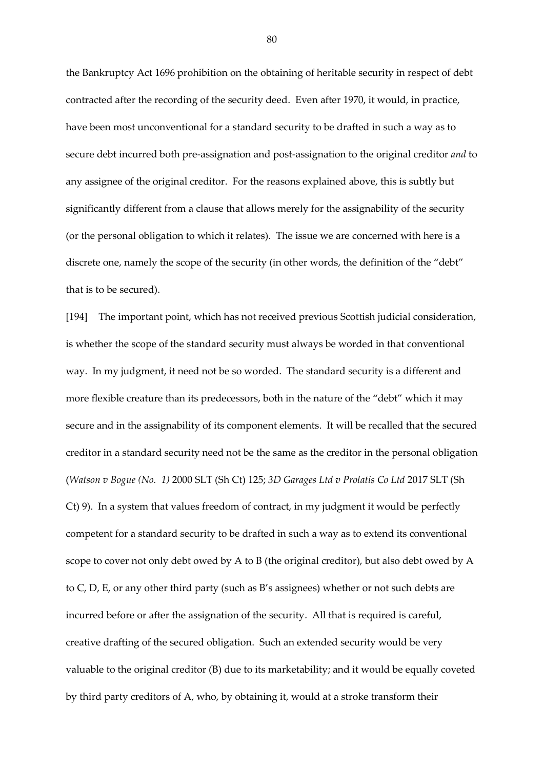the Bankruptcy Act 1696 prohibition on the obtaining of heritable security in respect of debt contracted after the recording of the security deed. Even after 1970, it would, in practice, have been most unconventional for a standard security to be drafted in such a way as to secure debt incurred both pre-assignation and post-assignation to the original creditor *and* to any assignee of the original creditor. For the reasons explained above, this is subtly but significantly different from a clause that allows merely for the assignability of the security (or the personal obligation to which it relates). The issue we are concerned with here is a discrete one, namely the scope of the security (in other words, the definition of the "debt" that is to be secured).

[194] The important point, which has not received previous Scottish judicial consideration, is whether the scope of the standard security must always be worded in that conventional way. In my judgment, it need not be so worded. The standard security is a different and more flexible creature than its predecessors, both in the nature of the "debt" which it may secure and in the assignability of its component elements. It will be recalled that the secured creditor in a standard security need not be the same as the creditor in the personal obligation (*Watson v Bogue (No. 1)* 2000 SLT (Sh Ct) 125; *3D Garages Ltd v Prolatis Co Ltd* 2017 SLT (Sh Ct) 9). In a system that values freedom of contract, in my judgment it would be perfectly competent for a standard security to be drafted in such a way as to extend its conventional scope to cover not only debt owed by A to B (the original creditor), but also debt owed by A to C, D, E, or any other third party (such as B's assignees) whether or not such debts are incurred before or after the assignation of the security. All that is required is careful, creative drafting of the secured obligation. Such an extended security would be very valuable to the original creditor (B) due to its marketability; and it would be equally coveted by third party creditors of A, who, by obtaining it, would at a stroke transform their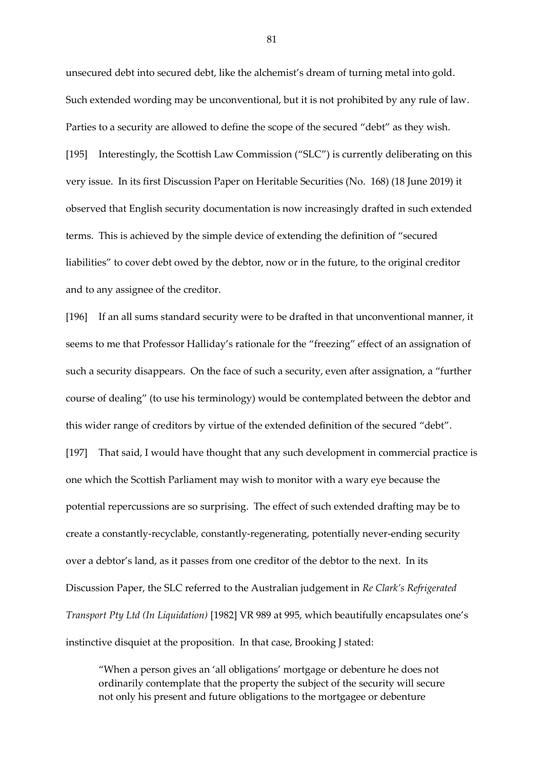unsecured debt into secured debt, like the alchemist's dream of turning metal into gold. Such extended wording may be unconventional, but it is not prohibited by any rule of law. Parties to a security are allowed to define the scope of the secured "debt" as they wish. [195] Interestingly, the Scottish Law Commission ("SLC") is currently deliberating on this very issue. In its first Discussion Paper on Heritable Securities (No. 168) (18 June 2019) it observed that English security documentation is now increasingly drafted in such extended terms. This is achieved by the simple device of extending the definition of "secured liabilities" to cover debt owed by the debtor, now or in the future, to the original creditor and to any assignee of the creditor.

[196] If an all sums standard security were to be drafted in that unconventional manner, it seems to me that Professor Halliday's rationale for the "freezing" effect of an assignation of such a security disappears. On the face of such a security, even after assignation, a "further course of dealing" (to use his terminology) would be contemplated between the debtor and this wider range of creditors by virtue of the extended definition of the secured "debt".

[197] That said, I would have thought that any such development in commercial practice is one which the Scottish Parliament may wish to monitor with a wary eye because the potential repercussions are so surprising. The effect of such extended drafting may be to create a constantly-recyclable, constantly-regenerating, potentially never-ending security over a debtor's land, as it passes from one creditor of the debtor to the next. In its Discussion Paper, the SLC referred to the Australian judgement in *Re Clark's Refrigerated Transport Pty Ltd (In Liquidation)* [1982] VR 989 at 995, which beautifully encapsulates one's instinctive disquiet at the proposition. In that case, Brooking J stated:

"When a person gives an 'all obligations' mortgage or debenture he does not ordinarily contemplate that the property the subject of the security will secure not only his present and future obligations to the mortgagee or debenture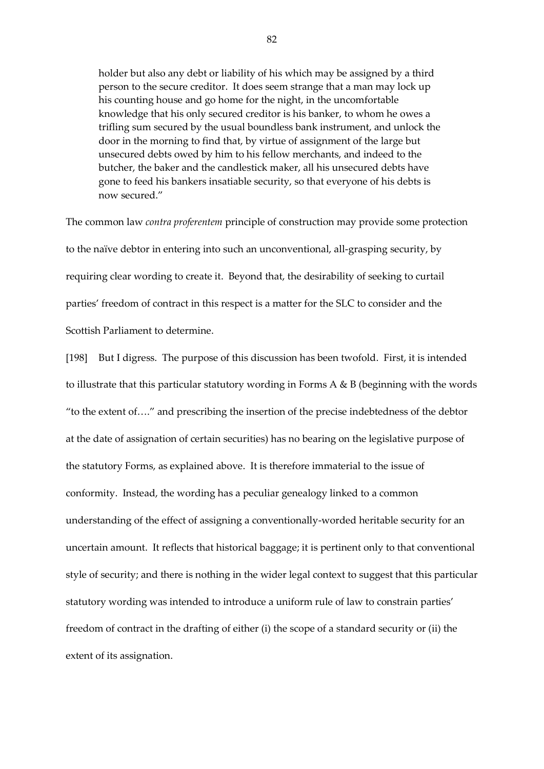holder but also any debt or liability of his which may be assigned by a third person to the secure creditor. It does seem strange that a man may lock up his counting house and go home for the night, in the uncomfortable knowledge that his only secured creditor is his banker, to whom he owes a trifling sum secured by the usual boundless bank instrument, and unlock the door in the morning to find that, by virtue of assignment of the large but unsecured debts owed by him to his fellow merchants, and indeed to the butcher, the baker and the candlestick maker, all his unsecured debts have gone to feed his bankers insatiable security, so that everyone of his debts is now secured."

The common law *contra proferentem* principle of construction may provide some protection to the naïve debtor in entering into such an unconventional, all-grasping security, by requiring clear wording to create it. Beyond that, the desirability of seeking to curtail parties' freedom of contract in this respect is a matter for the SLC to consider and the Scottish Parliament to determine.

[198] But I digress. The purpose of this discussion has been twofold. First, it is intended to illustrate that this particular statutory wording in Forms A & B (beginning with the words "to the extent of…." and prescribing the insertion of the precise indebtedness of the debtor at the date of assignation of certain securities) has no bearing on the legislative purpose of the statutory Forms, as explained above. It is therefore immaterial to the issue of conformity. Instead, the wording has a peculiar genealogy linked to a common understanding of the effect of assigning a conventionally-worded heritable security for an uncertain amount. It reflects that historical baggage; it is pertinent only to that conventional style of security; and there is nothing in the wider legal context to suggest that this particular statutory wording was intended to introduce a uniform rule of law to constrain parties' freedom of contract in the drafting of either (i) the scope of a standard security or (ii) the extent of its assignation.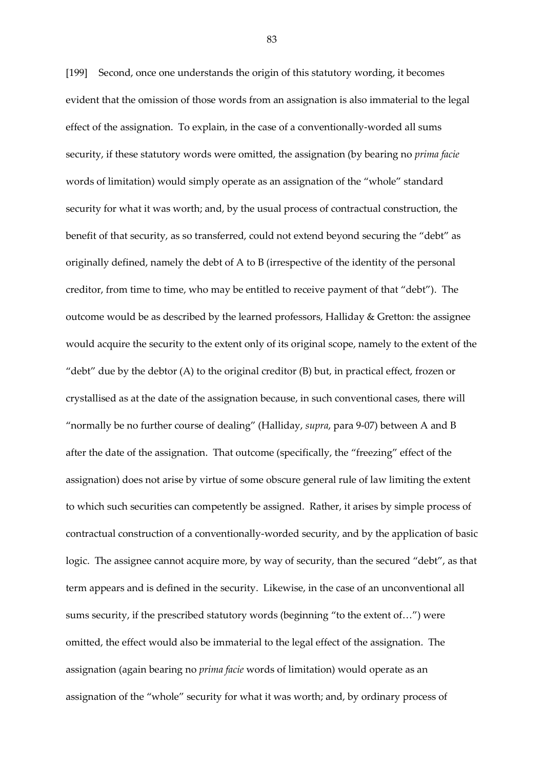[199] Second, once one understands the origin of this statutory wording, it becomes evident that the omission of those words from an assignation is also immaterial to the legal effect of the assignation. To explain, in the case of a conventionally-worded all sums security, if these statutory words were omitted, the assignation (by bearing no *prima facie* words of limitation) would simply operate as an assignation of the "whole" standard security for what it was worth; and, by the usual process of contractual construction, the benefit of that security, as so transferred, could not extend beyond securing the "debt" as originally defined, namely the debt of A to B (irrespective of the identity of the personal creditor, from time to time, who may be entitled to receive payment of that "debt"). The outcome would be as described by the learned professors, Halliday & Gretton: the assignee would acquire the security to the extent only of its original scope, namely to the extent of the "debt" due by the debtor (A) to the original creditor (B) but, in practical effect, frozen or crystallised as at the date of the assignation because, in such conventional cases, there will "normally be no further course of dealing" (Halliday, *supra*, para 9-07) between A and B after the date of the assignation. That outcome (specifically, the "freezing" effect of the assignation) does not arise by virtue of some obscure general rule of law limiting the extent to which such securities can competently be assigned. Rather, it arises by simple process of contractual construction of a conventionally-worded security, and by the application of basic logic. The assignee cannot acquire more, by way of security, than the secured "debt", as that term appears and is defined in the security. Likewise, in the case of an unconventional all sums security, if the prescribed statutory words (beginning "to the extent of…") were omitted, the effect would also be immaterial to the legal effect of the assignation. The assignation (again bearing no *prima facie* words of limitation) would operate as an assignation of the "whole" security for what it was worth; and, by ordinary process of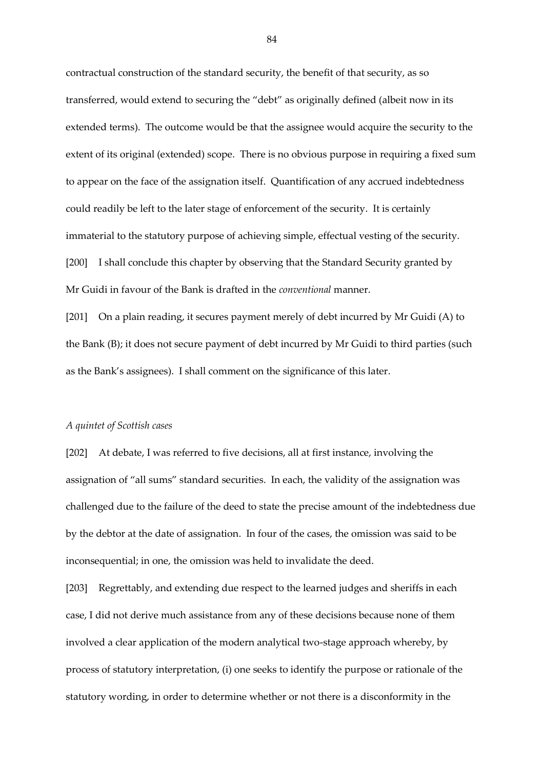contractual construction of the standard security, the benefit of that security, as so transferred, would extend to securing the "debt" as originally defined (albeit now in its extended terms). The outcome would be that the assignee would acquire the security to the extent of its original (extended) scope. There is no obvious purpose in requiring a fixed sum to appear on the face of the assignation itself. Quantification of any accrued indebtedness could readily be left to the later stage of enforcement of the security. It is certainly immaterial to the statutory purpose of achieving simple, effectual vesting of the security. [200] I shall conclude this chapter by observing that the Standard Security granted by Mr Guidi in favour of the Bank is drafted in the *conventional* manner.

[201] On a plain reading, it secures payment merely of debt incurred by Mr Guidi (A) to the Bank (B); it does not secure payment of debt incurred by Mr Guidi to third parties (such as the Bank's assignees). I shall comment on the significance of this later.

#### *A quintet of Scottish cases*

[202] At debate, I was referred to five decisions, all at first instance, involving the assignation of "all sums" standard securities. In each, the validity of the assignation was challenged due to the failure of the deed to state the precise amount of the indebtedness due by the debtor at the date of assignation. In four of the cases, the omission was said to be inconsequential; in one, the omission was held to invalidate the deed.

[203] Regrettably, and extending due respect to the learned judges and sheriffs in each case, I did not derive much assistance from any of these decisions because none of them involved a clear application of the modern analytical two-stage approach whereby, by process of statutory interpretation, (i) one seeks to identify the purpose or rationale of the statutory wording, in order to determine whether or not there is a disconformity in the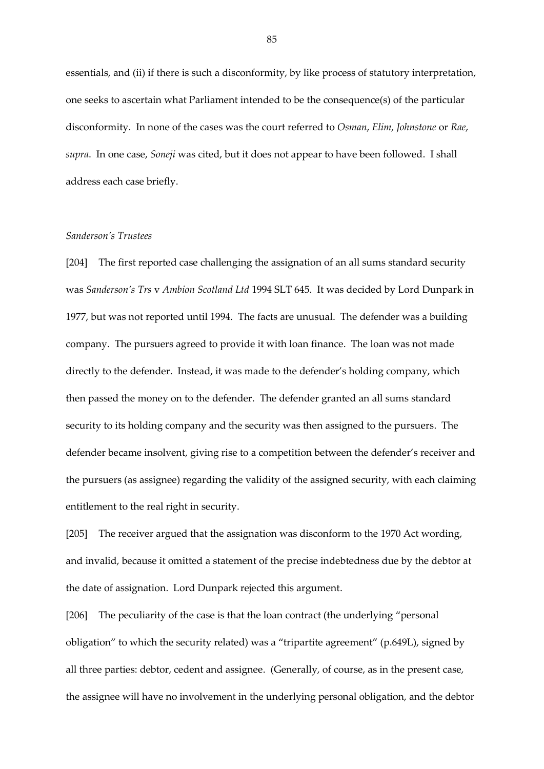essentials, and (ii) if there is such a disconformity, by like process of statutory interpretation, one seeks to ascertain what Parliament intended to be the consequence(s) of the particular disconformity. In none of the cases was the court referred to *Osman*, *Elim, Johnstone* or *Rae*, *supra*. In one case, *Soneji* was cited, but it does not appear to have been followed. I shall address each case briefly.

# *Sanderson's Trustees*

[204] The first reported case challenging the assignation of an all sums standard security was *Sanderson's Trs* v *Ambion Scotland Ltd* 1994 SLT 645. It was decided by Lord Dunpark in 1977, but was not reported until 1994. The facts are unusual. The defender was a building company. The pursuers agreed to provide it with loan finance. The loan was not made directly to the defender. Instead, it was made to the defender's holding company, which then passed the money on to the defender. The defender granted an all sums standard security to its holding company and the security was then assigned to the pursuers. The defender became insolvent, giving rise to a competition between the defender's receiver and the pursuers (as assignee) regarding the validity of the assigned security, with each claiming entitlement to the real right in security.

[205] The receiver argued that the assignation was disconform to the 1970 Act wording, and invalid, because it omitted a statement of the precise indebtedness due by the debtor at the date of assignation. Lord Dunpark rejected this argument.

[206] The peculiarity of the case is that the loan contract (the underlying "personal obligation" to which the security related) was a "tripartite agreement" (p.649L), signed by all three parties: debtor, cedent and assignee. (Generally, of course, as in the present case, the assignee will have no involvement in the underlying personal obligation, and the debtor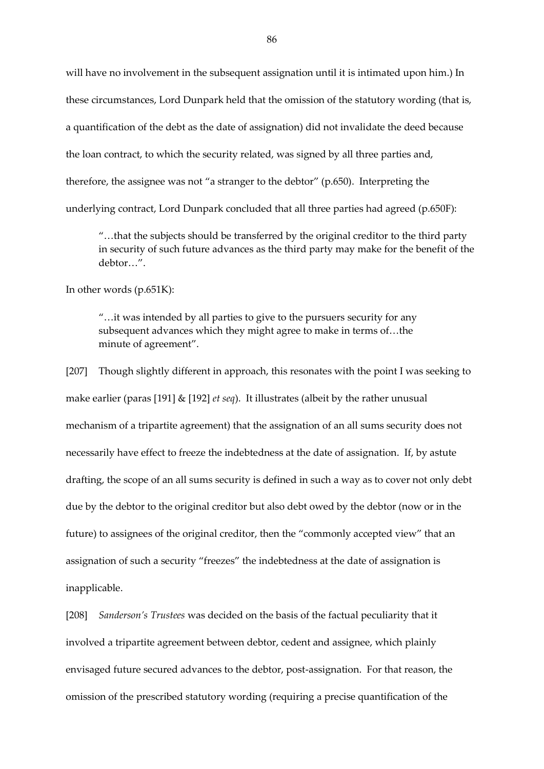will have no involvement in the subsequent assignation until it is intimated upon him.) In these circumstances, Lord Dunpark held that the omission of the statutory wording (that is, a quantification of the debt as the date of assignation) did not invalidate the deed because the loan contract, to which the security related, was signed by all three parties and, therefore, the assignee was not "a stranger to the debtor" (p.650). Interpreting the underlying contract, Lord Dunpark concluded that all three parties had agreed (p.650F):

"…that the subjects should be transferred by the original creditor to the third party in security of such future advances as the third party may make for the benefit of the debtor…".

In other words (p.651K):

"…it was intended by all parties to give to the pursuers security for any subsequent advances which they might agree to make in terms of…the minute of agreement".

[207] Though slightly different in approach, this resonates with the point I was seeking to make earlier (paras [191] & [192] *et seq*). It illustrates (albeit by the rather unusual mechanism of a tripartite agreement) that the assignation of an all sums security does not necessarily have effect to freeze the indebtedness at the date of assignation. If, by astute drafting, the scope of an all sums security is defined in such a way as to cover not only debt due by the debtor to the original creditor but also debt owed by the debtor (now or in the future) to assignees of the original creditor, then the "commonly accepted view" that an assignation of such a security "freezes" the indebtedness at the date of assignation is inapplicable.

[208] *Sanderson's Trustees* was decided on the basis of the factual peculiarity that it involved a tripartite agreement between debtor, cedent and assignee, which plainly envisaged future secured advances to the debtor, post-assignation. For that reason, the omission of the prescribed statutory wording (requiring a precise quantification of the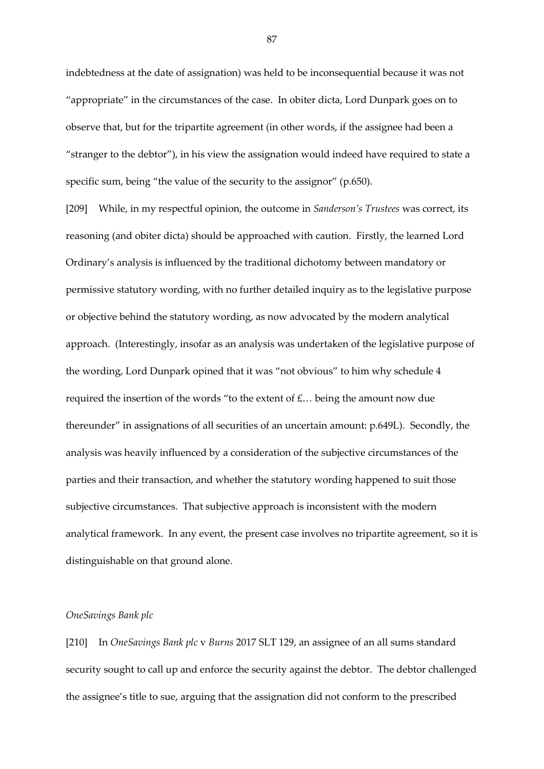indebtedness at the date of assignation) was held to be inconsequential because it was not "appropriate" in the circumstances of the case. In obiter dicta, Lord Dunpark goes on to observe that, but for the tripartite agreement (in other words, if the assignee had been a "stranger to the debtor"), in his view the assignation would indeed have required to state a specific sum, being "the value of the security to the assignor" (p.650).

[209] While, in my respectful opinion, the outcome in *Sanderson's Trustees* was correct, its reasoning (and obiter dicta) should be approached with caution. Firstly, the learned Lord Ordinary's analysis is influenced by the traditional dichotomy between mandatory or permissive statutory wording, with no further detailed inquiry as to the legislative purpose or objective behind the statutory wording, as now advocated by the modern analytical approach. (Interestingly, insofar as an analysis was undertaken of the legislative purpose of the wording, Lord Dunpark opined that it was "not obvious" to him why schedule 4 required the insertion of the words "to the extent of £… being the amount now due thereunder" in assignations of all securities of an uncertain amount: p.649L). Secondly, the analysis was heavily influenced by a consideration of the subjective circumstances of the parties and their transaction, and whether the statutory wording happened to suit those subjective circumstances. That subjective approach is inconsistent with the modern analytical framework. In any event, the present case involves no tripartite agreement, so it is distinguishable on that ground alone.

# *OneSavings Bank plc*

[210] In *OneSavings Bank plc* v *Burns* 2017 SLT 129, an assignee of an all sums standard security sought to call up and enforce the security against the debtor. The debtor challenged the assignee's title to sue, arguing that the assignation did not conform to the prescribed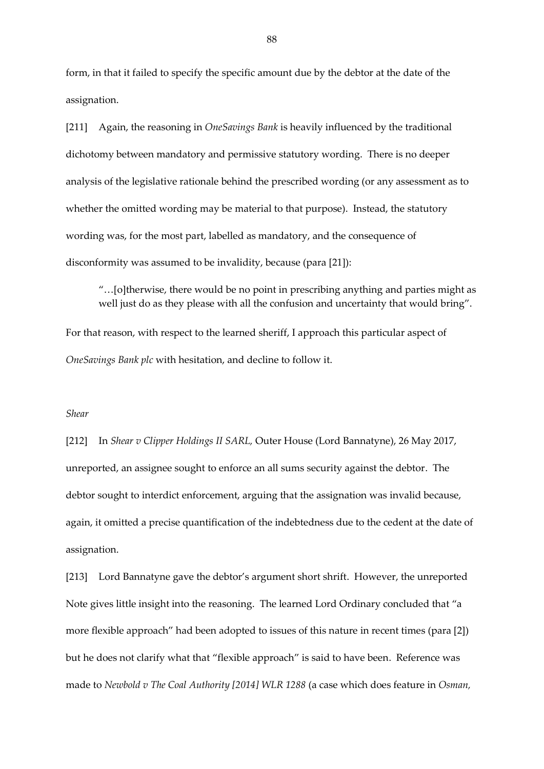form, in that it failed to specify the specific amount due by the debtor at the date of the assignation.

[211] Again, the reasoning in *OneSavings Bank* is heavily influenced by the traditional dichotomy between mandatory and permissive statutory wording. There is no deeper analysis of the legislative rationale behind the prescribed wording (or any assessment as to whether the omitted wording may be material to that purpose). Instead, the statutory wording was, for the most part, labelled as mandatory, and the consequence of disconformity was assumed to be invalidity, because (para [21]):

"…[o]therwise, there would be no point in prescribing anything and parties might as well just do as they please with all the confusion and uncertainty that would bring".

For that reason, with respect to the learned sheriff, I approach this particular aspect of *OneSavings Bank plc* with hesitation, and decline to follow it.

## *Shear*

[212] In *Shear v Clipper Holdings II SARL,* Outer House (Lord Bannatyne), 26 May 2017, unreported, an assignee sought to enforce an all sums security against the debtor. The debtor sought to interdict enforcement, arguing that the assignation was invalid because, again, it omitted a precise quantification of the indebtedness due to the cedent at the date of assignation.

[213] Lord Bannatyne gave the debtor's argument short shrift. However, the unreported Note gives little insight into the reasoning. The learned Lord Ordinary concluded that "a more flexible approach" had been adopted to issues of this nature in recent times (para [2]) but he does not clarify what that "flexible approach" is said to have been. Reference was made to *Newbold v The Coal Authority [2014] WLR 1288* (a case which does feature in *Osman,*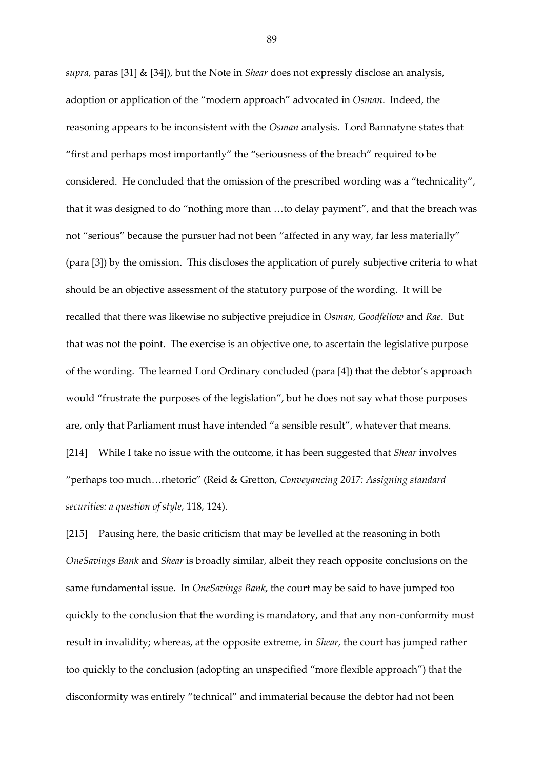*supra,* paras [31] & [34]), but the Note in *Shear* does not expressly disclose an analysis, adoption or application of the "modern approach" advocated in *Osman*. Indeed, the reasoning appears to be inconsistent with the *Osman* analysis. Lord Bannatyne states that "first and perhaps most importantly" the "seriousness of the breach" required to be considered. He concluded that the omission of the prescribed wording was a "technicality", that it was designed to do "nothing more than …to delay payment", and that the breach was not "serious" because the pursuer had not been "affected in any way, far less materially" (para [3]) by the omission. This discloses the application of purely subjective criteria to what should be an objective assessment of the statutory purpose of the wording. It will be recalled that there was likewise no subjective prejudice in *Osman, Goodfellow* and *Rae*. But that was not the point. The exercise is an objective one, to ascertain the legislative purpose of the wording. The learned Lord Ordinary concluded (para [4]) that the debtor's approach would "frustrate the purposes of the legislation", but he does not say what those purposes are, only that Parliament must have intended "a sensible result", whatever that means. [214] While I take no issue with the outcome, it has been suggested that *Shear* involves "perhaps too much…rhetoric" (Reid & Gretton, *Conveyancing 2017: Assigning standard* 

*securities: a question of style*, 118, 124).

[215] Pausing here, the basic criticism that may be levelled at the reasoning in both *OneSavings Bank* and *Shear* is broadly similar, albeit they reach opposite conclusions on the same fundamental issue. In *OneSavings Bank*, the court may be said to have jumped too quickly to the conclusion that the wording is mandatory, and that any non-conformity must result in invalidity; whereas, at the opposite extreme, in *Shear,* the court has jumped rather too quickly to the conclusion (adopting an unspecified "more flexible approach") that the disconformity was entirely "technical" and immaterial because the debtor had not been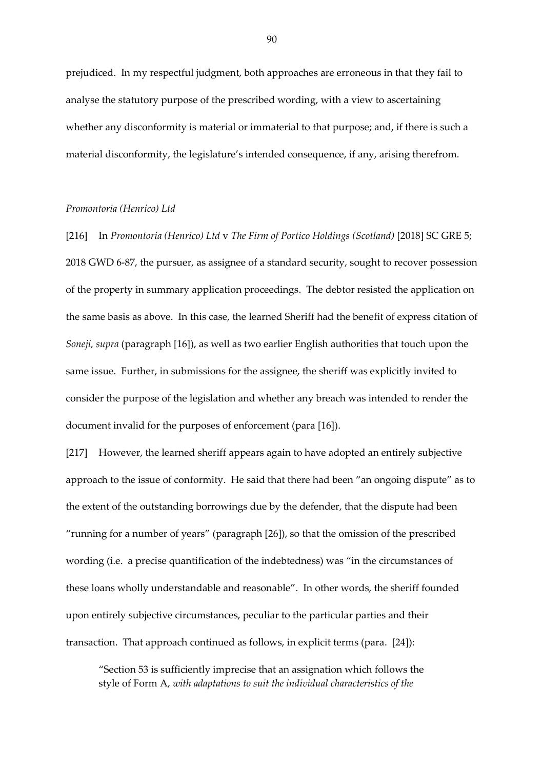prejudiced. In my respectful judgment, both approaches are erroneous in that they fail to analyse the statutory purpose of the prescribed wording, with a view to ascertaining whether any disconformity is material or immaterial to that purpose; and, if there is such a material disconformity, the legislature's intended consequence, if any, arising therefrom.

#### *Promontoria (Henrico) Ltd*

[216] In *Promontoria (Henrico) Ltd* v *The Firm of Portico Holdings (Scotland)* [2018] SC GRE 5; 2018 GWD 6-87, the pursuer, as assignee of a standard security, sought to recover possession of the property in summary application proceedings. The debtor resisted the application on the same basis as above. In this case, the learned Sheriff had the benefit of express citation of *Soneji, supra* (paragraph [16]), as well as two earlier English authorities that touch upon the same issue. Further, in submissions for the assignee, the sheriff was explicitly invited to consider the purpose of the legislation and whether any breach was intended to render the document invalid for the purposes of enforcement (para [16]).

[217] However, the learned sheriff appears again to have adopted an entirely subjective approach to the issue of conformity. He said that there had been "an ongoing dispute" as to the extent of the outstanding borrowings due by the defender, that the dispute had been "running for a number of years" (paragraph [26]), so that the omission of the prescribed wording (i.e. a precise quantification of the indebtedness) was "in the circumstances of these loans wholly understandable and reasonable". In other words, the sheriff founded upon entirely subjective circumstances, peculiar to the particular parties and their transaction. That approach continued as follows, in explicit terms (para. [24]):

"Section 53 is sufficiently imprecise that an assignation which follows the style of Form A, *with adaptations to suit the individual characteristics of the*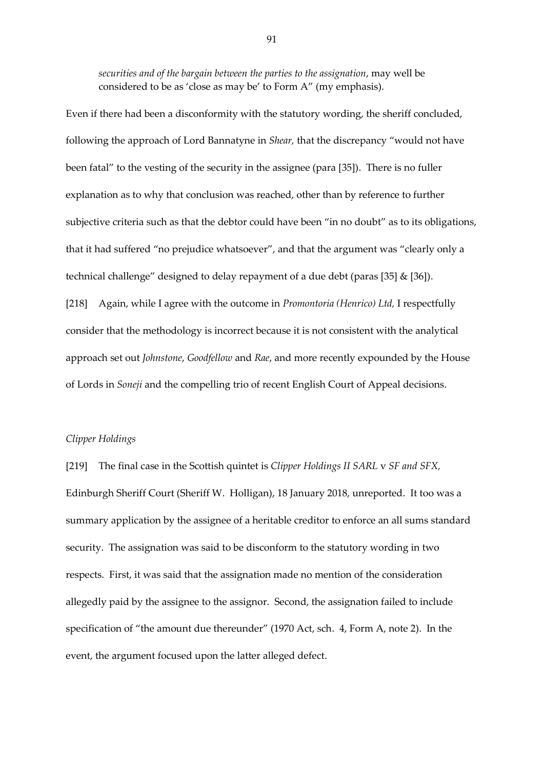*securities and of the bargain between the parties to the assignation*, may well be considered to be as 'close as may be' to Form A" (my emphasis).

Even if there had been a disconformity with the statutory wording, the sheriff concluded, following the approach of Lord Bannatyne in *Shear,* that the discrepancy "would not have been fatal" to the vesting of the security in the assignee (para [35]). There is no fuller explanation as to why that conclusion was reached, other than by reference to further subjective criteria such as that the debtor could have been "in no doubt" as to its obligations, that it had suffered "no prejudice whatsoever", and that the argument was "clearly only a technical challenge" designed to delay repayment of a due debt (paras [35] & [36]). [218] Again, while I agree with the outcome in *Promontoria (Henrico) Ltd,* I respectfully consider that the methodology is incorrect because it is not consistent with the analytical approach set out *Johnstone*, *Goodfellow* and *Rae*, and more recently expounded by the House of Lords in *Soneji* and the compelling trio of recent English Court of Appeal decisions.

# *Clipper Holdings*

[219] The final case in the Scottish quintet is *Clipper Holdings II SARL* v *SF and SFX,* Edinburgh Sheriff Court (Sheriff W. Holligan), 18 January 2018, unreported. It too was a summary application by the assignee of a heritable creditor to enforce an all sums standard security. The assignation was said to be disconform to the statutory wording in two respects. First, it was said that the assignation made no mention of the consideration allegedly paid by the assignee to the assignor. Second, the assignation failed to include specification of "the amount due thereunder" (1970 Act, sch. 4, Form A, note 2). In the event, the argument focused upon the latter alleged defect.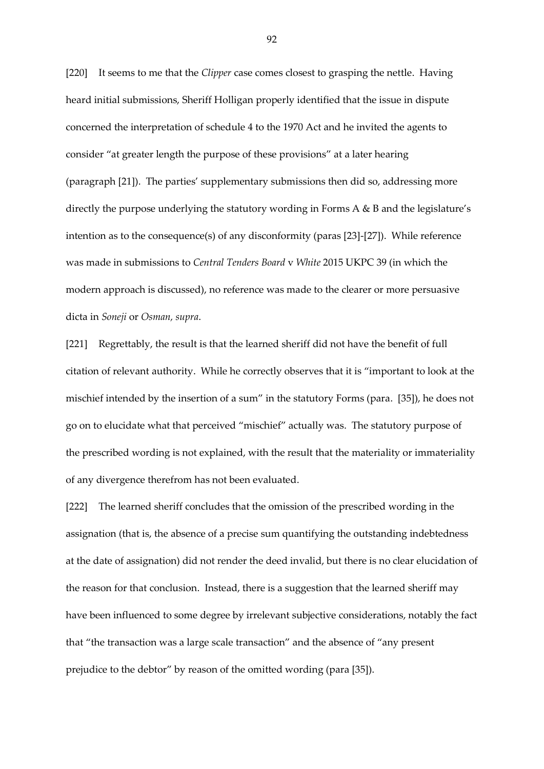[220] It seems to me that the *Clipper* case comes closest to grasping the nettle. Having heard initial submissions, Sheriff Holligan properly identified that the issue in dispute concerned the interpretation of schedule 4 to the 1970 Act and he invited the agents to consider "at greater length the purpose of these provisions" at a later hearing (paragraph [21]). The parties' supplementary submissions then did so, addressing more directly the purpose underlying the statutory wording in Forms A & B and the legislature's intention as to the consequence(s) of any disconformity (paras [23]-[27]). While reference was made in submissions to *Central Tenders Board* v *White* 2015 UKPC 39 (in which the modern approach is discussed), no reference was made to the clearer or more persuasive dicta in *Soneji* or *Osman, supra*.

[221] Regrettably, the result is that the learned sheriff did not have the benefit of full citation of relevant authority. While he correctly observes that it is "important to look at the mischief intended by the insertion of a sum" in the statutory Forms (para. [35]), he does not go on to elucidate what that perceived "mischief" actually was. The statutory purpose of the prescribed wording is not explained, with the result that the materiality or immateriality of any divergence therefrom has not been evaluated.

[222] The learned sheriff concludes that the omission of the prescribed wording in the assignation (that is, the absence of a precise sum quantifying the outstanding indebtedness at the date of assignation) did not render the deed invalid, but there is no clear elucidation of the reason for that conclusion. Instead, there is a suggestion that the learned sheriff may have been influenced to some degree by irrelevant subjective considerations, notably the fact that "the transaction was a large scale transaction" and the absence of "any present prejudice to the debtor" by reason of the omitted wording (para [35]).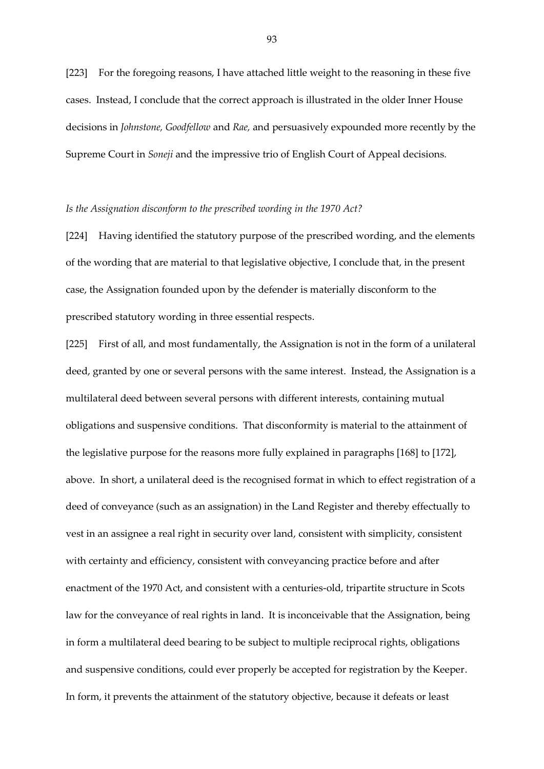[223] For the foregoing reasons, I have attached little weight to the reasoning in these five cases. Instead, I conclude that the correct approach is illustrated in the older Inner House decisions in *Johnstone, Goodfellow* and *Rae,* and persuasively expounded more recently by the Supreme Court in *Soneji* and the impressive trio of English Court of Appeal decisions*.* 

#### *Is the Assignation disconform to the prescribed wording in the 1970 Act?*

[224] Having identified the statutory purpose of the prescribed wording, and the elements of the wording that are material to that legislative objective, I conclude that, in the present case, the Assignation founded upon by the defender is materially disconform to the prescribed statutory wording in three essential respects.

[225] First of all, and most fundamentally, the Assignation is not in the form of a unilateral deed, granted by one or several persons with the same interest. Instead, the Assignation is a multilateral deed between several persons with different interests, containing mutual obligations and suspensive conditions. That disconformity is material to the attainment of the legislative purpose for the reasons more fully explained in paragraphs [168] to [172], above. In short, a unilateral deed is the recognised format in which to effect registration of a deed of conveyance (such as an assignation) in the Land Register and thereby effectually to vest in an assignee a real right in security over land, consistent with simplicity, consistent with certainty and efficiency, consistent with conveyancing practice before and after enactment of the 1970 Act, and consistent with a centuries-old, tripartite structure in Scots law for the conveyance of real rights in land. It is inconceivable that the Assignation, being in form a multilateral deed bearing to be subject to multiple reciprocal rights, obligations and suspensive conditions, could ever properly be accepted for registration by the Keeper. In form, it prevents the attainment of the statutory objective, because it defeats or least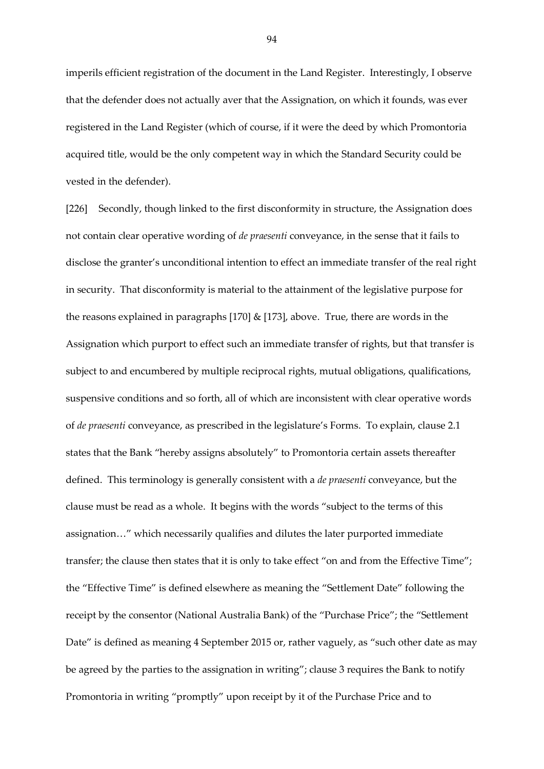imperils efficient registration of the document in the Land Register. Interestingly, I observe that the defender does not actually aver that the Assignation, on which it founds, was ever registered in the Land Register (which of course, if it were the deed by which Promontoria acquired title, would be the only competent way in which the Standard Security could be vested in the defender).

[226] Secondly, though linked to the first disconformity in structure, the Assignation does not contain clear operative wording of *de praesenti* conveyance, in the sense that it fails to disclose the granter's unconditional intention to effect an immediate transfer of the real right in security. That disconformity is material to the attainment of the legislative purpose for the reasons explained in paragraphs [170] & [173], above. True, there are words in the Assignation which purport to effect such an immediate transfer of rights, but that transfer is subject to and encumbered by multiple reciprocal rights, mutual obligations, qualifications, suspensive conditions and so forth, all of which are inconsistent with clear operative words of *de praesenti* conveyance, as prescribed in the legislature's Forms. To explain, clause 2.1 states that the Bank "hereby assigns absolutely" to Promontoria certain assets thereafter defined. This terminology is generally consistent with a *de praesenti* conveyance, but the clause must be read as a whole. It begins with the words "subject to the terms of this assignation…" which necessarily qualifies and dilutes the later purported immediate transfer; the clause then states that it is only to take effect "on and from the Effective Time"; the "Effective Time" is defined elsewhere as meaning the "Settlement Date" following the receipt by the consentor (National Australia Bank) of the "Purchase Price"; the "Settlement Date" is defined as meaning 4 September 2015 or, rather vaguely, as "such other date as may be agreed by the parties to the assignation in writing"; clause 3 requires the Bank to notify Promontoria in writing "promptly" upon receipt by it of the Purchase Price and to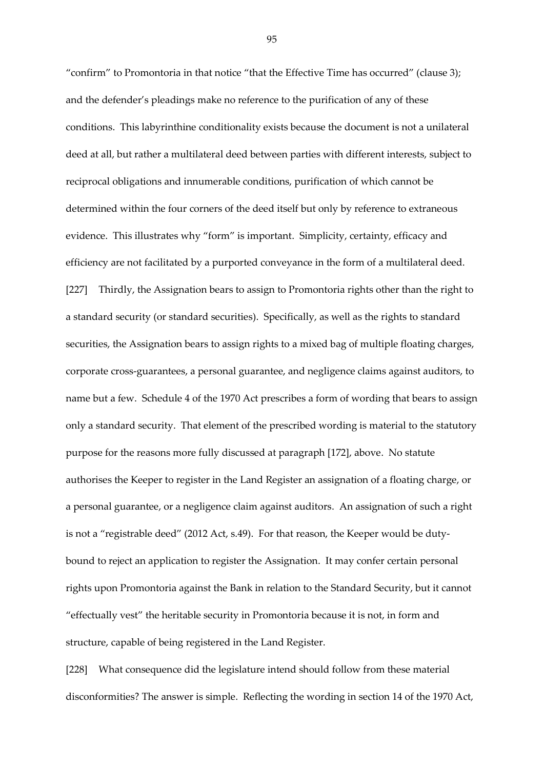"confirm" to Promontoria in that notice "that the Effective Time has occurred" (clause 3); and the defender's pleadings make no reference to the purification of any of these conditions. This labyrinthine conditionality exists because the document is not a unilateral deed at all, but rather a multilateral deed between parties with different interests, subject to reciprocal obligations and innumerable conditions, purification of which cannot be determined within the four corners of the deed itself but only by reference to extraneous evidence. This illustrates why "form" is important. Simplicity, certainty, efficacy and efficiency are not facilitated by a purported conveyance in the form of a multilateral deed. [227] Thirdly, the Assignation bears to assign to Promontoria rights other than the right to a standard security (or standard securities). Specifically, as well as the rights to standard securities, the Assignation bears to assign rights to a mixed bag of multiple floating charges, corporate cross-guarantees, a personal guarantee, and negligence claims against auditors, to name but a few. Schedule 4 of the 1970 Act prescribes a form of wording that bears to assign only a standard security. That element of the prescribed wording is material to the statutory purpose for the reasons more fully discussed at paragraph [172], above. No statute authorises the Keeper to register in the Land Register an assignation of a floating charge, or a personal guarantee, or a negligence claim against auditors. An assignation of such a right is not a "registrable deed" (2012 Act, s.49). For that reason, the Keeper would be dutybound to reject an application to register the Assignation. It may confer certain personal rights upon Promontoria against the Bank in relation to the Standard Security, but it cannot "effectually vest" the heritable security in Promontoria because it is not, in form and structure, capable of being registered in the Land Register.

[228] What consequence did the legislature intend should follow from these material disconformities? The answer is simple. Reflecting the wording in section 14 of the 1970 Act,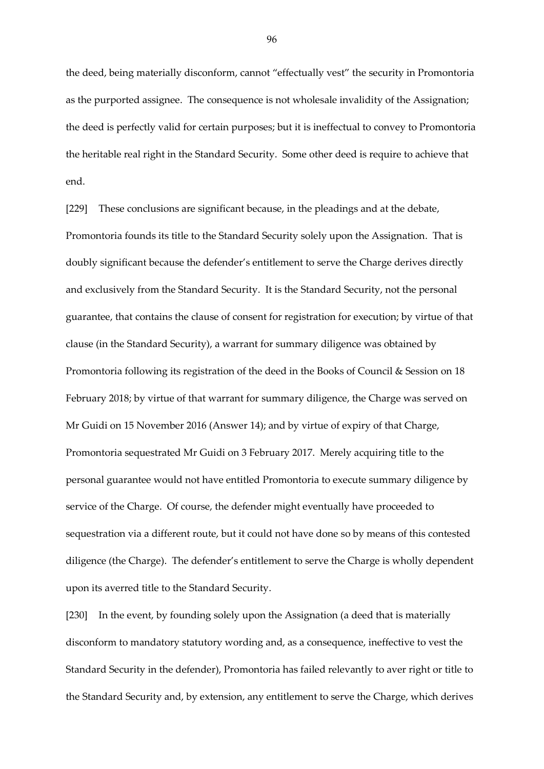the deed, being materially disconform, cannot "effectually vest" the security in Promontoria as the purported assignee. The consequence is not wholesale invalidity of the Assignation; the deed is perfectly valid for certain purposes; but it is ineffectual to convey to Promontoria the heritable real right in the Standard Security. Some other deed is require to achieve that end.

[229] These conclusions are significant because, in the pleadings and at the debate, Promontoria founds its title to the Standard Security solely upon the Assignation. That is doubly significant because the defender's entitlement to serve the Charge derives directly and exclusively from the Standard Security. It is the Standard Security, not the personal guarantee, that contains the clause of consent for registration for execution; by virtue of that clause (in the Standard Security), a warrant for summary diligence was obtained by Promontoria following its registration of the deed in the Books of Council & Session on 18 February 2018; by virtue of that warrant for summary diligence, the Charge was served on Mr Guidi on 15 November 2016 (Answer 14); and by virtue of expiry of that Charge, Promontoria sequestrated Mr Guidi on 3 February 2017. Merely acquiring title to the personal guarantee would not have entitled Promontoria to execute summary diligence by service of the Charge. Of course, the defender might eventually have proceeded to sequestration via a different route, but it could not have done so by means of this contested diligence (the Charge). The defender's entitlement to serve the Charge is wholly dependent upon its averred title to the Standard Security.

[230] In the event, by founding solely upon the Assignation (a deed that is materially disconform to mandatory statutory wording and, as a consequence, ineffective to vest the Standard Security in the defender), Promontoria has failed relevantly to aver right or title to the Standard Security and, by extension, any entitlement to serve the Charge, which derives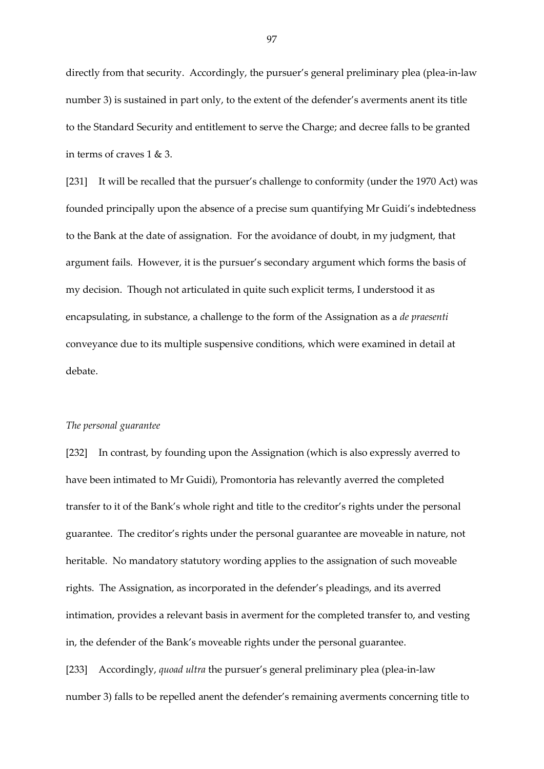directly from that security. Accordingly, the pursuer's general preliminary plea (plea-in-law number 3) is sustained in part only, to the extent of the defender's averments anent its title to the Standard Security and entitlement to serve the Charge; and decree falls to be granted in terms of craves 1 & 3.

[231] It will be recalled that the pursuer's challenge to conformity (under the 1970 Act) was founded principally upon the absence of a precise sum quantifying Mr Guidi's indebtedness to the Bank at the date of assignation. For the avoidance of doubt, in my judgment, that argument fails. However, it is the pursuer's secondary argument which forms the basis of my decision. Though not articulated in quite such explicit terms, I understood it as encapsulating, in substance, a challenge to the form of the Assignation as a *de praesenti* conveyance due to its multiple suspensive conditions, which were examined in detail at debate.

## *The personal guarantee*

[232] In contrast, by founding upon the Assignation (which is also expressly averred to have been intimated to Mr Guidi), Promontoria has relevantly averred the completed transfer to it of the Bank's whole right and title to the creditor's rights under the personal guarantee. The creditor's rights under the personal guarantee are moveable in nature, not heritable. No mandatory statutory wording applies to the assignation of such moveable rights. The Assignation, as incorporated in the defender's pleadings, and its averred intimation, provides a relevant basis in averment for the completed transfer to, and vesting in, the defender of the Bank's moveable rights under the personal guarantee.

[233] Accordingly, *quoad ultra* the pursuer's general preliminary plea (plea-in-law number 3) falls to be repelled anent the defender's remaining averments concerning title to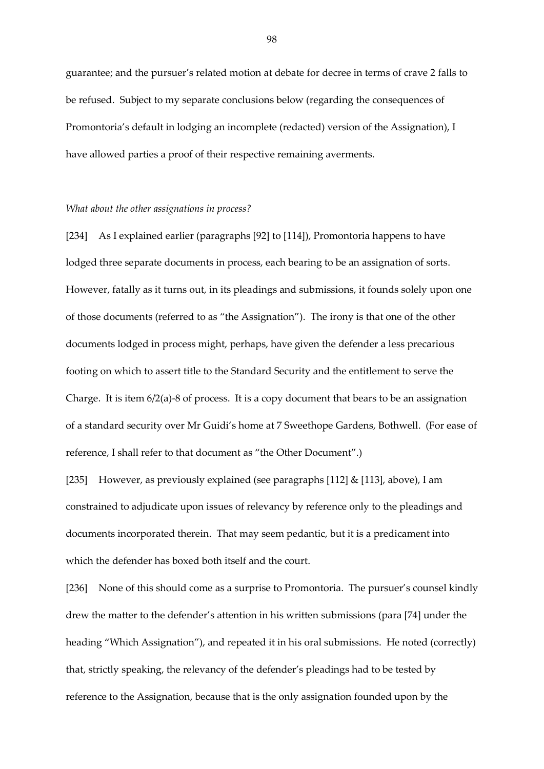guarantee; and the pursuer's related motion at debate for decree in terms of crave 2 falls to be refused. Subject to my separate conclusions below (regarding the consequences of Promontoria's default in lodging an incomplete (redacted) version of the Assignation), I have allowed parties a proof of their respective remaining averments.

#### *What about the other assignations in process?*

[234] As I explained earlier (paragraphs [92] to [114]), Promontoria happens to have lodged three separate documents in process, each bearing to be an assignation of sorts. However, fatally as it turns out, in its pleadings and submissions, it founds solely upon one of those documents (referred to as "the Assignation"). The irony is that one of the other documents lodged in process might, perhaps, have given the defender a less precarious footing on which to assert title to the Standard Security and the entitlement to serve the Charge. It is item 6/2(a)-8 of process. It is a copy document that bears to be an assignation of a standard security over Mr Guidi's home at 7 Sweethope Gardens, Bothwell. (For ease of reference, I shall refer to that document as "the Other Document".)

[235] However, as previously explained (see paragraphs [112] & [113], above), I am constrained to adjudicate upon issues of relevancy by reference only to the pleadings and documents incorporated therein. That may seem pedantic, but it is a predicament into which the defender has boxed both itself and the court.

[236] None of this should come as a surprise to Promontoria. The pursuer's counsel kindly drew the matter to the defender's attention in his written submissions (para [74] under the heading "Which Assignation"), and repeated it in his oral submissions. He noted (correctly) that, strictly speaking, the relevancy of the defender's pleadings had to be tested by reference to the Assignation, because that is the only assignation founded upon by the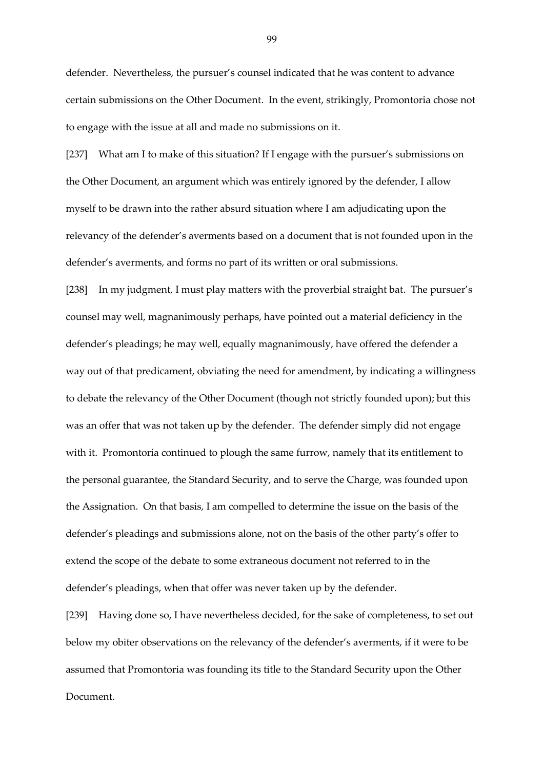defender. Nevertheless, the pursuer's counsel indicated that he was content to advance certain submissions on the Other Document. In the event, strikingly, Promontoria chose not to engage with the issue at all and made no submissions on it.

[237] What am I to make of this situation? If I engage with the pursuer's submissions on the Other Document, an argument which was entirely ignored by the defender, I allow myself to be drawn into the rather absurd situation where I am adjudicating upon the relevancy of the defender's averments based on a document that is not founded upon in the defender's averments, and forms no part of its written or oral submissions.

[238] In my judgment, I must play matters with the proverbial straight bat. The pursuer's counsel may well, magnanimously perhaps, have pointed out a material deficiency in the defender's pleadings; he may well, equally magnanimously, have offered the defender a way out of that predicament, obviating the need for amendment, by indicating a willingness to debate the relevancy of the Other Document (though not strictly founded upon); but this was an offer that was not taken up by the defender. The defender simply did not engage with it. Promontoria continued to plough the same furrow, namely that its entitlement to the personal guarantee, the Standard Security, and to serve the Charge, was founded upon the Assignation. On that basis, I am compelled to determine the issue on the basis of the defender's pleadings and submissions alone, not on the basis of the other party's offer to extend the scope of the debate to some extraneous document not referred to in the defender's pleadings, when that offer was never taken up by the defender.

[239] Having done so, I have nevertheless decided, for the sake of completeness, to set out below my obiter observations on the relevancy of the defender's averments, if it were to be assumed that Promontoria was founding its title to the Standard Security upon the Other Document.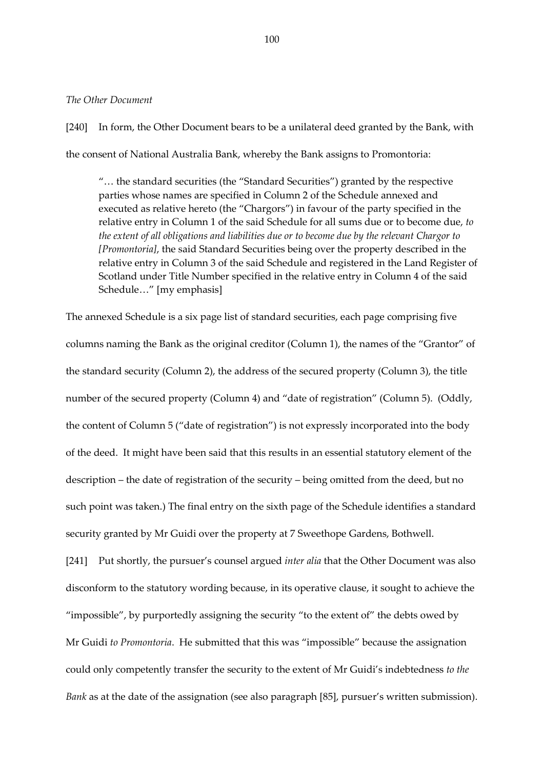#### *The Other Document*

[240] In form, the Other Document bears to be a unilateral deed granted by the Bank, with the consent of National Australia Bank, whereby the Bank assigns to Promontoria:

"… the standard securities (the "Standard Securities") granted by the respective parties whose names are specified in Column 2 of the Schedule annexed and executed as relative hereto (the "Chargors") in favour of the party specified in the relative entry in Column 1 of the said Schedule for all sums due or to become due, *to the extent of all obligations and liabilities due or to become due by the relevant Chargor to [Promontoria]*, the said Standard Securities being over the property described in the relative entry in Column 3 of the said Schedule and registered in the Land Register of Scotland under Title Number specified in the relative entry in Column 4 of the said Schedule…" [my emphasis]

The annexed Schedule is a six page list of standard securities, each page comprising five columns naming the Bank as the original creditor (Column 1), the names of the "Grantor" of the standard security (Column 2), the address of the secured property (Column 3), the title number of the secured property (Column 4) and "date of registration" (Column 5). (Oddly, the content of Column 5 ("date of registration") is not expressly incorporated into the body of the deed. It might have been said that this results in an essential statutory element of the description – the date of registration of the security – being omitted from the deed, but no such point was taken.) The final entry on the sixth page of the Schedule identifies a standard security granted by Mr Guidi over the property at 7 Sweethope Gardens, Bothwell.

[241] Put shortly, the pursuer's counsel argued *inter alia* that the Other Document was also disconform to the statutory wording because, in its operative clause, it sought to achieve the "impossible", by purportedly assigning the security "to the extent of" the debts owed by Mr Guidi *to Promontoria*. He submitted that this was "impossible" because the assignation could only competently transfer the security to the extent of Mr Guidi's indebtedness *to the Bank* as at the date of the assignation (see also paragraph [85], pursuer's written submission).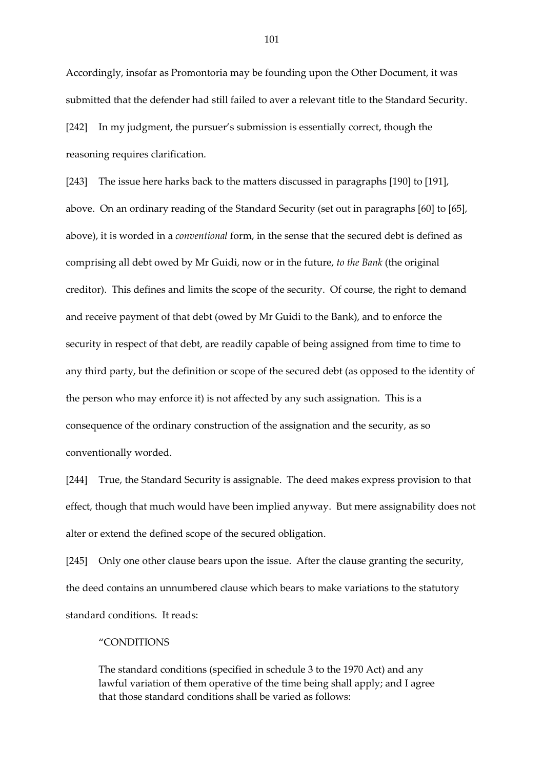Accordingly, insofar as Promontoria may be founding upon the Other Document, it was submitted that the defender had still failed to aver a relevant title to the Standard Security. [242] In my judgment, the pursuer's submission is essentially correct, though the reasoning requires clarification.

[243] The issue here harks back to the matters discussed in paragraphs [190] to [191], above. On an ordinary reading of the Standard Security (set out in paragraphs [60] to [65], above), it is worded in a *conventional* form, in the sense that the secured debt is defined as comprising all debt owed by Mr Guidi, now or in the future, *to the Bank* (the original creditor). This defines and limits the scope of the security. Of course, the right to demand and receive payment of that debt (owed by Mr Guidi to the Bank), and to enforce the security in respect of that debt, are readily capable of being assigned from time to time to any third party, but the definition or scope of the secured debt (as opposed to the identity of the person who may enforce it) is not affected by any such assignation. This is a consequence of the ordinary construction of the assignation and the security, as so conventionally worded.

[244] True, the Standard Security is assignable. The deed makes express provision to that effect, though that much would have been implied anyway. But mere assignability does not alter or extend the defined scope of the secured obligation.

[245] Only one other clause bears upon the issue. After the clause granting the security, the deed contains an unnumbered clause which bears to make variations to the statutory standard conditions. It reads:

#### "CONDITIONS

The standard conditions (specified in schedule 3 to the 1970 Act) and any lawful variation of them operative of the time being shall apply; and I agree that those standard conditions shall be varied as follows: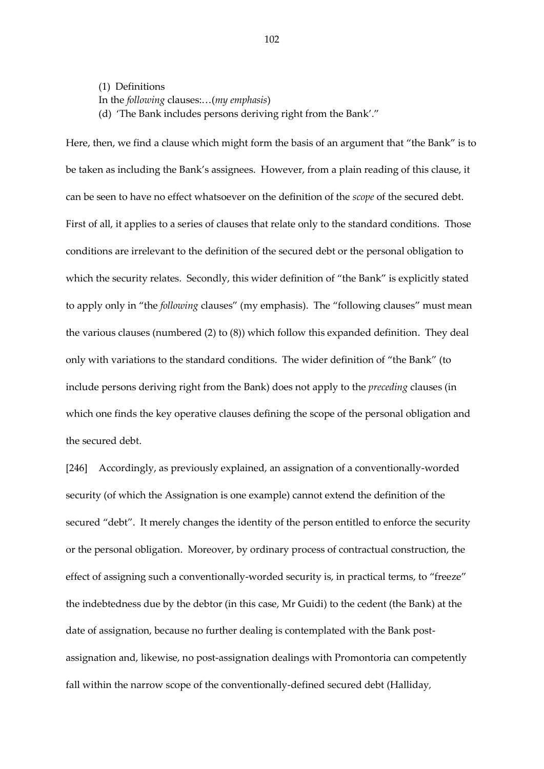(1) Definitions In the *following* clauses:…(*my emphasis*) (d) 'The Bank includes persons deriving right from the Bank'."

Here, then, we find a clause which might form the basis of an argument that "the Bank" is to be taken as including the Bank's assignees. However, from a plain reading of this clause, it can be seen to have no effect whatsoever on the definition of the *scope* of the secured debt. First of all, it applies to a series of clauses that relate only to the standard conditions. Those conditions are irrelevant to the definition of the secured debt or the personal obligation to which the security relates. Secondly, this wider definition of "the Bank" is explicitly stated to apply only in "the *following* clauses" (my emphasis). The "following clauses" must mean the various clauses (numbered (2) to (8)) which follow this expanded definition. They deal only with variations to the standard conditions. The wider definition of "the Bank" (to include persons deriving right from the Bank) does not apply to the *preceding* clauses (in which one finds the key operative clauses defining the scope of the personal obligation and the secured debt.

[246] Accordingly, as previously explained, an assignation of a conventionally-worded security (of which the Assignation is one example) cannot extend the definition of the secured "debt". It merely changes the identity of the person entitled to enforce the security or the personal obligation. Moreover, by ordinary process of contractual construction, the effect of assigning such a conventionally-worded security is, in practical terms, to "freeze" the indebtedness due by the debtor (in this case, Mr Guidi) to the cedent (the Bank) at the date of assignation, because no further dealing is contemplated with the Bank postassignation and, likewise, no post-assignation dealings with Promontoria can competently fall within the narrow scope of the conventionally-defined secured debt (Halliday*,*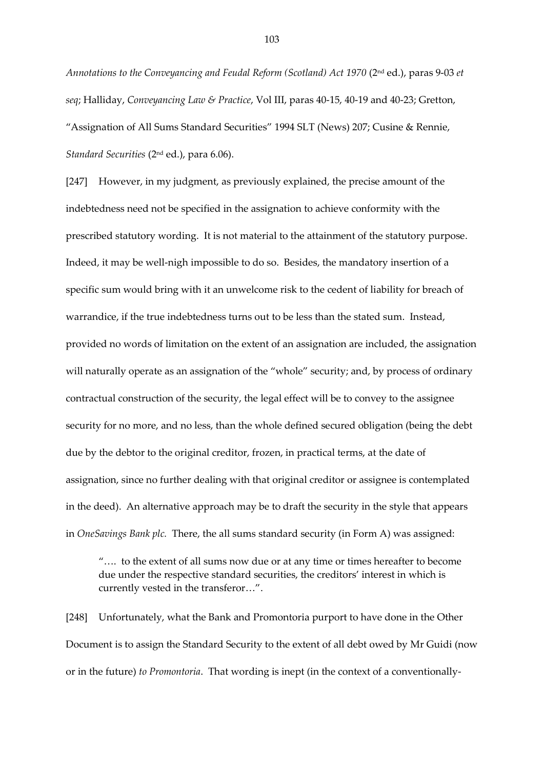*Annotations to the Conveyancing and Feudal Reform (Scotland) Act 1970* (2nd ed.), paras 9-03 *et seq*; Halliday, *Conveyancing Law & Practice*, Vol III, paras 40-15, 40-19 and 40-23; Gretton, "Assignation of All Sums Standard Securities" 1994 SLT (News) 207; Cusine & Rennie, *Standard Securities* (2nd ed.), para 6.06).

[247] However, in my judgment, as previously explained, the precise amount of the indebtedness need not be specified in the assignation to achieve conformity with the prescribed statutory wording. It is not material to the attainment of the statutory purpose. Indeed, it may be well-nigh impossible to do so. Besides, the mandatory insertion of a specific sum would bring with it an unwelcome risk to the cedent of liability for breach of warrandice, if the true indebtedness turns out to be less than the stated sum. Instead, provided no words of limitation on the extent of an assignation are included, the assignation will naturally operate as an assignation of the "whole" security; and, by process of ordinary contractual construction of the security, the legal effect will be to convey to the assignee security for no more, and no less, than the whole defined secured obligation (being the debt due by the debtor to the original creditor, frozen, in practical terms, at the date of assignation, since no further dealing with that original creditor or assignee is contemplated in the deed). An alternative approach may be to draft the security in the style that appears in *OneSavings Bank plc.* There, the all sums standard security (in Form A) was assigned:

"…. to the extent of all sums now due or at any time or times hereafter to become due under the respective standard securities, the creditors' interest in which is currently vested in the transferor…".

[248] Unfortunately, what the Bank and Promontoria purport to have done in the Other Document is to assign the Standard Security to the extent of all debt owed by Mr Guidi (now or in the future) *to Promontoria*. That wording is inept (in the context of a conventionally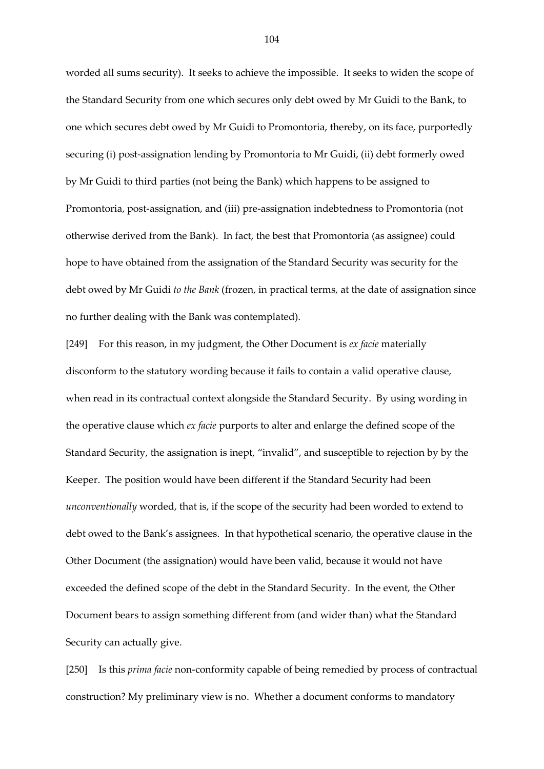worded all sums security). It seeks to achieve the impossible. It seeks to widen the scope of the Standard Security from one which secures only debt owed by Mr Guidi to the Bank, to one which secures debt owed by Mr Guidi to Promontoria, thereby, on its face, purportedly securing (i) post-assignation lending by Promontoria to Mr Guidi, (ii) debt formerly owed by Mr Guidi to third parties (not being the Bank) which happens to be assigned to Promontoria, post-assignation, and (iii) pre-assignation indebtedness to Promontoria (not otherwise derived from the Bank). In fact, the best that Promontoria (as assignee) could hope to have obtained from the assignation of the Standard Security was security for the debt owed by Mr Guidi *to the Bank* (frozen, in practical terms, at the date of assignation since no further dealing with the Bank was contemplated).

[249] For this reason, in my judgment, the Other Document is *ex facie* materially disconform to the statutory wording because it fails to contain a valid operative clause, when read in its contractual context alongside the Standard Security. By using wording in the operative clause which *ex facie* purports to alter and enlarge the defined scope of the Standard Security, the assignation is inept, "invalid", and susceptible to rejection by by the Keeper. The position would have been different if the Standard Security had been *unconventionally* worded, that is, if the scope of the security had been worded to extend to debt owed to the Bank's assignees. In that hypothetical scenario, the operative clause in the Other Document (the assignation) would have been valid, because it would not have exceeded the defined scope of the debt in the Standard Security. In the event, the Other Document bears to assign something different from (and wider than) what the Standard Security can actually give.

[250] Is this *prima facie* non-conformity capable of being remedied by process of contractual construction? My preliminary view is no. Whether a document conforms to mandatory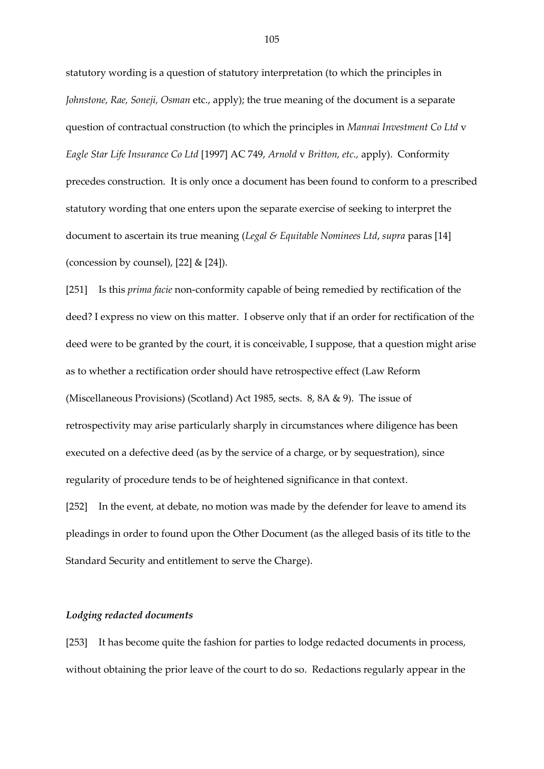statutory wording is a question of statutory interpretation (to which the principles in *Johnstone, Rae, Soneji, Osman* etc., apply); the true meaning of the document is a separate question of contractual construction (to which the principles in *Mannai Investment Co Ltd* v *Eagle Star Life Insurance Co Ltd* [1997] AC 749, *Arnold* v *Britton, etc.,* apply). Conformity precedes construction. It is only once a document has been found to conform to a prescribed statutory wording that one enters upon the separate exercise of seeking to interpret the document to ascertain its true meaning (*Legal & Equitable Nominees Ltd*, *supra* paras [14] (concession by counsel),  $[22]$  &  $[24]$ ).

[251] Is this *prima facie* non-conformity capable of being remedied by rectification of the deed? I express no view on this matter. I observe only that if an order for rectification of the deed were to be granted by the court, it is conceivable, I suppose, that a question might arise as to whether a rectification order should have retrospective effect (Law Reform (Miscellaneous Provisions) (Scotland) Act 1985, sects. 8, 8A & 9). The issue of retrospectivity may arise particularly sharply in circumstances where diligence has been executed on a defective deed (as by the service of a charge, or by sequestration), since regularity of procedure tends to be of heightened significance in that context.

[252] In the event, at debate, no motion was made by the defender for leave to amend its pleadings in order to found upon the Other Document (as the alleged basis of its title to the Standard Security and entitlement to serve the Charge).

## *Lodging redacted documents*

[253] It has become quite the fashion for parties to lodge redacted documents in process, without obtaining the prior leave of the court to do so. Redactions regularly appear in the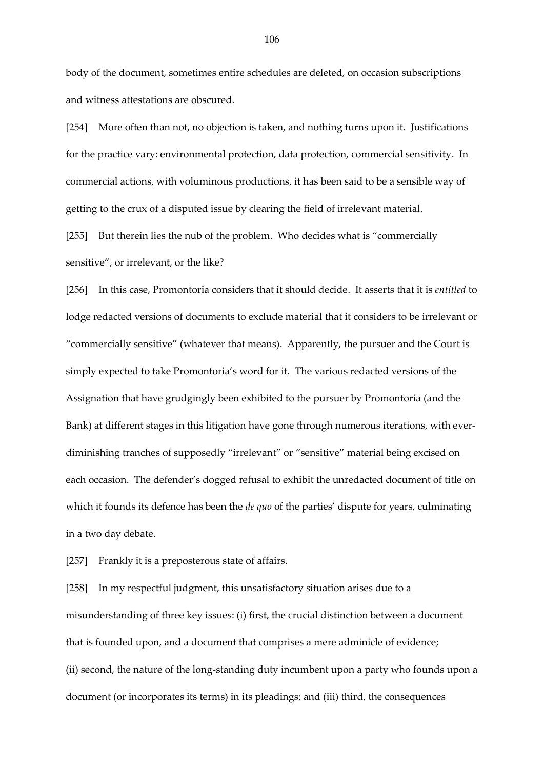body of the document, sometimes entire schedules are deleted, on occasion subscriptions and witness attestations are obscured.

[254] More often than not, no objection is taken, and nothing turns upon it. Justifications for the practice vary: environmental protection, data protection, commercial sensitivity. In commercial actions, with voluminous productions, it has been said to be a sensible way of getting to the crux of a disputed issue by clearing the field of irrelevant material.

[255] But therein lies the nub of the problem. Who decides what is "commercially sensitive", or irrelevant, or the like?

[256] In this case, Promontoria considers that it should decide. It asserts that it is *entitled* to lodge redacted versions of documents to exclude material that it considers to be irrelevant or "commercially sensitive" (whatever that means). Apparently, the pursuer and the Court is simply expected to take Promontoria's word for it. The various redacted versions of the Assignation that have grudgingly been exhibited to the pursuer by Promontoria (and the Bank) at different stages in this litigation have gone through numerous iterations, with everdiminishing tranches of supposedly "irrelevant" or "sensitive" material being excised on each occasion. The defender's dogged refusal to exhibit the unredacted document of title on which it founds its defence has been the *de quo* of the parties' dispute for years, culminating in a two day debate.

[257] Frankly it is a preposterous state of affairs.

[258] In my respectful judgment, this unsatisfactory situation arises due to a misunderstanding of three key issues: (i) first, the crucial distinction between a document that is founded upon, and a document that comprises a mere adminicle of evidence; (ii) second, the nature of the long-standing duty incumbent upon a party who founds upon a document (or incorporates its terms) in its pleadings; and (iii) third, the consequences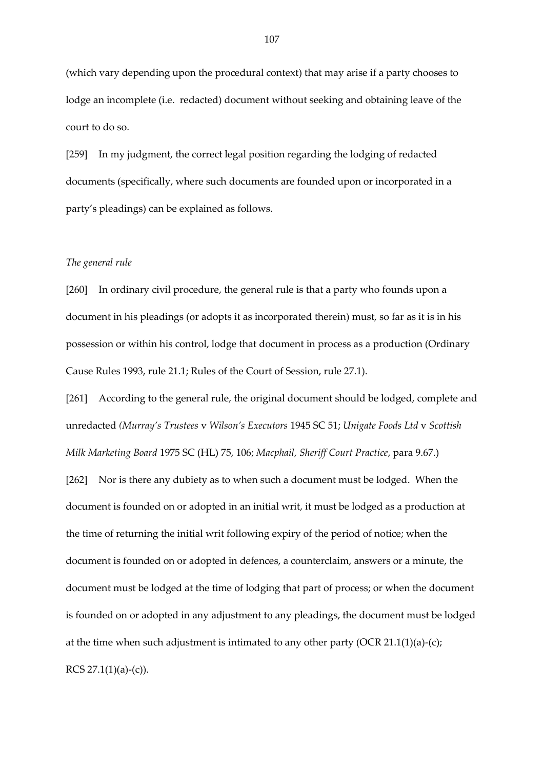(which vary depending upon the procedural context) that may arise if a party chooses to lodge an incomplete (i.e. redacted) document without seeking and obtaining leave of the court to do so.

[259] In my judgment, the correct legal position regarding the lodging of redacted documents (specifically, where such documents are founded upon or incorporated in a party's pleadings) can be explained as follows.

#### *The general rule*

[260] In ordinary civil procedure, the general rule is that a party who founds upon a document in his pleadings (or adopts it as incorporated therein) must, so far as it is in his possession or within his control, lodge that document in process as a production (Ordinary Cause Rules 1993, rule 21.1; Rules of the Court of Session, rule 27.1).

[261] According to the general rule, the original document should be lodged, complete and unredacted *(Murray's Trustees* v *Wilson's Executors* 1945 SC 51; *Unigate Foods Ltd* v *Scottish Milk Marketing Board* 1975 SC (HL) 75, 106; *Macphail, Sheriff Court Practice*, para 9.67.)

[262] Nor is there any dubiety as to when such a document must be lodged. When the document is founded on or adopted in an initial writ, it must be lodged as a production at the time of returning the initial writ following expiry of the period of notice; when the document is founded on or adopted in defences, a counterclaim, answers or a minute, the document must be lodged at the time of lodging that part of process; or when the document is founded on or adopted in any adjustment to any pleadings, the document must be lodged at the time when such adjustment is intimated to any other party (OCR 21.1(1)(a)-(c); RCS  $27.1(1)(a)-(c)$ ).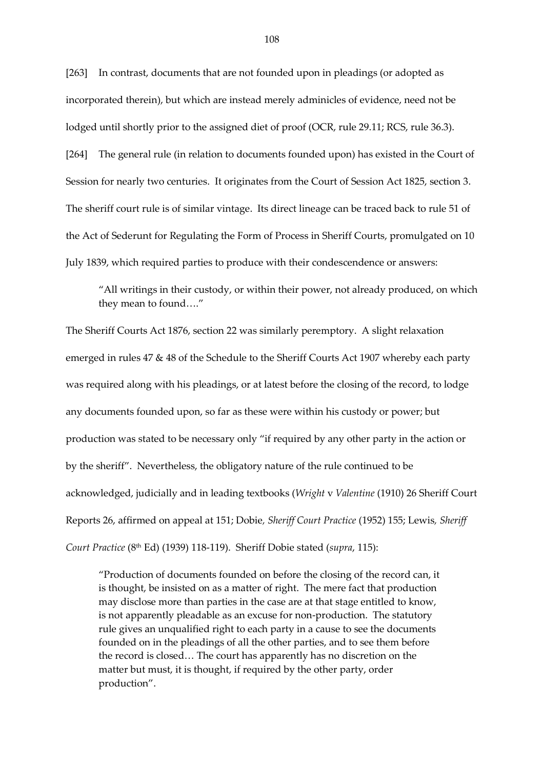[263] In contrast, documents that are not founded upon in pleadings (or adopted as incorporated therein), but which are instead merely adminicles of evidence, need not be lodged until shortly prior to the assigned diet of proof (OCR, rule 29.11; RCS, rule 36.3). [264] The general rule (in relation to documents founded upon) has existed in the Court of Session for nearly two centuries. It originates from the Court of Session Act 1825, section 3. The sheriff court rule is of similar vintage. Its direct lineage can be traced back to rule 51 of the Act of Sederunt for Regulating the Form of Process in Sheriff Courts, promulgated on 10 July 1839, which required parties to produce with their condescendence or answers:

"All writings in their custody, or within their power, not already produced, on which they mean to found…."

The Sheriff Courts Act 1876, section 22 was similarly peremptory. A slight relaxation emerged in rules 47 & 48 of the Schedule to the Sheriff Courts Act 1907 whereby each party was required along with his pleadings, or at latest before the closing of the record, to lodge any documents founded upon, so far as these were within his custody or power; but production was stated to be necessary only "if required by any other party in the action or by the sheriff". Nevertheless, the obligatory nature of the rule continued to be acknowledged, judicially and in leading textbooks (*Wright* v *Valentine* (1910) 26 Sheriff Court Reports 26, affirmed on appeal at 151; Dobie*, Sheriff Court Practice* (1952) 155; Lewis*, Sheriff Court Practice* (8th Ed) (1939) 118-119). Sheriff Dobie stated (*supra*, 115):

"Production of documents founded on before the closing of the record can, it is thought, be insisted on as a matter of right. The mere fact that production may disclose more than parties in the case are at that stage entitled to know, is not apparently pleadable as an excuse for non-production. The statutory rule gives an unqualified right to each party in a cause to see the documents founded on in the pleadings of all the other parties, and to see them before the record is closed… The court has apparently has no discretion on the matter but must, it is thought, if required by the other party, order production".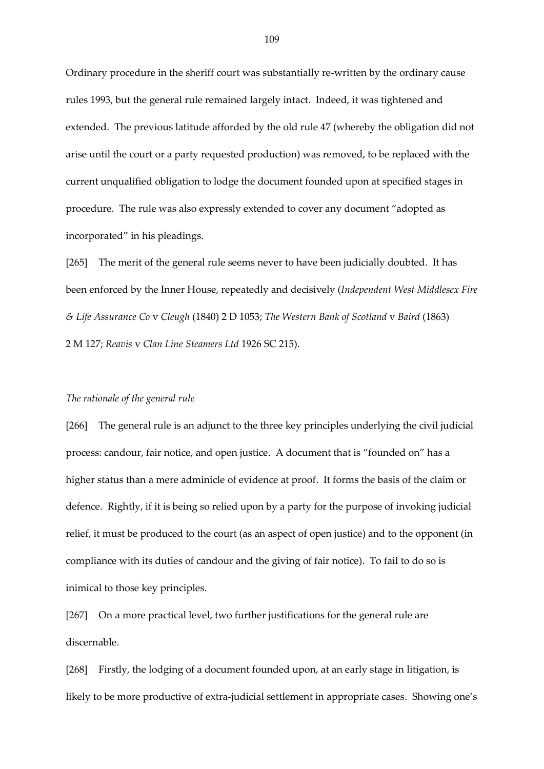Ordinary procedure in the sheriff court was substantially re-written by the ordinary cause rules 1993, but the general rule remained largely intact. Indeed, it was tightened and extended. The previous latitude afforded by the old rule 47 (whereby the obligation did not arise until the court or a party requested production) was removed, to be replaced with the current unqualified obligation to lodge the document founded upon at specified stages in procedure. The rule was also expressly extended to cover any document "adopted as incorporated" in his pleadings.

[265] The merit of the general rule seems never to have been judicially doubted. It has been enforced by the Inner House, repeatedly and decisively (*Independent West Middlesex Fire & Life Assurance Co* v *Cleugh* (1840) 2 D 1053; *The Western Bank of Scotland* v *Baird* (1863) 2 M 127; *Reavis* v *Clan Line Steamers Ltd* 1926 SC 215).

## *The rationale of the general rule*

[266] The general rule is an adjunct to the three key principles underlying the civil judicial process: candour, fair notice, and open justice. A document that is "founded on" has a higher status than a mere adminicle of evidence at proof. It forms the basis of the claim or defence. Rightly, if it is being so relied upon by a party for the purpose of invoking judicial relief, it must be produced to the court (as an aspect of open justice) and to the opponent (in compliance with its duties of candour and the giving of fair notice). To fail to do so is inimical to those key principles.

[267] On a more practical level, two further justifications for the general rule are discernable.

[268] Firstly, the lodging of a document founded upon, at an early stage in litigation, is likely to be more productive of extra-judicial settlement in appropriate cases. Showing one's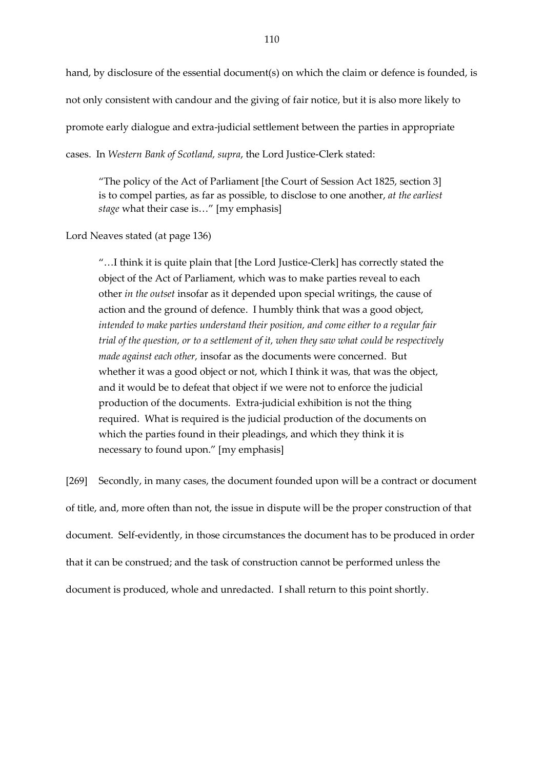hand, by disclosure of the essential document(s) on which the claim or defence is founded, is not only consistent with candour and the giving of fair notice, but it is also more likely to promote early dialogue and extra-judicial settlement between the parties in appropriate cases. In *Western Bank of Scotland, supra*, the Lord Justice-Clerk stated:

"The policy of the Act of Parliament [the Court of Session Act 1825, section 3] is to compel parties, as far as possible, to disclose to one another, *at the earliest stage* what their case is…" [my emphasis]

Lord Neaves stated (at page 136)

"…I think it is quite plain that [the Lord Justice-Clerk] has correctly stated the object of the Act of Parliament, which was to make parties reveal to each other *in the outset* insofar as it depended upon special writings, the cause of action and the ground of defence. I humbly think that was a good object, *intended to make parties understand their position, and come either to a regular fair trial of the question, or to a settlement of it, when they saw what could be respectively made against each other,* insofar as the documents were concerned. But whether it was a good object or not, which I think it was, that was the object, and it would be to defeat that object if we were not to enforce the judicial production of the documents. Extra-judicial exhibition is not the thing required. What is required is the judicial production of the documents on which the parties found in their pleadings, and which they think it is necessary to found upon." [my emphasis]

[269] Secondly, in many cases, the document founded upon will be a contract or document of title, and, more often than not, the issue in dispute will be the proper construction of that document. Self-evidently, in those circumstances the document has to be produced in order that it can be construed; and the task of construction cannot be performed unless the document is produced, whole and unredacted. I shall return to this point shortly.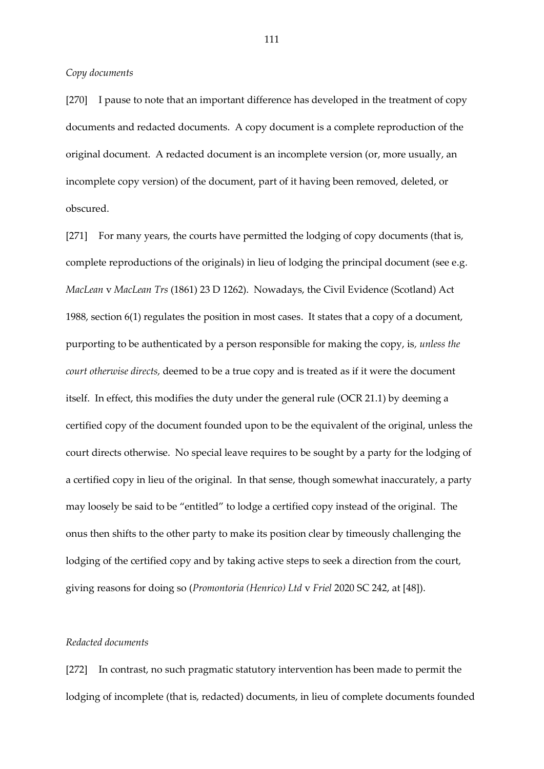*Copy documents* 

[270] I pause to note that an important difference has developed in the treatment of copy documents and redacted documents. A copy document is a complete reproduction of the original document. A redacted document is an incomplete version (or, more usually, an incomplete copy version) of the document, part of it having been removed, deleted, or obscured.

[271] For many years, the courts have permitted the lodging of copy documents (that is, complete reproductions of the originals) in lieu of lodging the principal document (see e.g. *MacLean* v *MacLean Trs* (1861) 23 D 1262). Nowadays, the Civil Evidence (Scotland) Act 1988, section 6(1) regulates the position in most cases. It states that a copy of a document, purporting to be authenticated by a person responsible for making the copy, is*, unless the court otherwise directs,* deemed to be a true copy and is treated as if it were the document itself. In effect, this modifies the duty under the general rule (OCR 21.1) by deeming a certified copy of the document founded upon to be the equivalent of the original, unless the court directs otherwise. No special leave requires to be sought by a party for the lodging of a certified copy in lieu of the original. In that sense, though somewhat inaccurately, a party may loosely be said to be "entitled" to lodge a certified copy instead of the original. The onus then shifts to the other party to make its position clear by timeously challenging the lodging of the certified copy and by taking active steps to seek a direction from the court, giving reasons for doing so (*Promontoria (Henrico) Ltd* v *Friel* 2020 SC 242, at [48]).

## *Redacted documents*

[272] In contrast, no such pragmatic statutory intervention has been made to permit the lodging of incomplete (that is, redacted) documents, in lieu of complete documents founded

111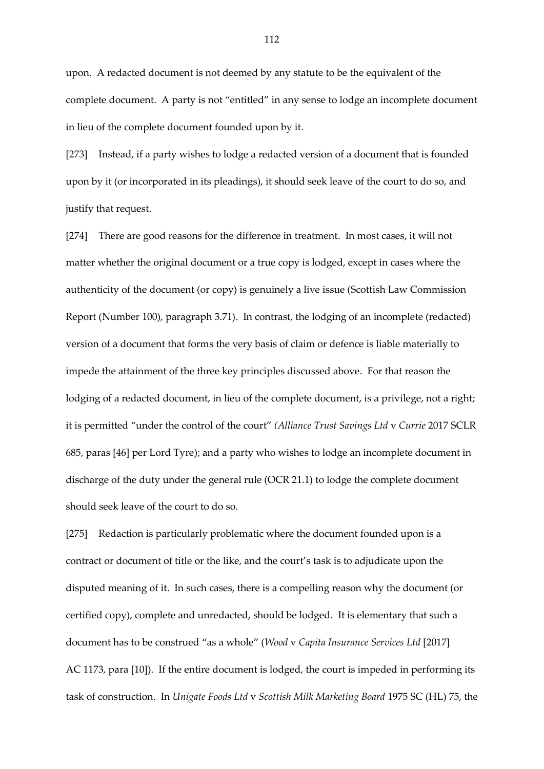upon. A redacted document is not deemed by any statute to be the equivalent of the complete document. A party is not "entitled" in any sense to lodge an incomplete document in lieu of the complete document founded upon by it.

[273] Instead, if a party wishes to lodge a redacted version of a document that is founded upon by it (or incorporated in its pleadings), it should seek leave of the court to do so, and justify that request.

[274] There are good reasons for the difference in treatment. In most cases, it will not matter whether the original document or a true copy is lodged, except in cases where the authenticity of the document (or copy) is genuinely a live issue (Scottish Law Commission Report (Number 100), paragraph 3.71). In contrast, the lodging of an incomplete (redacted) version of a document that forms the very basis of claim or defence is liable materially to impede the attainment of the three key principles discussed above. For that reason the lodging of a redacted document, in lieu of the complete document, is a privilege, not a right; it is permitted "under the control of the court" *(Alliance Trust Savings Ltd* v *Currie* 2017 SCLR 685, paras [46] per Lord Tyre); and a party who wishes to lodge an incomplete document in discharge of the duty under the general rule (OCR 21.1) to lodge the complete document should seek leave of the court to do so.

[275] Redaction is particularly problematic where the document founded upon is a contract or document of title or the like, and the court's task is to adjudicate upon the disputed meaning of it. In such cases, there is a compelling reason why the document (or certified copy), complete and unredacted, should be lodged. It is elementary that such a document has to be construed "as a whole" (*Wood* v *Capita Insurance Services Ltd* [2017] AC 1173, para [10]). If the entire document is lodged, the court is impeded in performing its task of construction. In *Unigate Foods Ltd* v *Scottish Milk Marketing Board* 1975 SC (HL) 75, the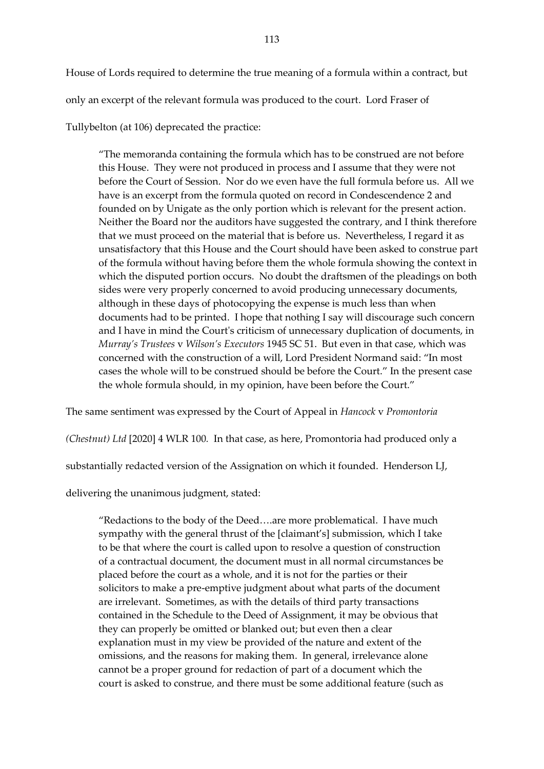House of Lords required to determine the true meaning of a formula within a contract, but only an excerpt of the relevant formula was produced to the court. Lord Fraser of Tullybelton (at 106) deprecated the practice:

"The memoranda containing the formula which has to be construed are not before this House. They were not produced in process and I assume that they were not before the Court of Session. Nor do we even have the full formula before us. All we have is an excerpt from the formula quoted on record in Condescendence 2 and founded on by Unigate as the only portion which is relevant for the present action. Neither the Board nor the auditors have suggested the contrary, and I think therefore that we must proceed on the material that is before us. Nevertheless, I regard it as unsatisfactory that this House and the Court should have been asked to construe part of the formula without having before them the whole formula showing the context in which the disputed portion occurs. No doubt the draftsmen of the pleadings on both sides were very properly concerned to avoid producing unnecessary documents, although in these days of photocopying the expense is much less than when documents had to be printed. I hope that nothing I say will discourage such concern and I have in mind the Court's criticism of unnecessary duplication of documents, in *Murray's Trustees* v *Wilson's Executors* 1945 SC 51. But even in that case, which was concerned with the construction of a will, Lord President Normand said: "In most cases the whole will to be construed should be before the Court." In the present case the whole formula should, in my opinion, have been before the Court."

The same sentiment was expressed by the Court of Appeal in *Hancock* v *Promontoria* 

*(Chestnut) Ltd* [2020] 4 WLR 100*.* In that case, as here, Promontoria had produced only a

substantially redacted version of the Assignation on which it founded. Henderson LJ,

delivering the unanimous judgment, stated:

"Redactions to the body of the Deed….are more problematical. I have much sympathy with the general thrust of the [claimant's] submission, which I take to be that where the court is called upon to resolve a question of construction of a contractual document, the document must in all normal circumstances be placed before the court as a whole, and it is not for the parties or their solicitors to make a pre-emptive judgment about what parts of the document are irrelevant. Sometimes, as with the details of third party transactions contained in the Schedule to the Deed of Assignment, it may be obvious that they can properly be omitted or blanked out; but even then a clear explanation must in my view be provided of the nature and extent of the omissions, and the reasons for making them. In general, irrelevance alone cannot be a proper ground for redaction of part of a document which the court is asked to construe, and there must be some additional feature (such as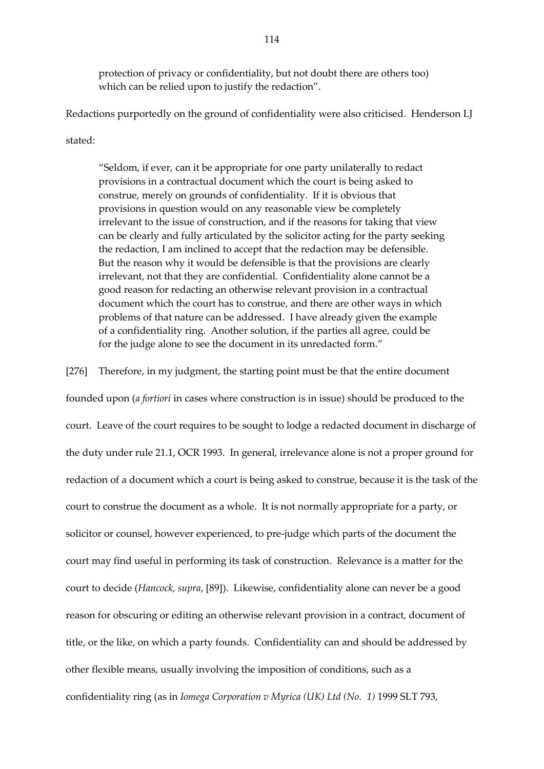protection of privacy or confidentiality, but not doubt there are others too) which can be relied upon to justify the redaction".

Redactions purportedly on the ground of confidentiality were also criticised. Henderson LJ

stated:

"Seldom, if ever, can it be appropriate for one party unilaterally to redact provisions in a contractual document which the court is being asked to construe, merely on grounds of confidentiality. If it is obvious that provisions in question would on any reasonable view be completely irrelevant to the issue of construction, and if the reasons for taking that view can be clearly and fully articulated by the solicitor acting for the party seeking the redaction, I am inclined to accept that the redaction may be defensible. But the reason why it would be defensible is that the provisions are clearly irrelevant, not that they are confidential. Confidentiality alone cannot be a good reason for redacting an otherwise relevant provision in a contractual document which the court has to construe, and there are other ways in which problems of that nature can be addressed. I have already given the example of a confidentiality ring. Another solution, if the parties all agree, could be for the judge alone to see the document in its unredacted form."

[276] Therefore, in my judgment, the starting point must be that the entire document

founded upon (*a fortiori* in cases where construction is in issue) should be produced to the court. Leave of the court requires to be sought to lodge a redacted document in discharge of the duty under rule 21.1, OCR 1993. In general, irrelevance alone is not a proper ground for redaction of a document which a court is being asked to construe, because it is the task of the court to construe the document as a whole. It is not normally appropriate for a party, or solicitor or counsel, however experienced, to pre-judge which parts of the document the court may find useful in performing its task of construction. Relevance is a matter for the court to decide (*Hancock, supra*, [89]). Likewise, confidentiality alone can never be a good reason for obscuring or editing an otherwise relevant provision in a contract, document of title, or the like, on which a party founds. Confidentiality can and should be addressed by other flexible means, usually involving the imposition of conditions, such as a confidentiality ring (as in *Iomega Corporation v Myrica (UK) Ltd (No. 1)* 1999 SLT 793,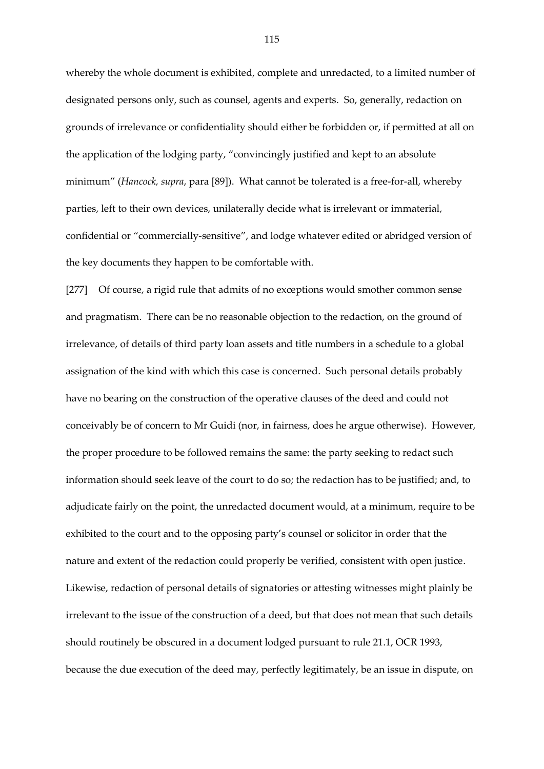whereby the whole document is exhibited, complete and unredacted, to a limited number of designated persons only, such as counsel, agents and experts. So, generally, redaction on grounds of irrelevance or confidentiality should either be forbidden or, if permitted at all on the application of the lodging party, "convincingly justified and kept to an absolute minimum" (*Hancock, supra*, para [89]). What cannot be tolerated is a free-for-all, whereby parties, left to their own devices, unilaterally decide what is irrelevant or immaterial, confidential or "commercially-sensitive", and lodge whatever edited or abridged version of the key documents they happen to be comfortable with.

[277] Of course, a rigid rule that admits of no exceptions would smother common sense and pragmatism. There can be no reasonable objection to the redaction, on the ground of irrelevance, of details of third party loan assets and title numbers in a schedule to a global assignation of the kind with which this case is concerned. Such personal details probably have no bearing on the construction of the operative clauses of the deed and could not conceivably be of concern to Mr Guidi (nor, in fairness, does he argue otherwise). However, the proper procedure to be followed remains the same: the party seeking to redact such information should seek leave of the court to do so; the redaction has to be justified; and, to adjudicate fairly on the point, the unredacted document would, at a minimum, require to be exhibited to the court and to the opposing party's counsel or solicitor in order that the nature and extent of the redaction could properly be verified, consistent with open justice. Likewise, redaction of personal details of signatories or attesting witnesses might plainly be irrelevant to the issue of the construction of a deed, but that does not mean that such details should routinely be obscured in a document lodged pursuant to rule 21.1, OCR 1993, because the due execution of the deed may, perfectly legitimately, be an issue in dispute, on

115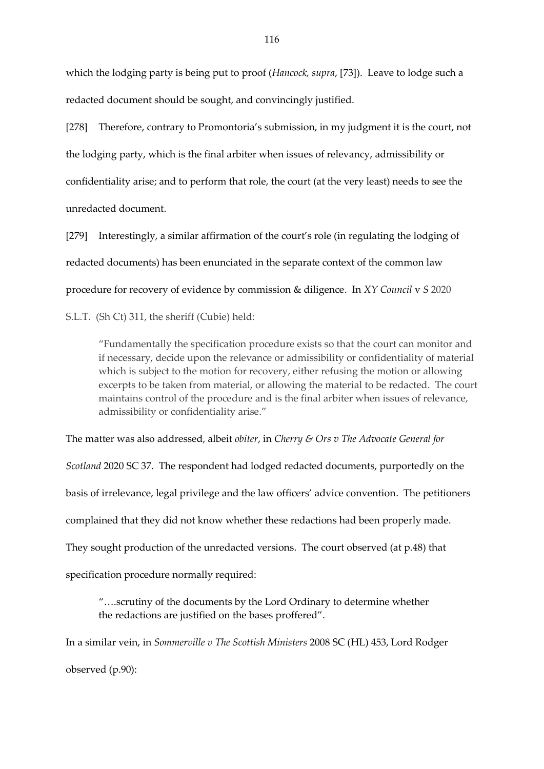which the lodging party is being put to proof (*Hancock, supra*, [73]). Leave to lodge such a redacted document should be sought, and convincingly justified.

[278] Therefore, contrary to Promontoria's submission, in my judgment it is the court, not the lodging party, which is the final arbiter when issues of relevancy, admissibility or confidentiality arise; and to perform that role, the court (at the very least) needs to see the unredacted document.

[279] Interestingly, a similar affirmation of the court's role (in regulating the lodging of redacted documents) has been enunciated in the separate context of the common law procedure for recovery of evidence by commission & diligence. In *XY Council* v *S* 2020

S.L.T. (Sh Ct) 311, the sheriff (Cubie) held:

"Fundamentally the specification procedure exists so that the court can monitor and if necessary, decide upon the relevance or admissibility or confidentiality of material which is subject to the motion for recovery, either refusing the motion or allowing excerpts to be taken from material, or allowing the material to be redacted. The court maintains control of the procedure and is the final arbiter when issues of relevance, admissibility or confidentiality arise."

The matter was also addressed, albeit *obiter*, in *Cherry & Ors v The Advocate General for Scotland* 2020 SC 37. The respondent had lodged redacted documents, purportedly on the basis of irrelevance, legal privilege and the law officers' advice convention. The petitioners complained that they did not know whether these redactions had been properly made. They sought production of the unredacted versions. The court observed (at p.48) that specification procedure normally required:

"….scrutiny of the documents by the Lord Ordinary to determine whether the redactions are justified on the bases proffered".

In a similar vein, in *Sommerville v The Scottish Ministers* 2008 SC (HL) 453, Lord Rodger observed (p.90):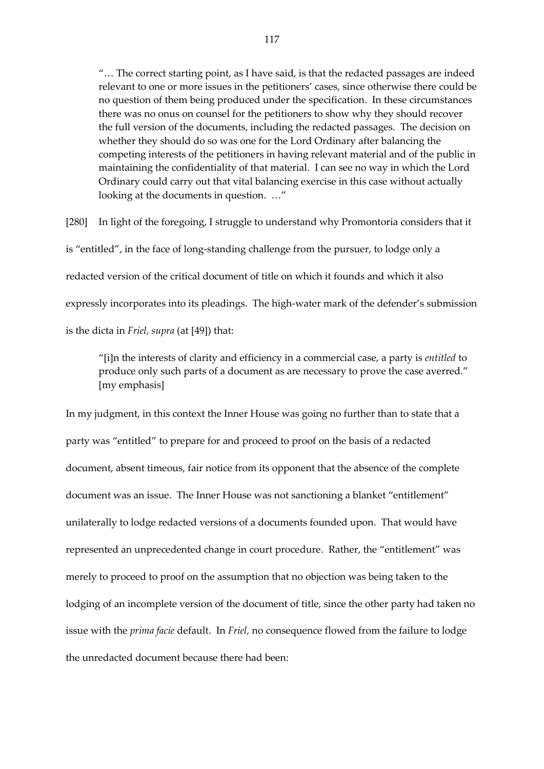"… The correct starting point, as I have said, is that the redacted passages are indeed relevant to one or more issues in the petitioners' cases, since otherwise there could be no question of them being produced under the specification. In these circumstances there was no onus on counsel for the petitioners to show why they should recover the full version of the documents, including the redacted passages. The decision on whether they should do so was one for the Lord Ordinary after balancing the competing interests of the petitioners in having relevant material and of the public in maintaining the confidentiality of that material. I can see no way in which the Lord Ordinary could carry out that vital balancing exercise in this case without actually looking at the documents in question. …"

[280] In light of the foregoing, I struggle to understand why Promontoria considers that it is "entitled", in the face of long-standing challenge from the pursuer, to lodge only a redacted version of the critical document of title on which it founds and which it also expressly incorporates into its pleadings. The high-water mark of the defender's submission is the dicta in *Friel, supra* (at [49]) that:

"[i]n the interests of clarity and efficiency in a commercial case, a party is *entitled* to produce only such parts of a document as are necessary to prove the case averred." [my emphasis]

In my judgment, in this context the Inner House was going no further than to state that a party was "entitled" to prepare for and proceed to proof on the basis of a redacted document, absent timeous, fair notice from its opponent that the absence of the complete document was an issue. The Inner House was not sanctioning a blanket "entitlement" unilaterally to lodge redacted versions of a documents founded upon. That would have represented an unprecedented change in court procedure. Rather, the "entitlement" was merely to proceed to proof on the assumption that no objection was being taken to the lodging of an incomplete version of the document of title, since the other party had taken no issue with the *prima facie* default. In *Friel,* no consequence flowed from the failure to lodge the unredacted document because there had been: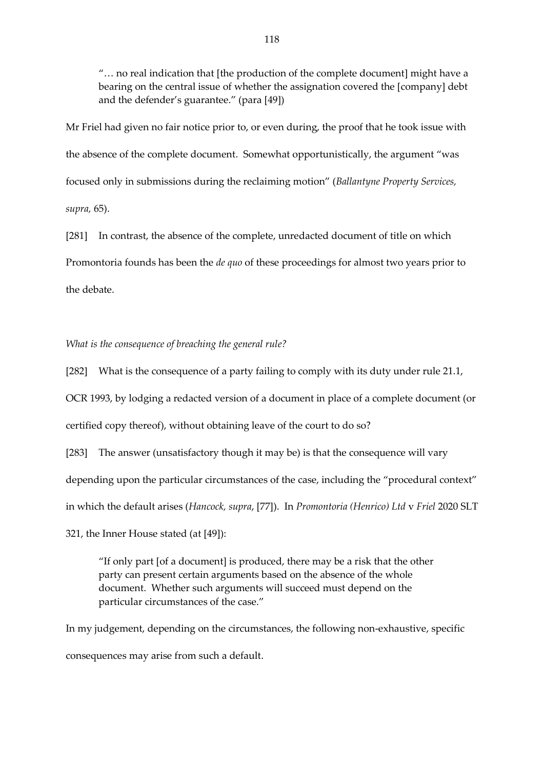"… no real indication that [the production of the complete document] might have a bearing on the central issue of whether the assignation covered the [company] debt and the defender's guarantee." (para [49])

Mr Friel had given no fair notice prior to, or even during, the proof that he took issue with the absence of the complete document. Somewhat opportunistically, the argument "was focused only in submissions during the reclaiming motion" (*Ballantyne Property Services, supra,* 65).

[281] In contrast, the absence of the complete, unredacted document of title on which Promontoria founds has been the *de quo* of these proceedings for almost two years prior to the debate.

*What is the consequence of breaching the general rule?* 

[282] What is the consequence of a party failing to comply with its duty under rule 21.1,

OCR 1993, by lodging a redacted version of a document in place of a complete document (or

certified copy thereof), without obtaining leave of the court to do so?

[283] The answer (unsatisfactory though it may be) is that the consequence will vary

depending upon the particular circumstances of the case, including the "procedural context"

in which the default arises (*Hancock, supra*, [77]). In *Promontoria (Henrico) Ltd* v *Friel* 2020 SLT

321, the Inner House stated (at [49]):

"If only part [of a document] is produced, there may be a risk that the other party can present certain arguments based on the absence of the whole document. Whether such arguments will succeed must depend on the particular circumstances of the case."

In my judgement, depending on the circumstances, the following non-exhaustive, specific consequences may arise from such a default.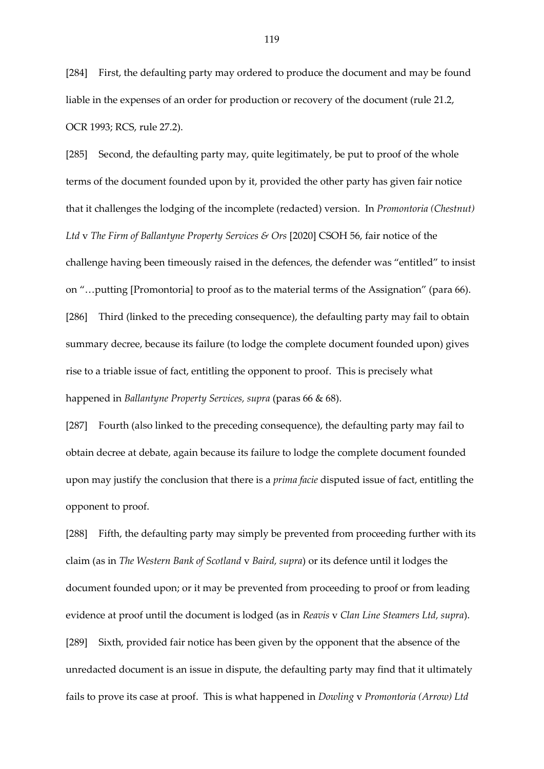[284] First, the defaulting party may ordered to produce the document and may be found liable in the expenses of an order for production or recovery of the document (rule 21.2, OCR 1993; RCS, rule 27.2).

[285] Second, the defaulting party may, quite legitimately, be put to proof of the whole terms of the document founded upon by it, provided the other party has given fair notice that it challenges the lodging of the incomplete (redacted) version. In *Promontoria (Chestnut) Ltd* v *The Firm of Ballantyne Property Services & Ors* [2020] CSOH 56, fair notice of the challenge having been timeously raised in the defences, the defender was "entitled" to insist on "…putting [Promontoria] to proof as to the material terms of the Assignation" (para 66). [286] Third (linked to the preceding consequence), the defaulting party may fail to obtain summary decree, because its failure (to lodge the complete document founded upon) gives rise to a triable issue of fact, entitling the opponent to proof. This is precisely what happened in *Ballantyne Property Services, supra* (paras 66 & 68).

[287] Fourth (also linked to the preceding consequence), the defaulting party may fail to obtain decree at debate, again because its failure to lodge the complete document founded upon may justify the conclusion that there is a *prima facie* disputed issue of fact, entitling the opponent to proof.

[288] Fifth, the defaulting party may simply be prevented from proceeding further with its claim (as in *The Western Bank of Scotland* v *Baird, supra*) or its defence until it lodges the document founded upon; or it may be prevented from proceeding to proof or from leading evidence at proof until the document is lodged (as in *Reavis* v *Clan Line Steamers Ltd, supra*). [289] Sixth, provided fair notice has been given by the opponent that the absence of the unredacted document is an issue in dispute, the defaulting party may find that it ultimately fails to prove its case at proof. This is what happened in *Dowling* v *Promontoria (Arrow) Ltd*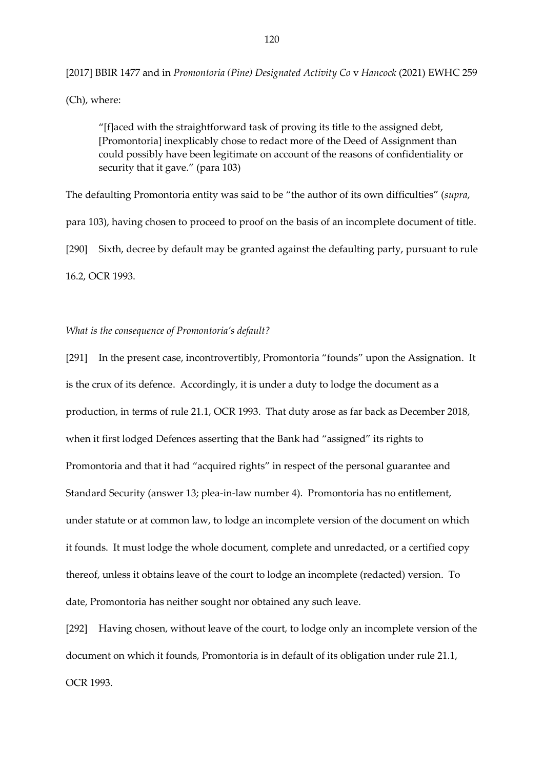[2017] BBIR 1477 and in *Promontoria (Pine) Designated Activity Co* v *Hancock* (2021) EWHC 259

(Ch), where:

"[f]aced with the straightforward task of proving its title to the assigned debt, [Promontoria] inexplicably chose to redact more of the Deed of Assignment than could possibly have been legitimate on account of the reasons of confidentiality or security that it gave." (para 103)

The defaulting Promontoria entity was said to be "the author of its own difficulties" (*supra*, para 103), having chosen to proceed to proof on the basis of an incomplete document of title. [290] Sixth, decree by default may be granted against the defaulting party, pursuant to rule 16.2, OCR 1993.

*What is the consequence of Promontoria's default?*

[291] In the present case, incontrovertibly, Promontoria "founds" upon the Assignation. It is the crux of its defence. Accordingly, it is under a duty to lodge the document as a production, in terms of rule 21.1, OCR 1993. That duty arose as far back as December 2018, when it first lodged Defences asserting that the Bank had "assigned" its rights to Promontoria and that it had "acquired rights" in respect of the personal guarantee and Standard Security (answer 13; plea-in-law number 4). Promontoria has no entitlement, under statute or at common law, to lodge an incomplete version of the document on which it founds. It must lodge the whole document, complete and unredacted, or a certified copy thereof, unless it obtains leave of the court to lodge an incomplete (redacted) version. To date, Promontoria has neither sought nor obtained any such leave.

[292] Having chosen, without leave of the court, to lodge only an incomplete version of the document on which it founds, Promontoria is in default of its obligation under rule 21.1, OCR 1993.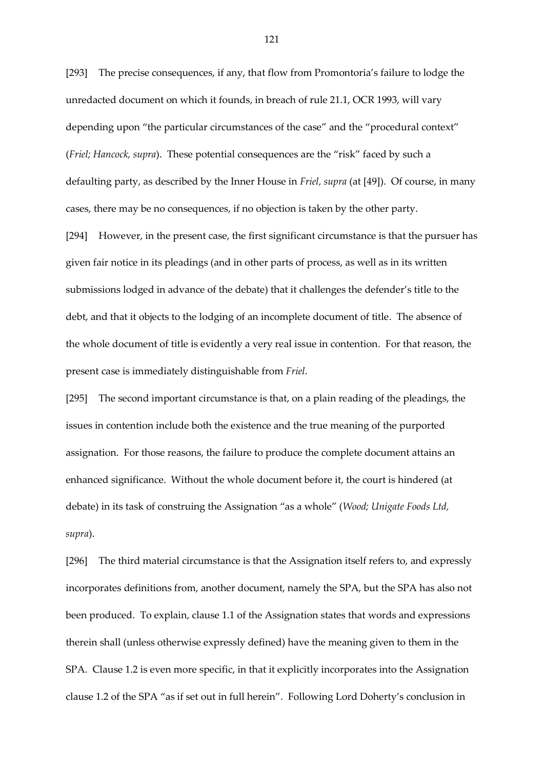[293] The precise consequences, if any, that flow from Promontoria's failure to lodge the unredacted document on which it founds, in breach of rule 21.1, OCR 1993, will vary depending upon "the particular circumstances of the case" and the "procedural context" (*Friel; Hancock, supra*). These potential consequences are the "risk" faced by such a defaulting party, as described by the Inner House in *Friel, supra* (at [49]). Of course, in many cases, there may be no consequences, if no objection is taken by the other party.

[294] However, in the present case, the first significant circumstance is that the pursuer has given fair notice in its pleadings (and in other parts of process, as well as in its written submissions lodged in advance of the debate) that it challenges the defender's title to the debt, and that it objects to the lodging of an incomplete document of title. The absence of the whole document of title is evidently a very real issue in contention. For that reason, the present case is immediately distinguishable from *Friel*.

[295] The second important circumstance is that, on a plain reading of the pleadings, the issues in contention include both the existence and the true meaning of the purported assignation. For those reasons, the failure to produce the complete document attains an enhanced significance. Without the whole document before it, the court is hindered (at debate) in its task of construing the Assignation "as a whole" (*Wood; Unigate Foods Ltd, supra*).

[296] The third material circumstance is that the Assignation itself refers to, and expressly incorporates definitions from, another document, namely the SPA, but the SPA has also not been produced. To explain, clause 1.1 of the Assignation states that words and expressions therein shall (unless otherwise expressly defined) have the meaning given to them in the SPA. Clause 1.2 is even more specific, in that it explicitly incorporates into the Assignation clause 1.2 of the SPA "as if set out in full herein". Following Lord Doherty's conclusion in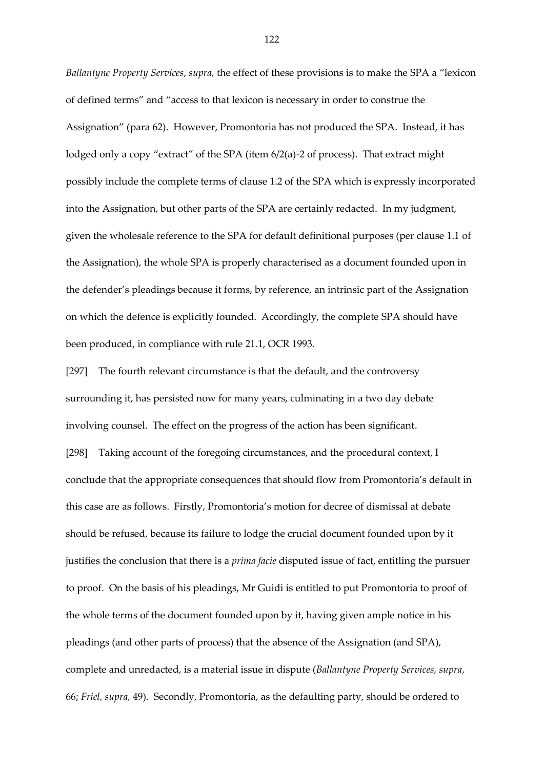*Ballantyne Property Services*, *supra,* the effect of these provisions is to make the SPA a "lexicon of defined terms" and "access to that lexicon is necessary in order to construe the Assignation" (para 62). However, Promontoria has not produced the SPA. Instead, it has lodged only a copy "extract" of the SPA (item 6/2(a)-2 of process). That extract might possibly include the complete terms of clause 1.2 of the SPA which is expressly incorporated into the Assignation, but other parts of the SPA are certainly redacted. In my judgment, given the wholesale reference to the SPA for default definitional purposes (per clause 1.1 of the Assignation), the whole SPA is properly characterised as a document founded upon in the defender's pleadings because it forms, by reference, an intrinsic part of the Assignation on which the defence is explicitly founded. Accordingly, the complete SPA should have been produced, in compliance with rule 21.1, OCR 1993.

[297] The fourth relevant circumstance is that the default, and the controversy surrounding it, has persisted now for many years, culminating in a two day debate involving counsel. The effect on the progress of the action has been significant. [298] Taking account of the foregoing circumstances, and the procedural context, I conclude that the appropriate consequences that should flow from Promontoria's default in this case are as follows. Firstly, Promontoria's motion for decree of dismissal at debate should be refused, because its failure to lodge the crucial document founded upon by it justifies the conclusion that there is a *prima facie* disputed issue of fact, entitling the pursuer to proof. On the basis of his pleadings, Mr Guidi is entitled to put Promontoria to proof of the whole terms of the document founded upon by it, having given ample notice in his pleadings (and other parts of process) that the absence of the Assignation (and SPA), complete and unredacted, is a material issue in dispute (*Ballantyne Property Services, supra*, 66; *Friel, supra,* 49). Secondly, Promontoria, as the defaulting party, should be ordered to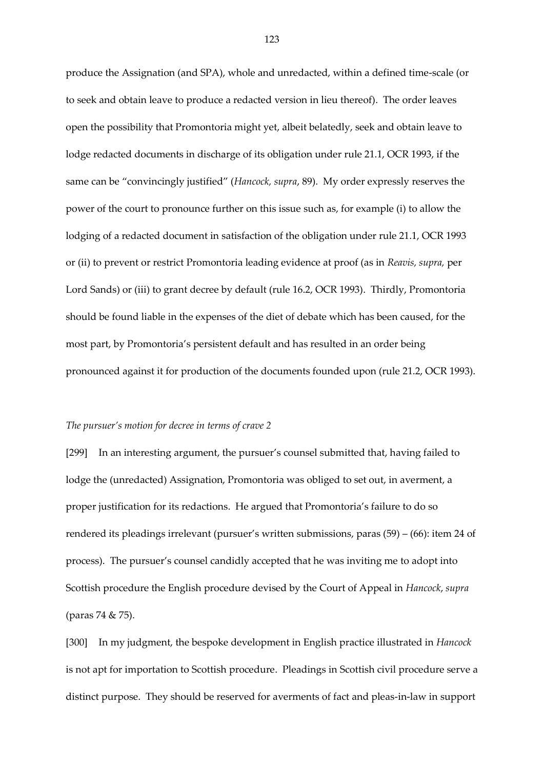produce the Assignation (and SPA), whole and unredacted, within a defined time-scale (or to seek and obtain leave to produce a redacted version in lieu thereof). The order leaves open the possibility that Promontoria might yet, albeit belatedly, seek and obtain leave to lodge redacted documents in discharge of its obligation under rule 21.1, OCR 1993, if the same can be "convincingly justified" (*Hancock, supra*, 89). My order expressly reserves the power of the court to pronounce further on this issue such as, for example (i) to allow the lodging of a redacted document in satisfaction of the obligation under rule 21.1, OCR 1993 or (ii) to prevent or restrict Promontoria leading evidence at proof (as in *Reavis, supra,* per Lord Sands) or (iii) to grant decree by default (rule 16.2, OCR 1993). Thirdly, Promontoria should be found liable in the expenses of the diet of debate which has been caused, for the most part, by Promontoria's persistent default and has resulted in an order being pronounced against it for production of the documents founded upon (rule 21.2, OCR 1993).

## *The pursuer's motion for decree in terms of crave 2*

[299] In an interesting argument, the pursuer's counsel submitted that, having failed to lodge the (unredacted) Assignation, Promontoria was obliged to set out, in averment, a proper justification for its redactions. He argued that Promontoria's failure to do so rendered its pleadings irrelevant (pursuer's written submissions, paras (59) – (66): item 24 of process). The pursuer's counsel candidly accepted that he was inviting me to adopt into Scottish procedure the English procedure devised by the Court of Appeal in *Hancock*, *supra*  (paras 74 & 75).

[300] In my judgment, the bespoke development in English practice illustrated in *Hancock* is not apt for importation to Scottish procedure. Pleadings in Scottish civil procedure serve a distinct purpose. They should be reserved for averments of fact and pleas-in-law in support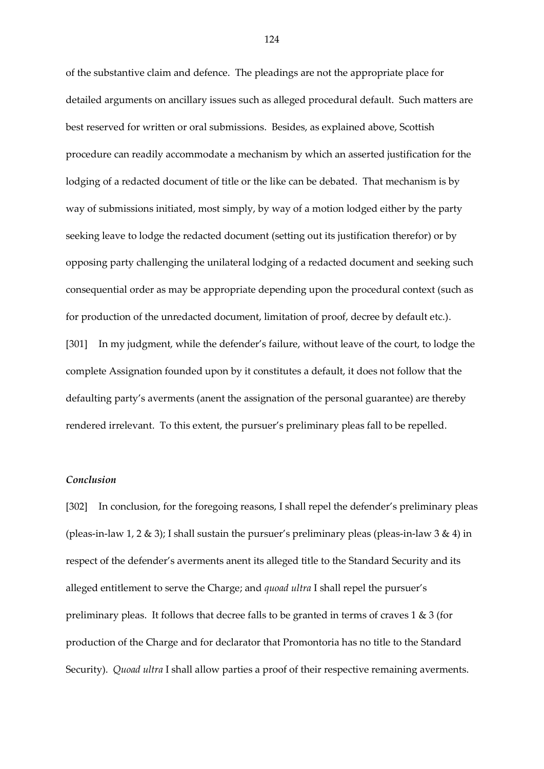of the substantive claim and defence. The pleadings are not the appropriate place for detailed arguments on ancillary issues such as alleged procedural default. Such matters are best reserved for written or oral submissions. Besides, as explained above, Scottish procedure can readily accommodate a mechanism by which an asserted justification for the lodging of a redacted document of title or the like can be debated. That mechanism is by way of submissions initiated, most simply, by way of a motion lodged either by the party seeking leave to lodge the redacted document (setting out its justification therefor) or by opposing party challenging the unilateral lodging of a redacted document and seeking such consequential order as may be appropriate depending upon the procedural context (such as for production of the unredacted document, limitation of proof, decree by default etc.). [301] In my judgment, while the defender's failure, without leave of the court, to lodge the complete Assignation founded upon by it constitutes a default, it does not follow that the defaulting party's averments (anent the assignation of the personal guarantee) are thereby rendered irrelevant. To this extent, the pursuer's preliminary pleas fall to be repelled.

## *Conclusion*

[302] In conclusion, for the foregoing reasons, I shall repel the defender's preliminary pleas (pleas-in-law 1, 2  $\&$  3); I shall sustain the pursuer's preliminary pleas (pleas-in-law 3  $\&$  4) in respect of the defender's averments anent its alleged title to the Standard Security and its alleged entitlement to serve the Charge; and *quoad ultra* I shall repel the pursuer's preliminary pleas. It follows that decree falls to be granted in terms of craves 1 & 3 (for production of the Charge and for declarator that Promontoria has no title to the Standard Security). *Quoad ultra* I shall allow parties a proof of their respective remaining averments.

124